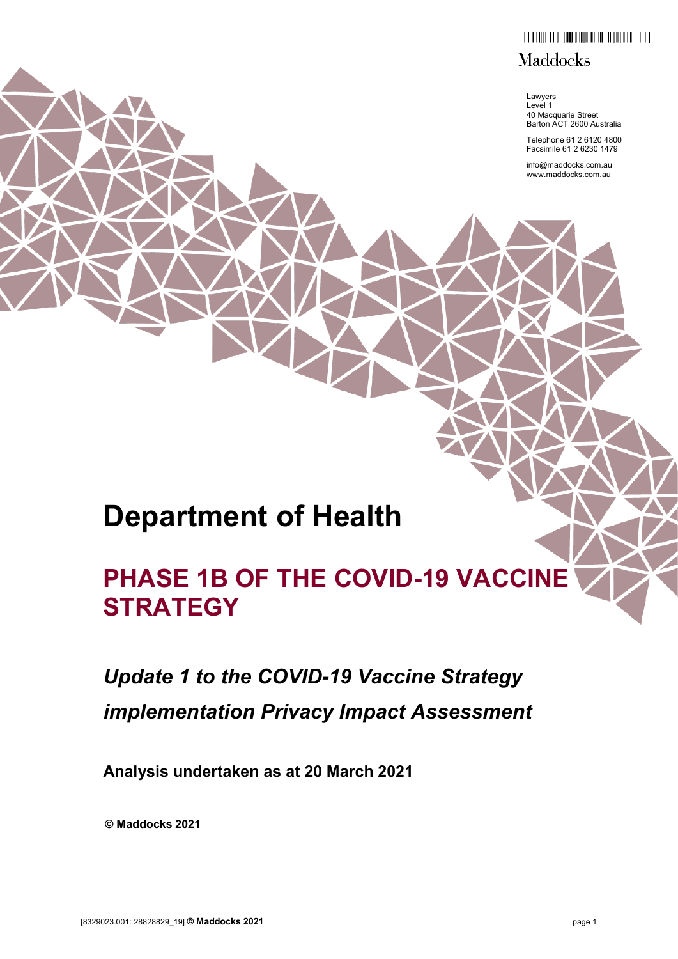## $\begin{smallmatrix} \begin{smallmatrix} \begin{smallmatrix} \end{smallmatrix} & \begin{smallmatrix} \end{smallmatrix} & \begin{smallmatrix} \end{smallmatrix} & \begin{smallmatrix} \end{smallmatrix} & \begin{smallmatrix} \end{smallmatrix} & \begin{smallmatrix} \end{smallmatrix} & \begin{smallmatrix} \end{smallmatrix} & \begin{smallmatrix} \end{smallmatrix} & \begin{smallmatrix} \end{smallmatrix} & \begin{smallmatrix} \end{smallmatrix} & \begin{smallmatrix} \end{smallmatrix} & \begin{smallmatrix} \end{smallmatrix} & \begin{smallmatrix} \end{smallmatrix} & \begin{smallmatrix} \end{smallmatrix} & \begin{smallmatrix} \end{smallmatrix} & \begin{smallmatrix} \end{smallmatrix} &$

## **Maddocks**

Lawyers Level 1 40 Macquarie Street Barton ACT 2600 Australia

Telephone 61 2 6120 4800 Facsimile 61 2 6230 1479

info@maddocks.com.au www.maddocks.com.au

# **Department of Health**

# **PHASE 1B OF THE COVID-19 VACCINE STRATEGY**

# *Update 1 to the COVID-19 Vaccine Strategy implementation Privacy Impact Assessment*

**Analysis undertaken as at 20 March 2021**

**© Maddocks 2021**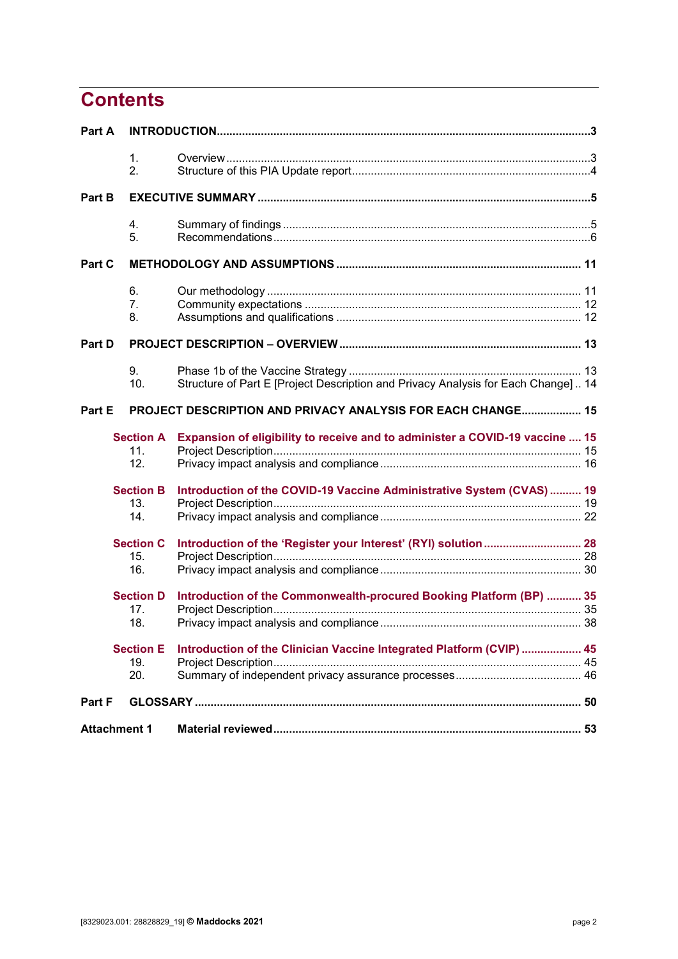# **Contents**

| Part A |                     |                                                                                    |  |  |
|--------|---------------------|------------------------------------------------------------------------------------|--|--|
|        | 1.                  |                                                                                    |  |  |
|        | 2.                  |                                                                                    |  |  |
| Part B |                     |                                                                                    |  |  |
|        | 4.                  |                                                                                    |  |  |
|        | 5.                  |                                                                                    |  |  |
| Part C |                     |                                                                                    |  |  |
|        | 6.                  |                                                                                    |  |  |
|        | 7.                  |                                                                                    |  |  |
|        | 8.                  |                                                                                    |  |  |
| Part D |                     |                                                                                    |  |  |
|        | 9.                  |                                                                                    |  |  |
|        | 10.                 | Structure of Part E [Project Description and Privacy Analysis for Each Change]  14 |  |  |
| Part E |                     | PROJECT DESCRIPTION AND PRIVACY ANALYSIS FOR EACH CHANGE 15                        |  |  |
|        | <b>Section A</b>    | Expansion of eligibility to receive and to administer a COVID-19 vaccine  15       |  |  |
|        | 11.                 |                                                                                    |  |  |
|        | 12.                 |                                                                                    |  |  |
|        | <b>Section B</b>    | Introduction of the COVID-19 Vaccine Administrative System (CVAS)  19              |  |  |
|        | 13.                 |                                                                                    |  |  |
|        | 14.                 |                                                                                    |  |  |
|        | <b>Section C</b>    |                                                                                    |  |  |
|        | 15.                 |                                                                                    |  |  |
|        | 16.                 |                                                                                    |  |  |
|        | <b>Section D</b>    | Introduction of the Commonwealth-procured Booking Platform (BP)  35                |  |  |
|        | 17.                 |                                                                                    |  |  |
|        | 18.                 |                                                                                    |  |  |
|        | <b>Section E</b>    | Introduction of the Clinician Vaccine Integrated Platform (CVIP)  45               |  |  |
|        | 19.                 |                                                                                    |  |  |
|        | 20.                 |                                                                                    |  |  |
| Part F |                     |                                                                                    |  |  |
|        | <b>Attachment 1</b> |                                                                                    |  |  |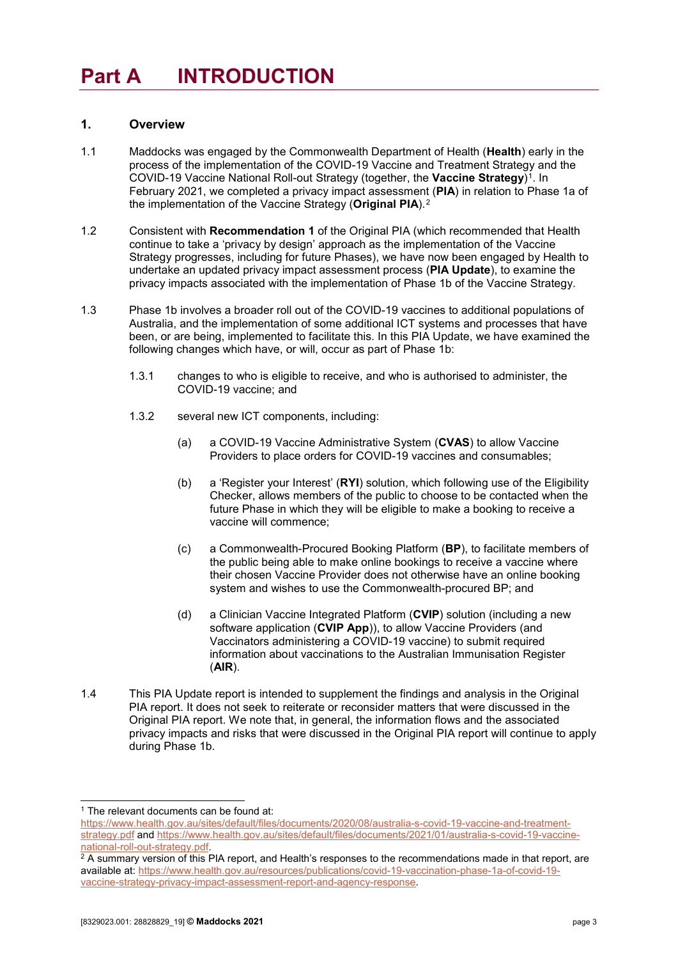# <span id="page-2-0"></span>**Part A INTRODUCTION**

### <span id="page-2-1"></span>**1. Overview**

- 1.1 Maddocks was engaged by the Commonwealth Department of Health (**Health**) early in the process of the implementation of the COVID-19 Vaccine and Treatment Strategy and the COVID-19 Vaccine National Roll-out Strategy (together, the Vaccine Strategy)<sup>1</sup>. In February 2021, we completed a privacy impact assessment (**PIA**) in relation to Phase 1a of the implementation of the Vaccine Strategy (**Original PIA**).[2](#page-2-3)
- 1.2 Consistent with **Recommendation 1** of the Original PIA (which recommended that Health continue to take a 'privacy by design' approach as the implementation of the Vaccine Strategy progresses, including for future Phases), we have now been engaged by Health to undertake an updated privacy impact assessment process (**PIA Update**), to examine the privacy impacts associated with the implementation of Phase 1b of the Vaccine Strategy.
- 1.3 Phase 1b involves a broader roll out of the COVID-19 vaccines to additional populations of Australia, and the implementation of some additional ICT systems and processes that have been, or are being, implemented to facilitate this. In this PIA Update, we have examined the following changes which have, or will, occur as part of Phase 1b:
	- 1.3.1 changes to who is eligible to receive, and who is authorised to administer, the COVID-19 vaccine; and
	- 1.3.2 several new ICT components, including:
		- (a) a COVID-19 Vaccine Administrative System (**CVAS**) to allow Vaccine Providers to place orders for COVID-19 vaccines and consumables;
		- (b) a 'Register your Interest' (**RYI**) solution, which following use of the Eligibility Checker, allows members of the public to choose to be contacted when the future Phase in which they will be eligible to make a booking to receive a vaccine will commence;
		- (c) a Commonwealth-Procured Booking Platform (**BP**), to facilitate members of the public being able to make online bookings to receive a vaccine where their chosen Vaccine Provider does not otherwise have an online booking system and wishes to use the Commonwealth-procured BP; and
		- (d) a Clinician Vaccine Integrated Platform (**CVIP**) solution (including a new software application (**CVIP App**)), to allow Vaccine Providers (and Vaccinators administering a COVID-19 vaccine) to submit required information about vaccinations to the Australian Immunisation Register (**AIR**).
- 1.4 This PIA Update report is intended to supplement the findings and analysis in the Original PIA report. It does not seek to reiterate or reconsider matters that were discussed in the Original PIA report. We note that, in general, the information flows and the associated privacy impacts and risks that were discussed in the Original PIA report will continue to apply during Phase 1b.

<sup>&</sup>lt;sup>1</sup> The relevant documents can be found at:

<span id="page-2-2"></span>[https://www.health.gov.au/sites/default/files/documents/2020/08/australia-s-covid-19-vaccine-and-treatment](https://www.health.gov.au/sites/default/files/documents/2020/08/australia-s-covid-19-vaccine-and-treatment-strategy.pdf)[strategy.pdf](https://www.health.gov.au/sites/default/files/documents/2020/08/australia-s-covid-19-vaccine-and-treatment-strategy.pdf) and [https://www.health.gov.au/sites/default/files/documents/2021/01/australia-s-covid-19-vaccine](https://www.health.gov.au/sites/default/files/documents/2021/01/australia-s-covid-19-vaccine-national-roll-out-strategy.pdf)[national-roll-out-strategy.pdf.](https://www.health.gov.au/sites/default/files/documents/2021/01/australia-s-covid-19-vaccine-national-roll-out-strategy.pdf)

<span id="page-2-3"></span><sup>&</sup>lt;sup>2</sup> A summary version of this PIA report, and Health's responses to the recommendations made in that report, are available at[: https://www.health.gov.au/resources/publications/covid-19-vaccination-phase-1a-of-covid-19](https://www.health.gov.au/resources/publications/covid-19-vaccination-phase-1a-of-covid-19-vaccine-strategy-privacy-impact-assessment-report-and-agency-response) [vaccine-strategy-privacy-impact-assessment-report-and-agency-response.](https://www.health.gov.au/resources/publications/covid-19-vaccination-phase-1a-of-covid-19-vaccine-strategy-privacy-impact-assessment-report-and-agency-response)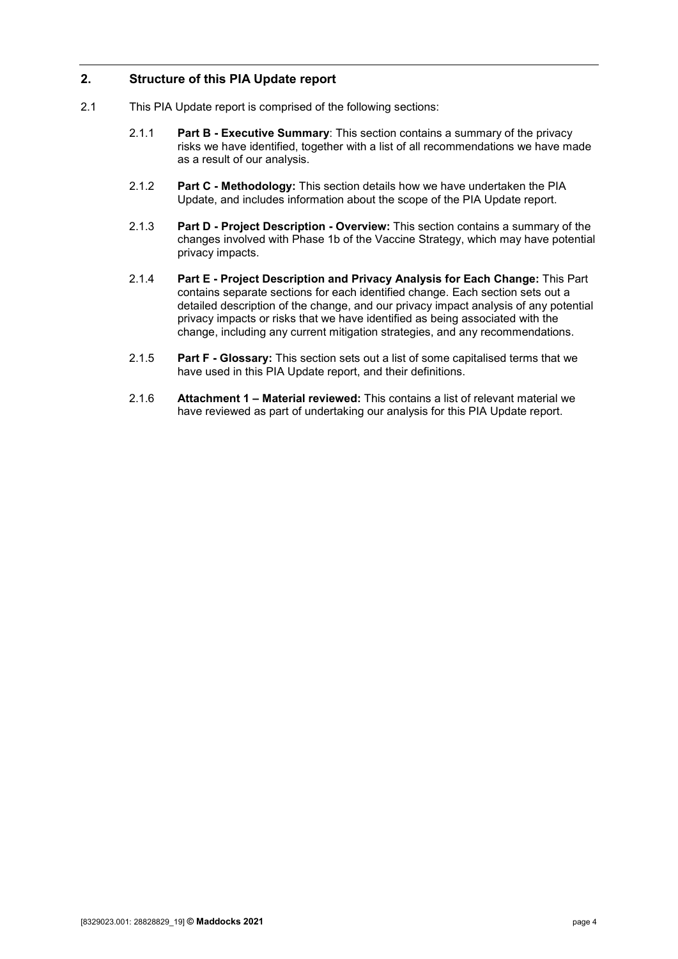## <span id="page-3-0"></span>**2. Structure of this PIA Update report**

- 2.1 This PIA Update report is comprised of the following sections:
	- 2.1.1 **[Part B](#page-4-0) - Executive Summary**: This section contains a summary of the privacy risks we have identified, together with a list of all recommendations we have made as a result of our analysis.
	- 2.1.2 **[Part C](#page-10-0) - Methodology:** This section details how we have undertaken the PIA Update, and includes information about the scope of the PIA Update report.
	- 2.1.3 **[Part D](#page-12-0) - Project Description - Overview:** This section contains a summary of the changes involved with Phase 1b of the Vaccine Strategy, which may have potential privacy impacts.
	- 2.1.4 **[Part E](#page-14-0) - Project Description and Privacy Analysis for Each Change:** This Part contains separate sections for each identified change. Each section sets out a detailed description of the change, and our privacy impact analysis of any potential privacy impacts or risks that we have identified as being associated with the change, including any current mitigation strategies, and any recommendations.
	- 2.1.5 **[Part F](#page-49-0) - Glossary:** This section sets out a list of some capitalised terms that we have used in this PIA Update report, and their definitions.
	- 2.1.6 **[Attachment 1](#page-52-0) – Material reviewed:** This contains a list of relevant material we have reviewed as part of undertaking our analysis for this PIA Update report.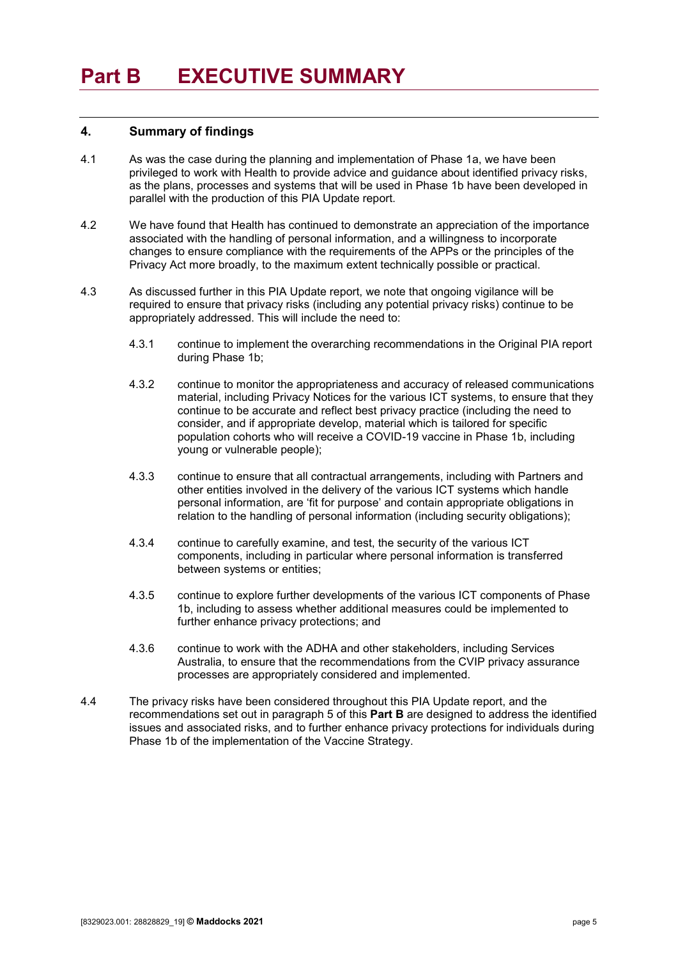#### <span id="page-4-1"></span><span id="page-4-0"></span>**4. Summary of findings**

- 4.1 As was the case during the planning and implementation of Phase 1a, we have been privileged to work with Health to provide advice and guidance about identified privacy risks, as the plans, processes and systems that will be used in Phase 1b have been developed in parallel with the production of this PIA Update report.
- 4.2 We have found that Health has continued to demonstrate an appreciation of the importance associated with the handling of personal information, and a willingness to incorporate changes to ensure compliance with the requirements of the APPs or the principles of the Privacy Act more broadly, to the maximum extent technically possible or practical.
- 4.3 As discussed further in this PIA Update report, we note that ongoing vigilance will be required to ensure that privacy risks (including any potential privacy risks) continue to be appropriately addressed. This will include the need to:
	- 4.3.1 continue to implement the overarching recommendations in the Original PIA report during Phase 1b;
	- 4.3.2 continue to monitor the appropriateness and accuracy of released communications material, including Privacy Notices for the various ICT systems, to ensure that they continue to be accurate and reflect best privacy practice (including the need to consider, and if appropriate develop, material which is tailored for specific population cohorts who will receive a COVID-19 vaccine in Phase 1b, including young or vulnerable people);
	- 4.3.3 continue to ensure that all contractual arrangements, including with Partners and other entities involved in the delivery of the various ICT systems which handle personal information, are 'fit for purpose' and contain appropriate obligations in relation to the handling of personal information (including security obligations);
	- 4.3.4 continue to carefully examine, and test, the security of the various ICT components, including in particular where personal information is transferred between systems or entities;
	- 4.3.5 continue to explore further developments of the various ICT components of Phase 1b, including to assess whether additional measures could be implemented to further enhance privacy protections; and
	- 4.3.6 continue to work with the ADHA and other stakeholders, including Services Australia, to ensure that the recommendations from the CVIP privacy assurance processes are appropriately considered and implemented.
- 4.4 The privacy risks have been considered throughout this PIA Update report, and the recommendations set out in paragraph [5](#page-5-0) of this **[Part B](#page-4-0)** are designed to address the identified issues and associated risks, and to further enhance privacy protections for individuals during Phase 1b of the implementation of the Vaccine Strategy.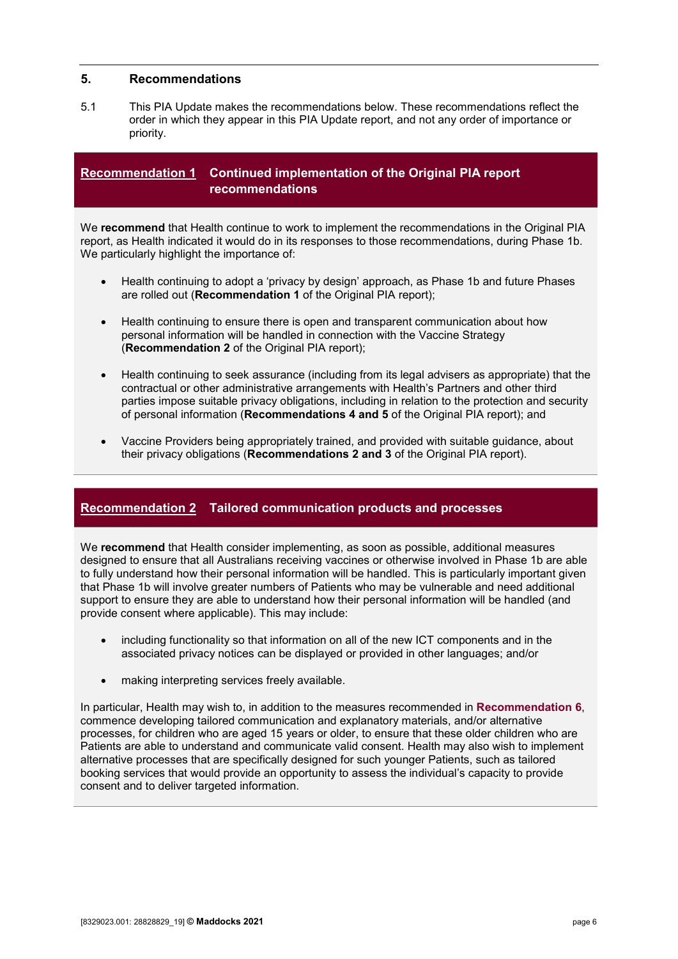### <span id="page-5-0"></span>**5. Recommendations**

5.1 This PIA Update makes the recommendations below. These recommendations reflect the order in which they appear in this PIA Update report, and not any order of importance or priority.

## <span id="page-5-1"></span>**Recommendation 1 Continued implementation of the Original PIA report recommendations**

We **recommend** that Health continue to work to implement the recommendations in the Original PIA report, as Health indicated it would do in its responses to those recommendations, during Phase 1b. We particularly highlight the importance of:

- Health continuing to adopt a 'privacy by design' approach, as Phase 1b and future Phases are rolled out (**Recommendation 1** of the Original PIA report);
- Health continuing to ensure there is open and transparent communication about how personal information will be handled in connection with the Vaccine Strategy (**Recommendation 2** of the Original PIA report);
- Health continuing to seek assurance (including from its legal advisers as appropriate) that the contractual or other administrative arrangements with Health's Partners and other third parties impose suitable privacy obligations, including in relation to the protection and security of personal information (**Recommendations 4 and 5** of the Original PIA report); and
- <span id="page-5-2"></span>• Vaccine Providers being appropriately trained, and provided with suitable guidance, about their privacy obligations (**Recommendations 2 and 3** of the Original PIA report).

## **Recommendation 2 Tailored communication products and processes**

We **recommend** that Health consider implementing, as soon as possible, additional measures designed to ensure that all Australians receiving vaccines or otherwise involved in Phase 1b are able to fully understand how their personal information will be handled. This is particularly important given that Phase 1b will involve greater numbers of Patients who may be vulnerable and need additional support to ensure they are able to understand how their personal information will be handled (and provide consent where applicable). This may include:

- including functionality so that information on all of the new ICT components and in the associated privacy notices can be displayed or provided in other languages; and/or
- making interpreting services freely available.

In particular, Health may wish to, in addition to the measures recommended in **[Recommendation 6](#page-8-0)**, commence developing tailored communication and explanatory materials, and/or alternative processes, for children who are aged 15 years or older, to ensure that these older children who are Patients are able to understand and communicate valid consent. Health may also wish to implement alternative processes that are specifically designed for such younger Patients, such as tailored booking services that would provide an opportunity to assess the individual's capacity to provide consent and to deliver targeted information.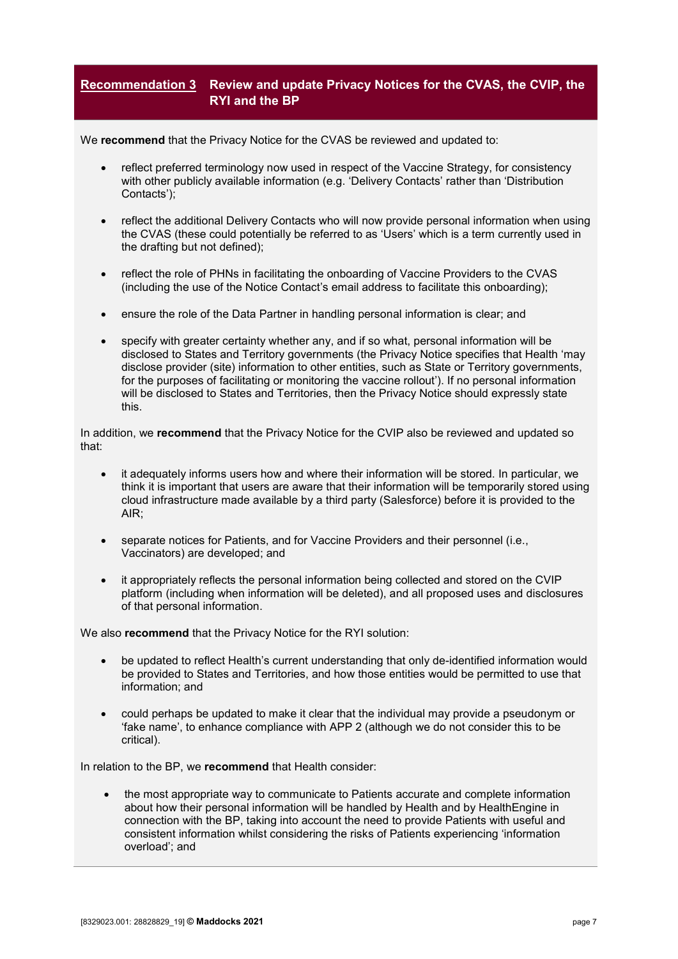## <span id="page-6-0"></span>**Recommendation 3 Review and update Privacy Notices for the CVAS, the CVIP, the RYI and the BP**

We **recommend** that the Privacy Notice for the CVAS be reviewed and updated to:

- reflect preferred terminology now used in respect of the Vaccine Strategy, for consistency with other publicly available information (e.g. 'Delivery Contacts' rather than 'Distribution Contacts');
- reflect the additional Delivery Contacts who will now provide personal information when using the CVAS (these could potentially be referred to as 'Users' which is a term currently used in the drafting but not defined);
- reflect the role of PHNs in facilitating the onboarding of Vaccine Providers to the CVAS (including the use of the Notice Contact's email address to facilitate this onboarding);
- ensure the role of the Data Partner in handling personal information is clear; and
- specify with greater certainty whether any, and if so what, personal information will be disclosed to States and Territory governments (the Privacy Notice specifies that Health 'may disclose provider (site) information to other entities, such as State or Territory governments, for the purposes of facilitating or monitoring the vaccine rollout'). If no personal information will be disclosed to States and Territories, then the Privacy Notice should expressly state this.

In addition, we **recommend** that the Privacy Notice for the CVIP also be reviewed and updated so that:

- it adequately informs users how and where their information will be stored. In particular, we think it is important that users are aware that their information will be temporarily stored using cloud infrastructure made available by a third party (Salesforce) before it is provided to the AIR;
- separate notices for Patients, and for Vaccine Providers and their personnel (i.e., Vaccinators) are developed; and
- it appropriately reflects the personal information being collected and stored on the CVIP platform (including when information will be deleted), and all proposed uses and disclosures of that personal information.

We also **recommend** that the Privacy Notice for the RYI solution:

- be updated to reflect Health's current understanding that only de-identified information would be provided to States and Territories, and how those entities would be permitted to use that information; and
- could perhaps be updated to make it clear that the individual may provide a pseudonym or 'fake name', to enhance compliance with APP 2 (although we do not consider this to be critical).

In relation to the BP, we **recommend** that Health consider:

• the most appropriate way to communicate to Patients accurate and complete information about how their personal information will be handled by Health and by HealthEngine in connection with the BP, taking into account the need to provide Patients with useful and consistent information whilst considering the risks of Patients experiencing 'information overload'; and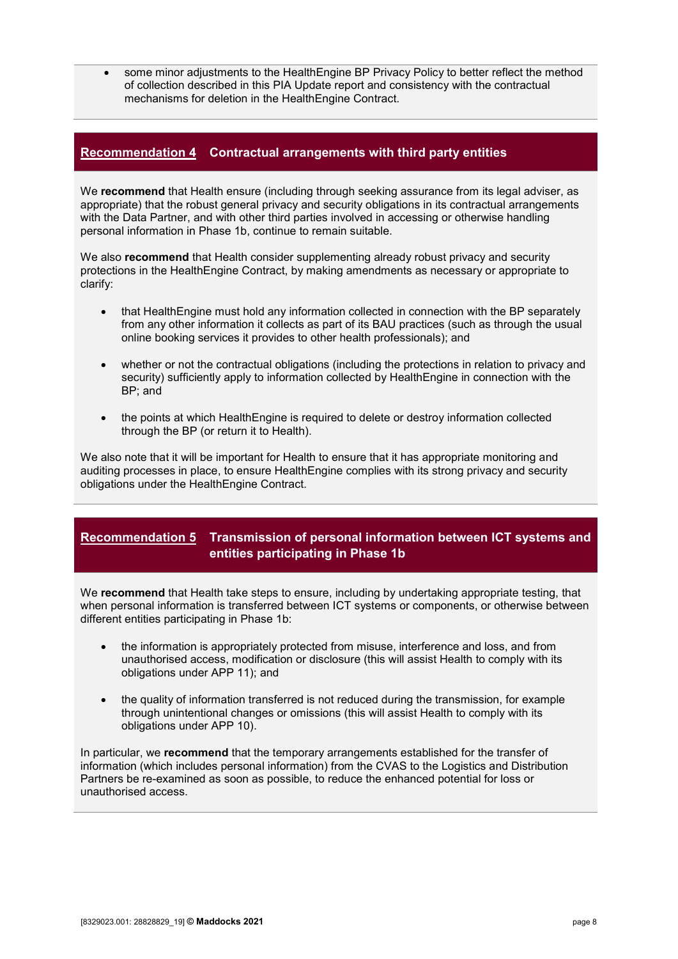<span id="page-7-0"></span>• some minor adjustments to the HealthEngine BP Privacy Policy to better reflect the method of collection described in this PIA Update report and consistency with the contractual mechanisms for deletion in the HealthEngine Contract.

## **Recommendation 4 Contractual arrangements with third party entities**

We **recommend** that Health ensure (including through seeking assurance from its legal adviser, as appropriate) that the robust general privacy and security obligations in its contractual arrangements with the Data Partner, and with other third parties involved in accessing or otherwise handling personal information in Phase 1b, continue to remain suitable.

We also **recommend** that Health consider supplementing already robust privacy and security protections in the HealthEngine Contract, by making amendments as necessary or appropriate to clarify:

- that HealthEngine must hold any information collected in connection with the BP separately from any other information it collects as part of its BAU practices (such as through the usual online booking services it provides to other health professionals); and
- whether or not the contractual obligations (including the protections in relation to privacy and security) sufficiently apply to information collected by HealthEngine in connection with the BP; and
- the points at which HealthEngine is required to delete or destroy information collected through the BP (or return it to Health).

We also note that it will be important for Health to ensure that it has appropriate monitoring and auditing processes in place, to ensure HealthEngine complies with its strong privacy and security obligations under the HealthEngine Contract.

## <span id="page-7-1"></span>**Recommendation 5 Transmission of personal information between ICT systems and entities participating in Phase 1b**

We **recommend** that Health take steps to ensure, including by undertaking appropriate testing, that when personal information is transferred between ICT systems or components, or otherwise between different entities participating in Phase 1b:

- the information is appropriately protected from misuse, interference and loss, and from unauthorised access, modification or disclosure (this will assist Health to comply with its obligations under APP 11); and
- the quality of information transferred is not reduced during the transmission, for example through unintentional changes or omissions (this will assist Health to comply with its obligations under APP 10).

In particular, we **recommend** that the temporary arrangements established for the transfer of information (which includes personal information) from the CVAS to the Logistics and Distribution Partners be re-examined as soon as possible, to reduce the enhanced potential for loss or unauthorised access.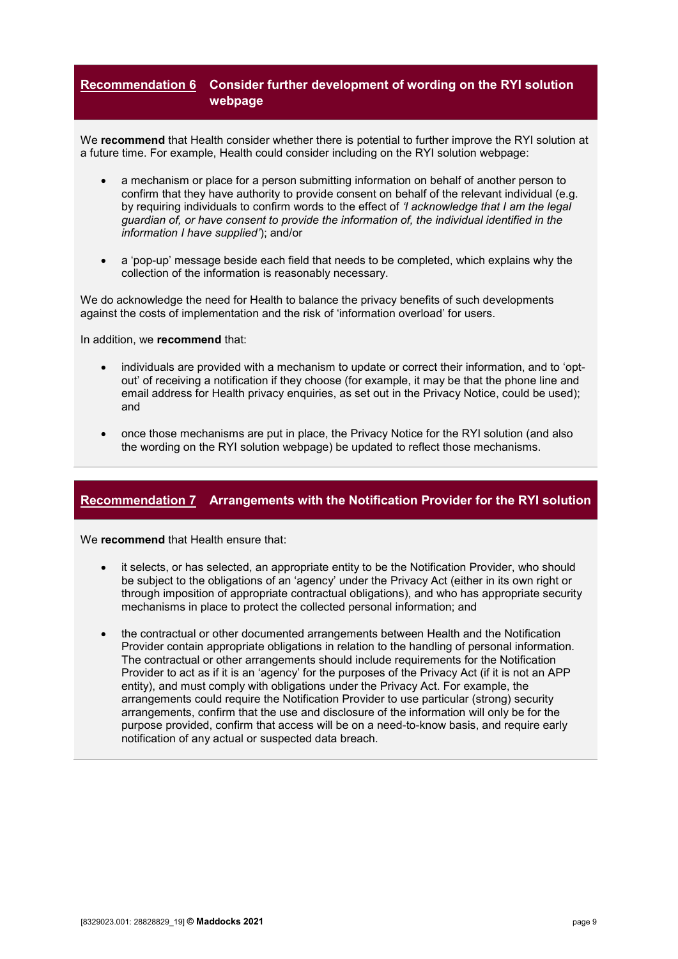## <span id="page-8-0"></span>**Recommendation 6 Consider further development of wording on the RYI solution webpage**

We **recommend** that Health consider whether there is potential to further improve the RYI solution at a future time. For example, Health could consider including on the RYI solution webpage:

- a mechanism or place for a person submitting information on behalf of another person to confirm that they have authority to provide consent on behalf of the relevant individual (e.g. by requiring individuals to confirm words to the effect of *'I acknowledge that I am the legal guardian of, or have consent to provide the information of, the individual identified in the information I have supplied'*); and/or
- a 'pop-up' message beside each field that needs to be completed, which explains why the collection of the information is reasonably necessary.

We do acknowledge the need for Health to balance the privacy benefits of such developments against the costs of implementation and the risk of 'information overload' for users.

In addition, we **recommend** that:

- individuals are provided with a mechanism to update or correct their information, and to 'optout' of receiving a notification if they choose (for example, it may be that the phone line and email address for Health privacy enquiries, as set out in the Privacy Notice, could be used); and
- <span id="page-8-1"></span>• once those mechanisms are put in place, the Privacy Notice for the RYI solution (and also the wording on the RYI solution webpage) be updated to reflect those mechanisms.

## **Recommendation 7 Arrangements with the Notification Provider for the RYI solution**

We **recommend** that Health ensure that:

- it selects, or has selected, an appropriate entity to be the Notification Provider, who should be subject to the obligations of an 'agency' under the Privacy Act (either in its own right or through imposition of appropriate contractual obligations), and who has appropriate security mechanisms in place to protect the collected personal information; and
- the contractual or other documented arrangements between Health and the Notification Provider contain appropriate obligations in relation to the handling of personal information. The contractual or other arrangements should include requirements for the Notification Provider to act as if it is an 'agency' for the purposes of the Privacy Act (if it is not an APP entity), and must comply with obligations under the Privacy Act. For example, the arrangements could require the Notification Provider to use particular (strong) security arrangements, confirm that the use and disclosure of the information will only be for the purpose provided, confirm that access will be on a need-to-know basis, and require early notification of any actual or suspected data breach.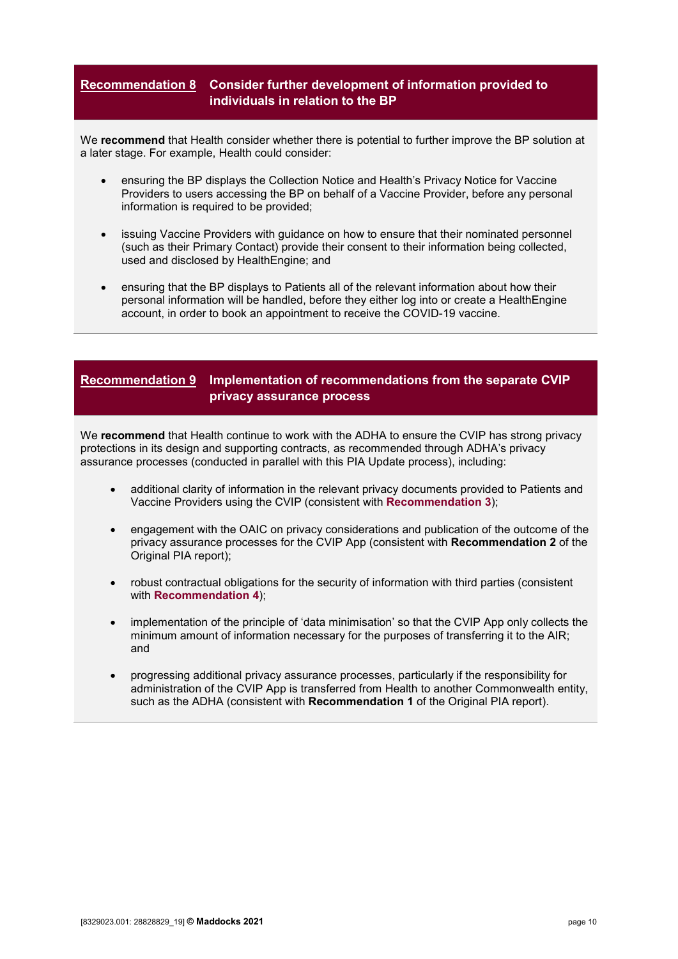## <span id="page-9-0"></span>**Recommendation 8 Consider further development of information provided to individuals in relation to the BP**

We **recommend** that Health consider whether there is potential to further improve the BP solution at a later stage. For example, Health could consider:

- ensuring the BP displays the Collection Notice and Health's Privacy Notice for Vaccine Providers to users accessing the BP on behalf of a Vaccine Provider, before any personal information is required to be provided;
- issuing Vaccine Providers with guidance on how to ensure that their nominated personnel (such as their Primary Contact) provide their consent to their information being collected, used and disclosed by HealthEngine; and
- ensuring that the BP displays to Patients all of the relevant information about how their personal information will be handled, before they either log into or create a HealthEngine account, in order to book an appointment to receive the COVID-19 vaccine.

## <span id="page-9-1"></span>**Recommendation 9 Implementation of recommendations from the separate CVIP privacy assurance process**

We **recommend** that Health continue to work with the ADHA to ensure the CVIP has strong privacy protections in its design and supporting contracts, as recommended through ADHA's privacy assurance processes (conducted in parallel with this PIA Update process), including:

- additional clarity of information in the relevant privacy documents provided to Patients and Vaccine Providers using the CVIP (consistent with **[Recommendation 3](#page-6-0)**);
- engagement with the OAIC on privacy considerations and publication of the outcome of the privacy assurance processes for the CVIP App (consistent with **Recommendation 2** of the Original PIA report);
- robust contractual obligations for the security of information with third parties (consistent with **[Recommendation 4](#page-7-0)**);
- implementation of the principle of 'data minimisation' so that the CVIP App only collects the minimum amount of information necessary for the purposes of transferring it to the AIR; and
- progressing additional privacy assurance processes, particularly if the responsibility for administration of the CVIP App is transferred from Health to another Commonwealth entity, such as the ADHA (consistent with **Recommendation 1** of the Original PIA report).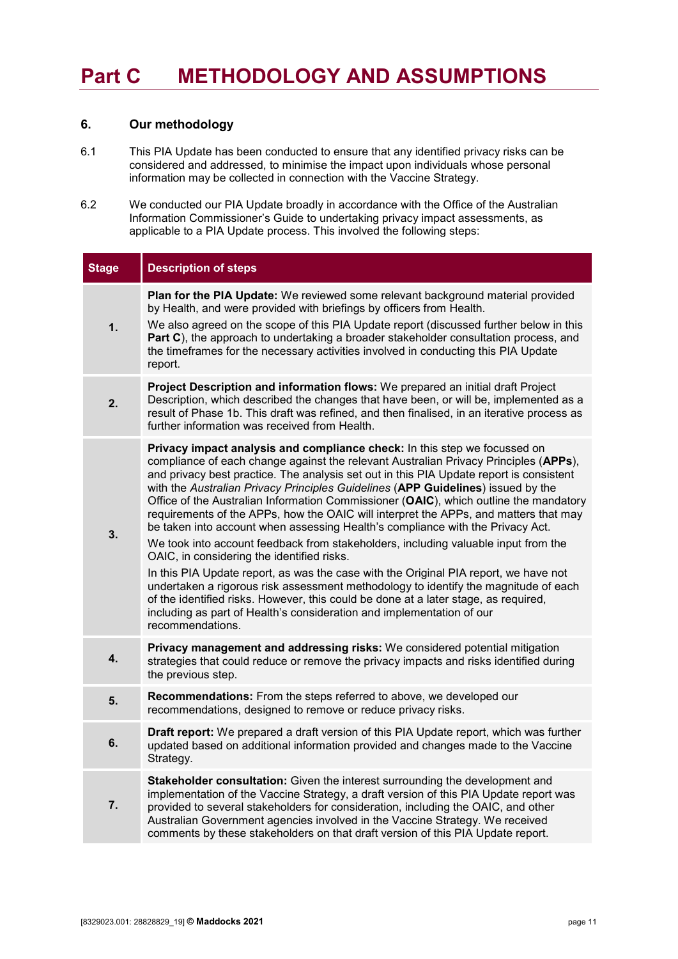# <span id="page-10-0"></span>**Part C METHODOLOGY AND ASSUMPTIONS**

### <span id="page-10-1"></span>**6. Our methodology**

- 6.1 This PIA Update has been conducted to ensure that any identified privacy risks can be considered and addressed, to minimise the impact upon individuals whose personal information may be collected in connection with the Vaccine Strategy.
- 6.2 We conducted our PIA Update broadly in accordance with the Office of the Australian Information Commissioner's Guide to undertaking privacy impact assessments, as applicable to a PIA Update process. This involved the following steps:

| <b>Stage</b> | <b>Description of steps</b>                                                                                                                                                                                                                                                                                                                                                                                                                                                                                                                                                                                                                                                                                                                                                                                                                                                                                                                                                                                                                                                                                                |
|--------------|----------------------------------------------------------------------------------------------------------------------------------------------------------------------------------------------------------------------------------------------------------------------------------------------------------------------------------------------------------------------------------------------------------------------------------------------------------------------------------------------------------------------------------------------------------------------------------------------------------------------------------------------------------------------------------------------------------------------------------------------------------------------------------------------------------------------------------------------------------------------------------------------------------------------------------------------------------------------------------------------------------------------------------------------------------------------------------------------------------------------------|
| 1.           | Plan for the PIA Update: We reviewed some relevant background material provided<br>by Health, and were provided with briefings by officers from Health.<br>We also agreed on the scope of this PIA Update report (discussed further below in this<br>Part C), the approach to undertaking a broader stakeholder consultation process, and<br>the timeframes for the necessary activities involved in conducting this PIA Update<br>report.                                                                                                                                                                                                                                                                                                                                                                                                                                                                                                                                                                                                                                                                                 |
| 2.           | Project Description and information flows: We prepared an initial draft Project<br>Description, which described the changes that have been, or will be, implemented as a<br>result of Phase 1b. This draft was refined, and then finalised, in an iterative process as<br>further information was received from Health.                                                                                                                                                                                                                                                                                                                                                                                                                                                                                                                                                                                                                                                                                                                                                                                                    |
| 3.           | Privacy impact analysis and compliance check: In this step we focussed on<br>compliance of each change against the relevant Australian Privacy Principles (APPs),<br>and privacy best practice. The analysis set out in this PIA Update report is consistent<br>with the Australian Privacy Principles Guidelines (APP Guidelines) issued by the<br>Office of the Australian Information Commissioner (OAIC), which outline the mandatory<br>requirements of the APPs, how the OAIC will interpret the APPs, and matters that may<br>be taken into account when assessing Health's compliance with the Privacy Act.<br>We took into account feedback from stakeholders, including valuable input from the<br>OAIC, in considering the identified risks.<br>In this PIA Update report, as was the case with the Original PIA report, we have not<br>undertaken a rigorous risk assessment methodology to identify the magnitude of each<br>of the identified risks. However, this could be done at a later stage, as required,<br>including as part of Health's consideration and implementation of our<br>recommendations. |
| 4.           | Privacy management and addressing risks: We considered potential mitigation<br>strategies that could reduce or remove the privacy impacts and risks identified during<br>the previous step.                                                                                                                                                                                                                                                                                                                                                                                                                                                                                                                                                                                                                                                                                                                                                                                                                                                                                                                                |
| 5.           | Recommendations: From the steps referred to above, we developed our<br>recommendations, designed to remove or reduce privacy risks.                                                                                                                                                                                                                                                                                                                                                                                                                                                                                                                                                                                                                                                                                                                                                                                                                                                                                                                                                                                        |
| 6.           | Draft report: We prepared a draft version of this PIA Update report, which was further<br>updated based on additional information provided and changes made to the Vaccine<br>Strategy.                                                                                                                                                                                                                                                                                                                                                                                                                                                                                                                                                                                                                                                                                                                                                                                                                                                                                                                                    |
| 7.           | Stakeholder consultation: Given the interest surrounding the development and<br>implementation of the Vaccine Strategy, a draft version of this PIA Update report was<br>provided to several stakeholders for consideration, including the OAIC, and other<br>Australian Government agencies involved in the Vaccine Strategy. We received<br>comments by these stakeholders on that draft version of this PIA Update report.                                                                                                                                                                                                                                                                                                                                                                                                                                                                                                                                                                                                                                                                                              |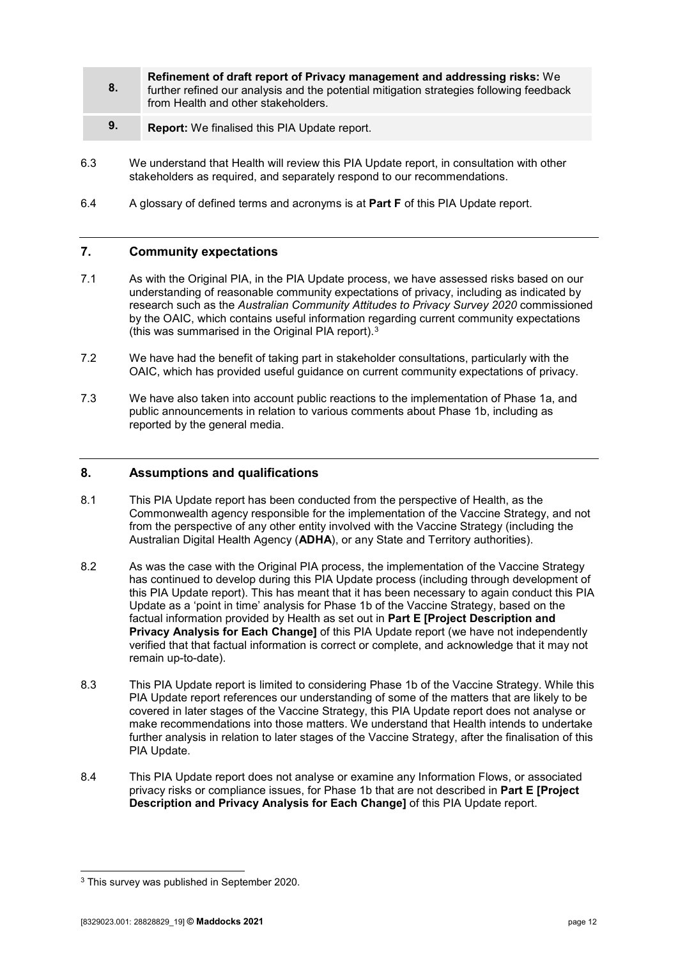- **8. Refinement of draft report of Privacy management and addressing risks:** We further refined our analysis and the potential mitigation strategies following feedback from Health and other stakeholders*.*
- **9. Report:** We finalised this PIA Update report.
- 6.3 We understand that Health will review this PIA Update report, in consultation with other stakeholders as required, and separately respond to our recommendations.
- <span id="page-11-0"></span>6.4 A glossary of defined terms and acronyms is at **[Part F](#page-49-0)** of this PIA Update report.

#### **7. Community expectations**

- 7.1 As with the Original PIA, in the PIA Update process, we have assessed risks based on our understanding of reasonable community expectations of privacy, including as indicated by research such as the *Australian Community Attitudes to Privacy Survey 2020* commissioned by the OAIC, which contains useful information regarding current community expectations (this was summarised in the Original PIA report).[3](#page-11-2)
- 7.2 We have had the benefit of taking part in stakeholder consultations, particularly with the OAIC, which has provided useful guidance on current community expectations of privacy.
- 7.3 We have also taken into account public reactions to the implementation of Phase 1a, and public announcements in relation to various comments about Phase 1b, including as reported by the general media.

#### <span id="page-11-1"></span>**8. Assumptions and qualifications**

- 8.1 This PIA Update report has been conducted from the perspective of Health, as the Commonwealth agency responsible for the implementation of the Vaccine Strategy, and not from the perspective of any other entity involved with the Vaccine Strategy (including the Australian Digital Health Agency (**ADHA**), or any State and Territory authorities).
- 8.2 As was the case with the Original PIA process, the implementation of the Vaccine Strategy has continued to develop during this PIA Update process (including through development of this PIA Update report). This has meant that it has been necessary to again conduct this PIA Update as a 'point in time' analysis for Phase 1b of the Vaccine Strategy, based on the factual information provided by Health as set out in **[Part E](#page-14-0) [Project Description and Privacy Analysis for Each Change]** of this PIA Update report (we have not independently verified that that factual information is correct or complete, and acknowledge that it may not remain up-to-date).
- 8.3 This PIA Update report is limited to considering Phase 1b of the Vaccine Strategy. While this PIA Update report references our understanding of some of the matters that are likely to be covered in later stages of the Vaccine Strategy, this PIA Update report does not analyse or make recommendations into those matters. We understand that Health intends to undertake further analysis in relation to later stages of the Vaccine Strategy, after the finalisation of this PIA Update.
- 8.4 This PIA Update report does not analyse or examine any Information Flows, or associated privacy risks or compliance issues, for Phase 1b that are not described in **[Part E](#page-14-0) [Project Description and Privacy Analysis for Each Change]** of this PIA Update report.

<span id="page-11-2"></span> <sup>3</sup> This survey was published in September 2020.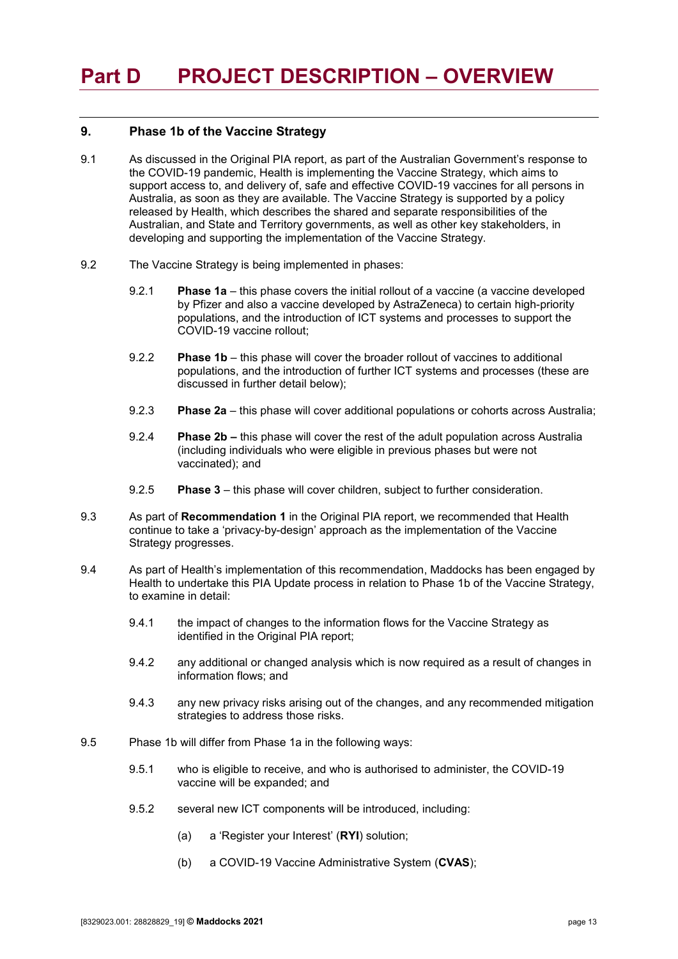#### <span id="page-12-1"></span><span id="page-12-0"></span>**9. Phase 1b of the Vaccine Strategy**

- 9.1 As discussed in the Original PIA report, as part of the Australian Government's response to the COVID-19 pandemic, Health is implementing the Vaccine Strategy, which aims to support access to, and delivery of, safe and effective COVID-19 vaccines for all persons in Australia, as soon as they are available. The Vaccine Strategy is supported by a policy released by Health, which describes the shared and separate responsibilities of the Australian, and State and Territory governments, as well as other key stakeholders, in developing and supporting the implementation of the Vaccine Strategy.
- 9.2 The Vaccine Strategy is being implemented in phases:
	- 9.2.1 **Phase 1a** this phase covers the initial rollout of a vaccine (a vaccine developed by Pfizer and also a vaccine developed by AstraZeneca) to certain high-priority populations, and the introduction of ICT systems and processes to support the COVID-19 vaccine rollout;
	- 9.2.2 **Phase 1b** this phase will cover the broader rollout of vaccines to additional populations, and the introduction of further ICT systems and processes (these are discussed in further detail below);
	- 9.2.3 **Phase 2a** this phase will cover additional populations or cohorts across Australia;
	- 9.2.4 **Phase 2b –** this phase will cover the rest of the adult population across Australia (including individuals who were eligible in previous phases but were not vaccinated); and
	- 9.2.5 **Phase 3** this phase will cover children, subject to further consideration.
- 9.3 As part of **Recommendation 1** in the Original PIA report, we recommended that Health continue to take a 'privacy-by-design' approach as the implementation of the Vaccine Strategy progresses.
- 9.4 As part of Health's implementation of this recommendation, Maddocks has been engaged by Health to undertake this PIA Update process in relation to Phase 1b of the Vaccine Strategy, to examine in detail:
	- 9.4.1 the impact of changes to the information flows for the Vaccine Strategy as identified in the Original PIA report:
	- 9.4.2 any additional or changed analysis which is now required as a result of changes in information flows; and
	- 9.4.3 any new privacy risks arising out of the changes, and any recommended mitigation strategies to address those risks.
- <span id="page-12-2"></span>9.5 Phase 1b will differ from Phase 1a in the following ways:
	- 9.5.1 who is eligible to receive, and who is authorised to administer, the COVID-19 vaccine will be expanded; and
	- 9.5.2 several new ICT components will be introduced, including:
		- (a) a 'Register your Interest' (**RYI**) solution;
		- (b) a COVID-19 Vaccine Administrative System (**CVAS**);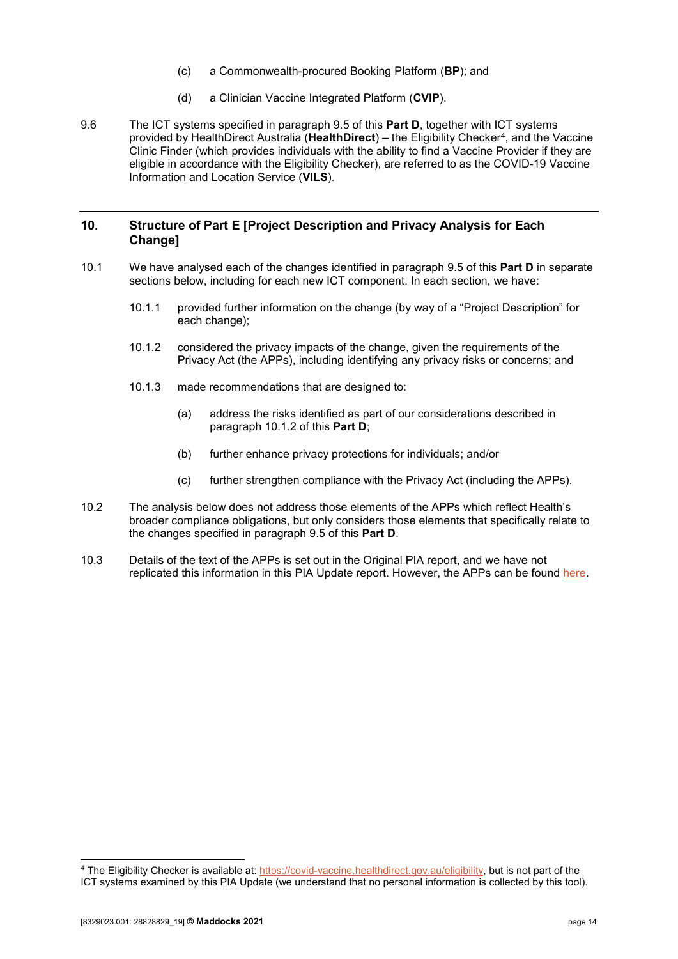- (c) a Commonwealth-procured Booking Platform (**BP**); and
- (d) a Clinician Vaccine Integrated Platform (**CVIP**).
- 9.6 The ICT systems specified in paragraph [9.5](#page-12-2) of this **[Part D](#page-12-0)**, together with ICT systems provided by HealthDirect Australia (**HealthDirect**) – the Eligibility Checker[4,](#page-13-2) and the Vaccine Clinic Finder (which provides individuals with the ability to find a Vaccine Provider if they are eligible in accordance with the Eligibility Checker), are referred to as the COVID-19 Vaccine Information and Location Service (**VILS**).

#### <span id="page-13-0"></span>**10. Structure of [Part E](#page-14-0) [Project Description and Privacy Analysis for Each Change]**

- <span id="page-13-1"></span>10.1 We have analysed each of the changes identified in paragraph [9.5](#page-12-2) of this **[Part D](#page-12-0)** in separate sections below, including for each new ICT component. In each section, we have:
	- 10.1.1 provided further information on the change (by way of a "Project Description" for each change);
	- 10.1.2 considered the privacy impacts of the change, given the requirements of the Privacy Act (the APPs), including identifying any privacy risks or concerns; and
	- 10.1.3 made recommendations that are designed to:
		- (a) address the risks identified as part of our considerations described in paragraph [10.1.2](#page-13-1) of this **[Part D](#page-12-0)**;
		- (b) further enhance privacy protections for individuals; and/or
		- (c) further strengthen compliance with the Privacy Act (including the APPs).
- 10.2 The analysis below does not address those elements of the APPs which reflect Health's broader compliance obligations, but only considers those elements that specifically relate to the changes specified in paragraph [9.5](#page-12-2) of this **[Part D](#page-12-0)**.
- 10.3 Details of the text of the APPs is set out in the Original PIA report, and we have not replicated this information in this PIA Update report. However, the APPs can be found [here.](https://www.legislation.gov.au/Details/C2021C00139)

<span id="page-13-2"></span> <sup>4</sup> The Eligibility Checker is available at: [https://covid-vaccine.healthdirect.gov.au/eligibility,](https://covid-vaccine.healthdirect.gov.au/eligibility) but is not part of the ICT systems examined by this PIA Update (we understand that no personal information is collected by this tool).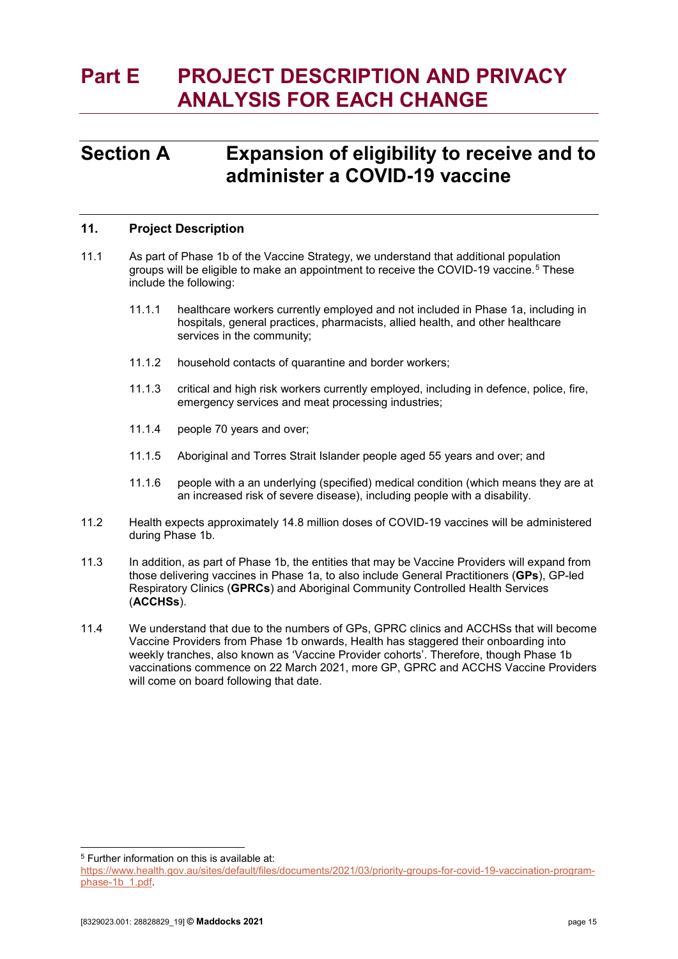# <span id="page-14-0"></span>**Part E PROJECT DESCRIPTION AND PRIVACY ANALYSIS FOR EACH CHANGE**

## <span id="page-14-1"></span>**Section A Expansion of eligibility to receive and to administer a COVID-19 vaccine**

### <span id="page-14-2"></span>**11. Project Description**

- 11.1 As part of Phase 1b of the Vaccine Strategy, we understand that additional population groups will be eligible to make an appointment to receive the COVID-19 vaccine.[5](#page-14-3) These include the following:
	- 11.1.1 healthcare workers currently employed and not included in Phase 1a, including in hospitals, general practices, pharmacists, allied health, and other healthcare services in the community;
	- 11.1.2 household contacts of quarantine and border workers;
	- 11.1.3 critical and high risk workers currently employed, including in defence, police, fire, emergency services and meat processing industries;
	- 11.1.4 people 70 years and over;
	- 11.1.5 Aboriginal and Torres Strait Islander people aged 55 years and over; and
	- 11.1.6 people with a an underlying (specified) medical condition (which means they are at an increased risk of severe disease), including people with a disability.
- 11.2 Health expects approximately 14.8 million doses of COVID-19 vaccines will be administered during Phase 1b.
- 11.3 In addition, as part of Phase 1b, the entities that may be Vaccine Providers will expand from those delivering vaccines in Phase 1a, to also include General Practitioners (**GPs**), GP-led Respiratory Clinics (**GPRCs**) and Aboriginal Community Controlled Health Services (**ACCHSs**).
- 11.4 We understand that due to the numbers of GPs, GPRC clinics and ACCHSs that will become Vaccine Providers from Phase 1b onwards, Health has staggered their onboarding into weekly tranches, also known as 'Vaccine Provider cohorts'. Therefore, though Phase 1b vaccinations commence on 22 March 2021, more GP, GPRC and ACCHS Vaccine Providers will come on board following that date.

<span id="page-14-3"></span>5 Further information on this is available at:

[https://www.health.gov.au/sites/default/files/documents/2021/03/priority-groups-for-covid-19-vaccination-program](https://www.health.gov.au/sites/default/files/documents/2021/03/priority-groups-for-covid-19-vaccination-program-phase-1b_1.pdf)[phase-1b\\_1.pdf.](https://www.health.gov.au/sites/default/files/documents/2021/03/priority-groups-for-covid-19-vaccination-program-phase-1b_1.pdf)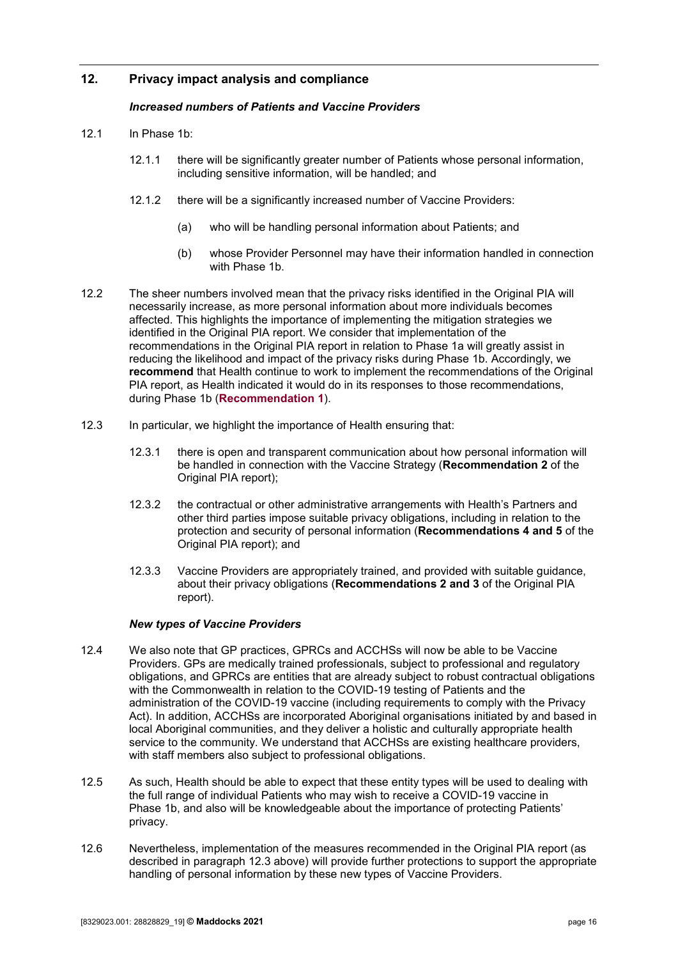## <span id="page-15-0"></span>**12. Privacy impact analysis and compliance**

#### *Increased numbers of Patients and Vaccine Providers*

- 12.1 In Phase 1b:
	- 12.1.1 there will be significantly greater number of Patients whose personal information, including sensitive information, will be handled; and
	- 12.1.2 there will be a significantly increased number of Vaccine Providers:
		- (a) who will be handling personal information about Patients; and
		- (b) whose Provider Personnel may have their information handled in connection with Phase 1b.
- 12.2 The sheer numbers involved mean that the privacy risks identified in the Original PIA will necessarily increase, as more personal information about more individuals becomes affected. This highlights the importance of implementing the mitigation strategies we identified in the Original PIA report. We consider that implementation of the recommendations in the Original PIA report in relation to Phase 1a will greatly assist in reducing the likelihood and impact of the privacy risks during Phase 1b. Accordingly, we **recommend** that Health continue to work to implement the recommendations of the Original PIA report, as Health indicated it would do in its responses to those recommendations, during Phase 1b (**[Recommendation 1](#page-5-1)**).
- <span id="page-15-1"></span>12.3 In particular, we highlight the importance of Health ensuring that:
	- 12.3.1 there is open and transparent communication about how personal information will be handled in connection with the Vaccine Strategy (**Recommendation 2** of the Original PIA report);
	- 12.3.2 the contractual or other administrative arrangements with Health's Partners and other third parties impose suitable privacy obligations, including in relation to the protection and security of personal information (**Recommendations 4 and 5** of the Original PIA report); and
	- 12.3.3 Vaccine Providers are appropriately trained, and provided with suitable guidance, about their privacy obligations (**Recommendations 2 and 3** of the Original PIA report).

#### *New types of Vaccine Providers*

- 12.4 We also note that GP practices, GPRCs and ACCHSs will now be able to be Vaccine Providers. GPs are medically trained professionals, subject to professional and regulatory obligations, and GPRCs are entities that are already subject to robust contractual obligations with the Commonwealth in relation to the COVID-19 testing of Patients and the administration of the COVID-19 vaccine (including requirements to comply with the Privacy Act). In addition, ACCHSs are incorporated Aboriginal organisations initiated by and based in local Aboriginal communities, and they deliver a holistic and culturally appropriate health service to the community. We understand that ACCHSs are existing healthcare providers, with staff members also subject to professional obligations.
- 12.5 As such, Health should be able to expect that these entity types will be used to dealing with the full range of individual Patients who may wish to receive a COVID-19 vaccine in Phase 1b, and also will be knowledgeable about the importance of protecting Patients' privacy.
- 12.6 Nevertheless, implementation of the measures recommended in the Original PIA report (as described in paragraph [12.3](#page-15-1) above) will provide further protections to support the appropriate handling of personal information by these new types of Vaccine Providers.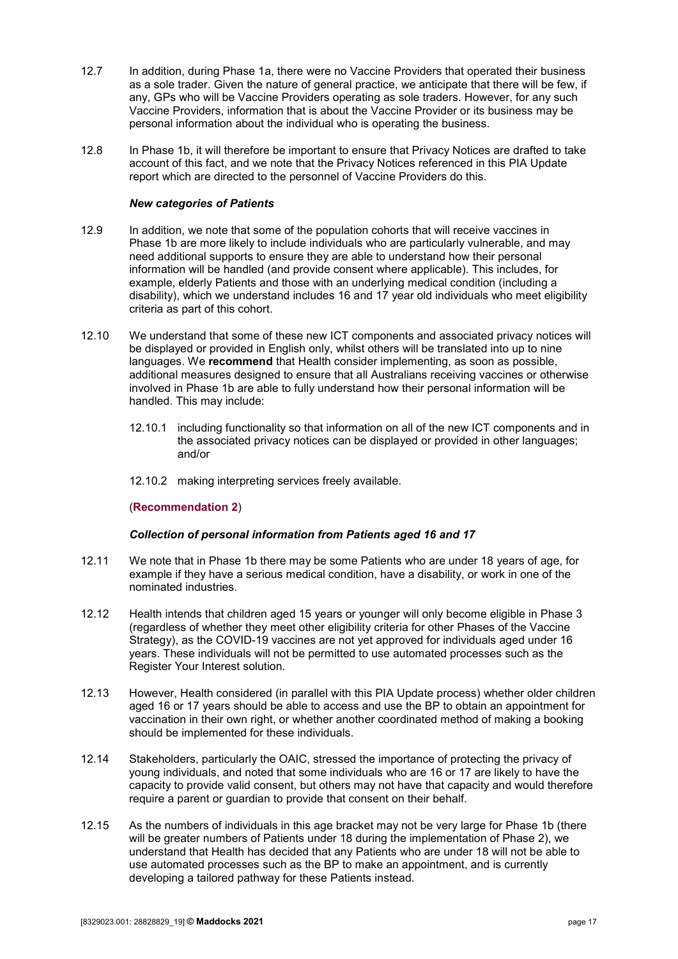- 12.7 In addition, during Phase 1a, there were no Vaccine Providers that operated their business as a sole trader. Given the nature of general practice, we anticipate that there will be few, if any, GPs who will be Vaccine Providers operating as sole traders. However, for any such Vaccine Providers, information that is about the Vaccine Provider or its business may be personal information about the individual who is operating the business.
- 12.8 In Phase 1b, it will therefore be important to ensure that Privacy Notices are drafted to take account of this fact, and we note that the Privacy Notices referenced in this PIA Update report which are directed to the personnel of Vaccine Providers do this.

#### *New categories of Patients*

- 12.9 In addition, we note that some of the population cohorts that will receive vaccines in Phase 1b are more likely to include individuals who are particularly vulnerable, and may need additional supports to ensure they are able to understand how their personal information will be handled (and provide consent where applicable). This includes, for example, elderly Patients and those with an underlying medical condition (including a disability), which we understand includes 16 and 17 year old individuals who meet eligibility criteria as part of this cohort.
- 12.10 We understand that some of these new ICT components and associated privacy notices will be displayed or provided in English only, whilst others will be translated into up to nine languages. We **recommend** that Health consider implementing, as soon as possible, additional measures designed to ensure that all Australians receiving vaccines or otherwise involved in Phase 1b are able to fully understand how their personal information will be handled. This may include:
	- 12.10.1 including functionality so that information on all of the new ICT components and in the associated privacy notices can be displayed or provided in other languages; and/or
	- 12.10.2 making interpreting services freely available.

#### (**[Recommendation 2](#page-5-2)**)

#### *Collection of personal information from Patients aged 16 and 17*

- 12.11 We note that in Phase 1b there may be some Patients who are under 18 years of age, for example if they have a serious medical condition, have a disability, or work in one of the nominated industries.
- 12.12 Health intends that children aged 15 years or younger will only become eligible in Phase 3 (regardless of whether they meet other eligibility criteria for other Phases of the Vaccine Strategy), as the COVID-19 vaccines are not yet approved for individuals aged under 16 years. These individuals will not be permitted to use automated processes such as the Register Your Interest solution.
- 12.13 However, Health considered (in parallel with this PIA Update process) whether older children aged 16 or 17 years should be able to access and use the BP to obtain an appointment for vaccination in their own right, or whether another coordinated method of making a booking should be implemented for these individuals.
- 12.14 Stakeholders, particularly the OAIC, stressed the importance of protecting the privacy of young individuals, and noted that some individuals who are 16 or 17 are likely to have the capacity to provide valid consent, but others may not have that capacity and would therefore require a parent or guardian to provide that consent on their behalf.
- 12.15 As the numbers of individuals in this age bracket may not be very large for Phase 1b (there will be greater numbers of Patients under 18 during the implementation of Phase 2), we understand that Health has decided that any Patients who are under 18 will not be able to use automated processes such as the BP to make an appointment, and is currently developing a tailored pathway for these Patients instead.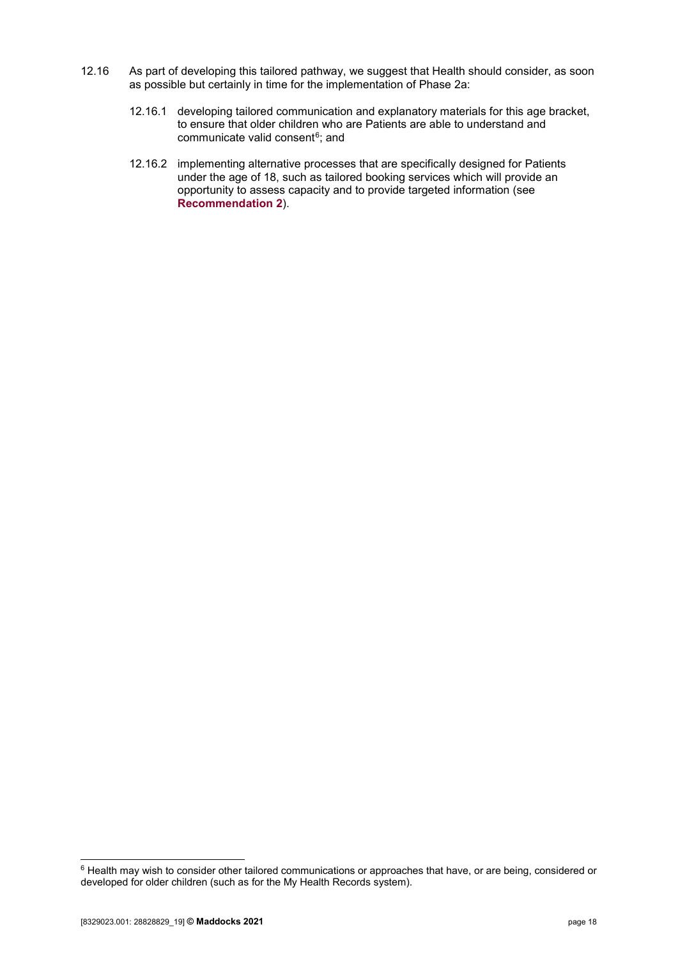- 12.16 As part of developing this tailored pathway, we suggest that Health should consider, as soon as possible but certainly in time for the implementation of Phase 2a:
	- 12.16.1 developing tailored communication and explanatory materials for this age bracket, to ensure that older children who are Patients are able to understand and communicate valid consent<sup>6</sup>; and
	- 12.16.2 implementing alternative processes that are specifically designed for Patients under the age of 18, such as tailored booking services which will provide an opportunity to assess capacity and to provide targeted information (see **[Recommendation 2](#page-5-2)**).

<span id="page-17-0"></span> <sup>6</sup> Health may wish to consider other tailored communications or approaches that have, or are being, considered or developed for older children (such as for the My Health Records system).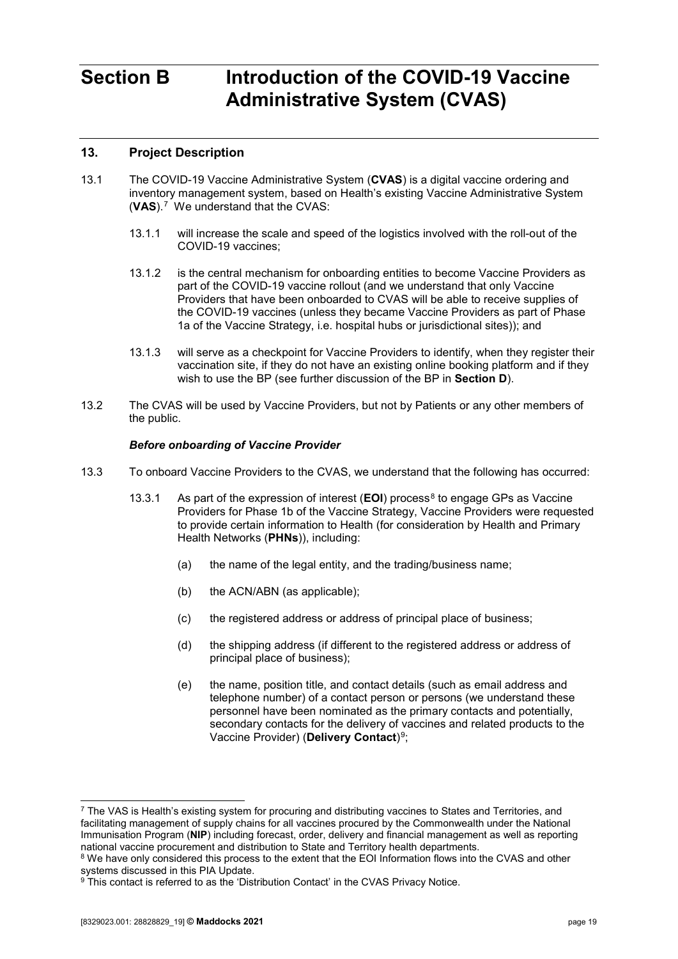# <span id="page-18-0"></span>**Section B Introduction of the COVID-19 Vaccine Administrative System (CVAS)**

## <span id="page-18-1"></span>**13. Project Description**

- 13.1 The COVID-19 Vaccine Administrative System (**CVAS**) is a digital vaccine ordering and inventory management system, based on Health's existing Vaccine Administrative System (**VAS**).[7](#page-18-2) We understand that the CVAS:
	- 13.1.1 will increase the scale and speed of the logistics involved with the roll-out of the COVID-19 vaccines;
	- 13.1.2 is the central mechanism for onboarding entities to become Vaccine Providers as part of the COVID-19 vaccine rollout (and we understand that only Vaccine Providers that have been onboarded to CVAS will be able to receive supplies of the COVID-19 vaccines (unless they became Vaccine Providers as part of Phase 1a of the Vaccine Strategy, i.e. hospital hubs or jurisdictional sites)); and
	- 13.1.3 will serve as a checkpoint for Vaccine Providers to identify, when they register their vaccination site, if they do not have an existing online booking platform and if they wish to use the BP (see further discussion of the BP in **[Section D](#page-34-0)**).
- 13.2 The CVAS will be used by Vaccine Providers, but not by Patients or any other members of the public.

#### *Before onboarding of Vaccine Provider*

- <span id="page-18-5"></span>13.3 To onboard Vaccine Providers to the CVAS, we understand that the following has occurred:
	- 13.3.1 As part of the expression of interest (**EOI**) process<sup>[8](#page-18-3)</sup> to engage GPs as Vaccine Providers for Phase 1b of the Vaccine Strategy, Vaccine Providers were requested to provide certain information to Health (for consideration by Health and Primary Health Networks (**PHNs**)), including:
		- (a) the name of the legal entity, and the trading/business name;
		- (b) the ACN/ABN (as applicable);
		- (c) the registered address or address of principal place of business;
		- (d) the shipping address (if different to the registered address or address of principal place of business);
		- (e) the name, position title, and contact details (such as email address and telephone number) of a contact person or persons (we understand these personnel have been nominated as the primary contacts and potentially, secondary contacts for the delivery of vaccines and related products to the Vaccine Provider) (**Delivery Contact**)[9;](#page-18-4)

<span id="page-18-2"></span> <sup>7</sup> The VAS is Health's existing system for procuring and distributing vaccines to States and Territories, and facilitating management of supply chains for all vaccines procured by the Commonwealth under the National Immunisation Program (**NIP**) including forecast, order, delivery and financial management as well as reporting national vaccine procurement and distribution to State and Territory health departments.

<span id="page-18-3"></span><sup>&</sup>lt;sup>8</sup> We have only considered this process to the extent that the EOI Information flows into the CVAS and other systems discussed in this PIA Update.

<span id="page-18-4"></span><sup>&</sup>lt;sup>9</sup> This contact is referred to as the 'Distribution Contact' in the CVAS Privacy Notice.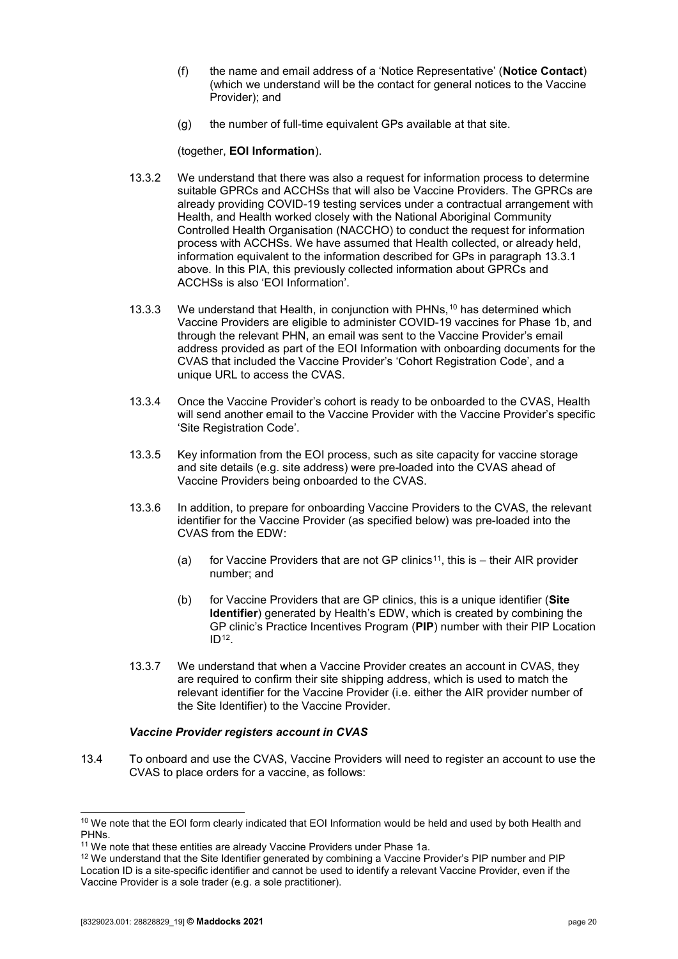- (f) the name and email address of a 'Notice Representative' (**Notice Contact**) (which we understand will be the contact for general notices to the Vaccine Provider); and
- (g) the number of full-time equivalent GPs available at that site.

(together, **EOI Information**).

- 13.3.2 We understand that there was also a request for information process to determine suitable GPRCs and ACCHSs that will also be Vaccine Providers. The GPRCs are already providing COVID-19 testing services under a contractual arrangement with Health, and Health worked closely with the National Aboriginal Community Controlled Health Organisation (NACCHO) to conduct the request for information process with ACCHSs. We have assumed that Health collected, or already held, information equivalent to the information described for GPs in paragraph [13.3.1](#page-18-5) above. In this PIA, this previously collected information about GPRCs and ACCHSs is also 'EOI Information'.
- 13.3.3 We understand that Health, in conjunction with PHNs,[10](#page-19-0) has determined which Vaccine Providers are eligible to administer COVID-19 vaccines for Phase 1b, and through the relevant PHN, an email was sent to the Vaccine Provider's email address provided as part of the EOI Information with onboarding documents for the CVAS that included the Vaccine Provider's 'Cohort Registration Code', and a unique URL to access the CVAS.
- 13.3.4 Once the Vaccine Provider's cohort is ready to be onboarded to the CVAS, Health will send another email to the Vaccine Provider with the Vaccine Provider's specific 'Site Registration Code'.
- 13.3.5 Key information from the EOI process, such as site capacity for vaccine storage and site details (e.g. site address) were pre-loaded into the CVAS ahead of Vaccine Providers being onboarded to the CVAS.
- 13.3.6 In addition, to prepare for onboarding Vaccine Providers to the CVAS, the relevant identifier for the Vaccine Provider (as specified below) was pre-loaded into the CVAS from the EDW:
	- (a) for Vaccine Providers that are not GP clinics<sup>11</sup>, this is  $-$  their AIR provider number; and
	- (b) for Vaccine Providers that are GP clinics, this is a unique identifier (**Site Identifier**) generated by Health's EDW, which is created by combining the GP clinic's Practice Incentives Program (**PIP**) number with their PIP Location  $ID<sup>12</sup>$  $ID<sup>12</sup>$  $ID<sup>12</sup>$ .
- 13.3.7 We understand that when a Vaccine Provider creates an account in CVAS, they are required to confirm their site shipping address, which is used to match the relevant identifier for the Vaccine Provider (i.e. either the AIR provider number of the Site Identifier) to the Vaccine Provider.

#### *Vaccine Provider registers account in CVAS*

13.4 To onboard and use the CVAS, Vaccine Providers will need to register an account to use the CVAS to place orders for a vaccine, as follows:

<span id="page-19-0"></span><sup>&</sup>lt;sup>10</sup> We note that the EOI form clearly indicated that EOI Information would be held and used by both Health and PHNs.

<span id="page-19-2"></span><span id="page-19-1"></span><sup>&</sup>lt;sup>11</sup> We note that these entities are already Vaccine Providers under Phase 1a.<br><sup>12</sup> We understand that the Site Identifier generated by combining a Vaccine Provider's PIP number and PIP Location ID is a site-specific identifier and cannot be used to identify a relevant Vaccine Provider, even if the Vaccine Provider is a sole trader (e.g. a sole practitioner).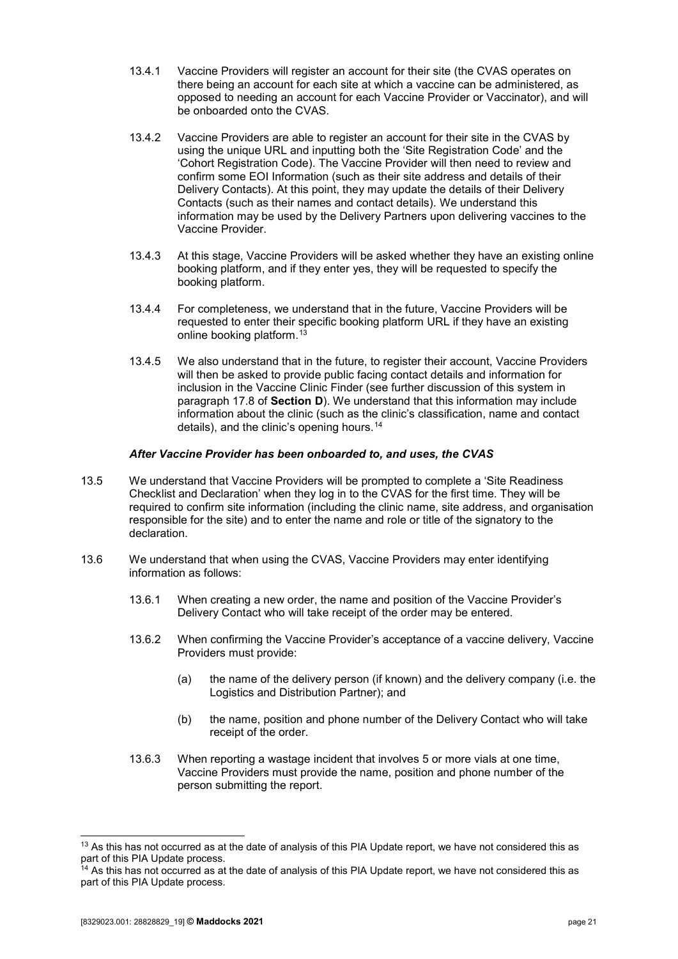- 13.4.1 Vaccine Providers will register an account for their site (the CVAS operates on there being an account for each site at which a vaccine can be administered, as opposed to needing an account for each Vaccine Provider or Vaccinator), and will be onboarded onto the CVAS.
- 13.4.2 Vaccine Providers are able to register an account for their site in the CVAS by using the unique URL and inputting both the 'Site Registration Code' and the 'Cohort Registration Code). The Vaccine Provider will then need to review and confirm some EOI Information (such as their site address and details of their Delivery Contacts). At this point, they may update the details of their Delivery Contacts (such as their names and contact details). We understand this information may be used by the Delivery Partners upon delivering vaccines to the Vaccine Provider.
- 13.4.3 At this stage, Vaccine Providers will be asked whether they have an existing online booking platform, and if they enter yes, they will be requested to specify the booking platform.
- 13.4.4 For completeness, we understand that in the future, Vaccine Providers will be requested to enter their specific booking platform URL if they have an existing online booking platform.[13](#page-20-0)
- 13.4.5 We also understand that in the future, to register their account, Vaccine Providers will then be asked to provide public facing contact details and information for inclusion in the Vaccine Clinic Finder (see further discussion of this system in paragraph [17.8](#page-34-2) of **[Section D](#page-34-0)**). We understand that this information may include information about the clinic (such as the clinic's classification, name and contact details), and the clinic's opening hours.[14](#page-20-1)

#### *After Vaccine Provider has been onboarded to, and uses, the CVAS*

- 13.5 We understand that Vaccine Providers will be prompted to complete a 'Site Readiness Checklist and Declaration' when they log in to the CVAS for the first time. They will be required to confirm site information (including the clinic name, site address, and organisation responsible for the site) and to enter the name and role or title of the signatory to the declaration.
- 13.6 We understand that when using the CVAS, Vaccine Providers may enter identifying information as follows:
	- 13.6.1 When creating a new order, the name and position of the Vaccine Provider's Delivery Contact who will take receipt of the order may be entered.
	- 13.6.2 When confirming the Vaccine Provider's acceptance of a vaccine delivery, Vaccine Providers must provide:
		- (a) the name of the delivery person (if known) and the delivery company (i.e. the Logistics and Distribution Partner); and
		- (b) the name, position and phone number of the Delivery Contact who will take receipt of the order.
	- 13.6.3 When reporting a wastage incident that involves 5 or more vials at one time, Vaccine Providers must provide the name, position and phone number of the person submitting the report.

<span id="page-20-0"></span><sup>&</sup>lt;sup>13</sup> As this has not occurred as at the date of analysis of this PIA Update report, we have not considered this as part of this PIA Update process.<br><sup>14</sup> As this has not occurred as at the date of analysis of this PIA Update report, we have not considered this as

<span id="page-20-1"></span>part of this PIA Update process.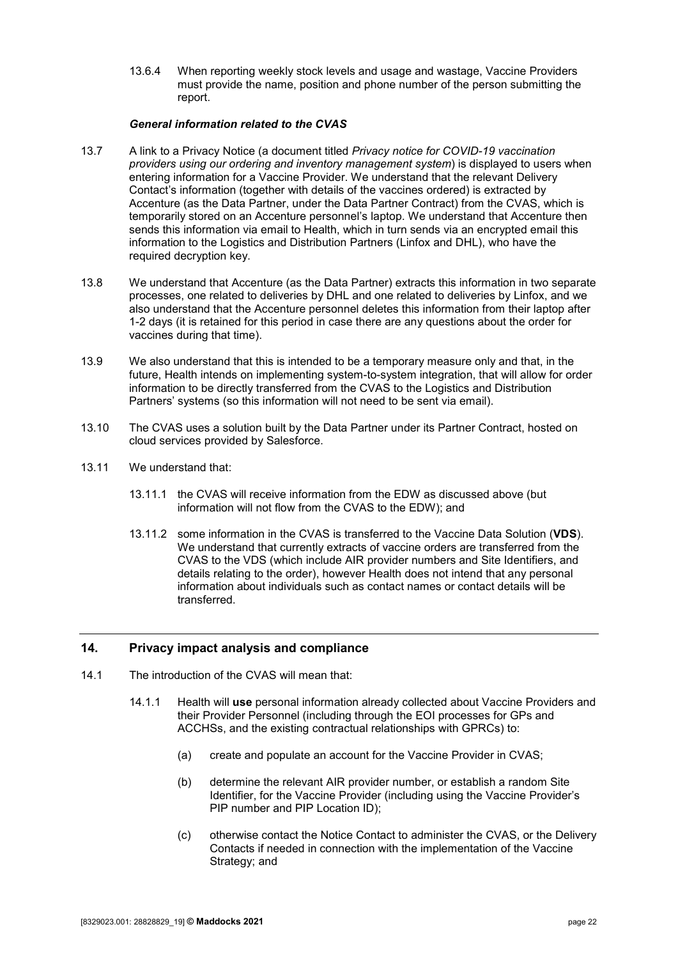13.6.4 When reporting weekly stock levels and usage and wastage, Vaccine Providers must provide the name, position and phone number of the person submitting the report.

#### *General information related to the CVAS*

- 13.7 A link to a Privacy Notice (a document titled *Privacy notice for COVID-19 vaccination providers using our ordering and inventory management system*) is displayed to users when entering information for a Vaccine Provider. We understand that the relevant Delivery Contact's information (together with details of the vaccines ordered) is extracted by Accenture (as the Data Partner, under the Data Partner Contract) from the CVAS, which is temporarily stored on an Accenture personnel's laptop. We understand that Accenture then sends this information via email to Health, which in turn sends via an encrypted email this information to the Logistics and Distribution Partners (Linfox and DHL), who have the required decryption key.
- 13.8 We understand that Accenture (as the Data Partner) extracts this information in two separate processes, one related to deliveries by DHL and one related to deliveries by Linfox, and we also understand that the Accenture personnel deletes this information from their laptop after 1-2 days (it is retained for this period in case there are any questions about the order for vaccines during that time).
- 13.9 We also understand that this is intended to be a temporary measure only and that, in the future, Health intends on implementing system-to-system integration, that will allow for order information to be directly transferred from the CVAS to the Logistics and Distribution Partners' systems (so this information will not need to be sent via email).
- 13.10 The CVAS uses a solution built by the Data Partner under its Partner Contract, hosted on cloud services provided by Salesforce.
- 13.11 We understand that:
	- 13.11.1 the CVAS will receive information from the EDW as discussed above (but information will not flow from the CVAS to the EDW); and
	- 13.11.2 some information in the CVAS is transferred to the Vaccine Data Solution (**VDS**). We understand that currently extracts of vaccine orders are transferred from the CVAS to the VDS (which include AIR provider numbers and Site Identifiers, and details relating to the order), however Health does not intend that any personal information about individuals such as contact names or contact details will be transferred.

### <span id="page-21-0"></span>**14. Privacy impact analysis and compliance**

- 14.1 The introduction of the CVAS will mean that:
	- 14.1.1 Health will **use** personal information already collected about Vaccine Providers and their Provider Personnel (including through the EOI processes for GPs and ACCHSs, and the existing contractual relationships with GPRCs) to:
		- (a) create and populate an account for the Vaccine Provider in CVAS;
		- (b) determine the relevant AIR provider number, or establish a random Site Identifier, for the Vaccine Provider (including using the Vaccine Provider's PIP number and PIP Location ID);
		- (c) otherwise contact the Notice Contact to administer the CVAS, or the Delivery Contacts if needed in connection with the implementation of the Vaccine Strategy; and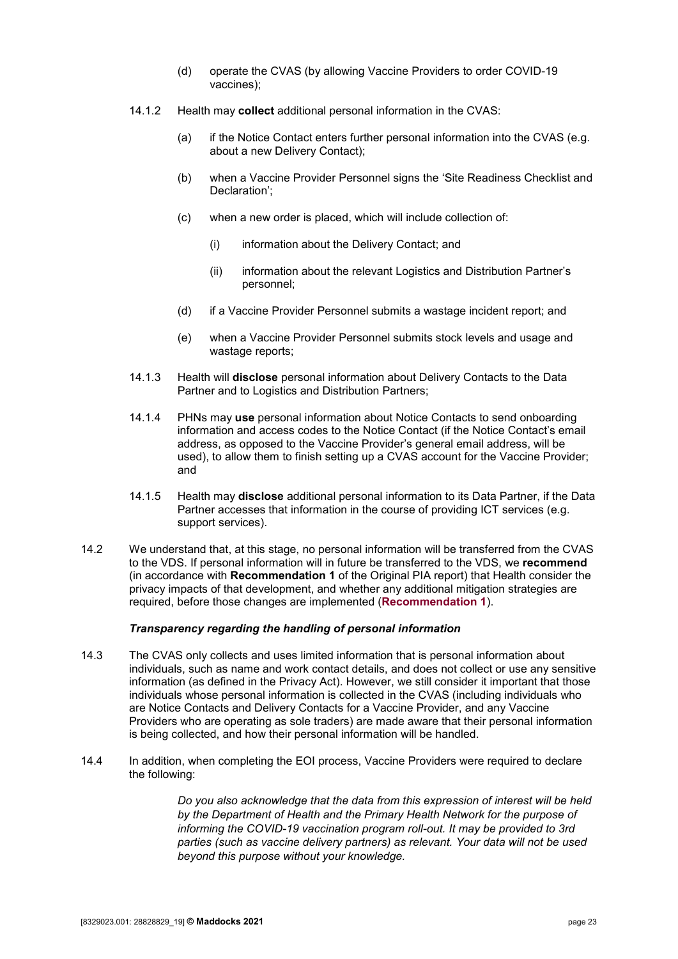- (d) operate the CVAS (by allowing Vaccine Providers to order COVID-19 vaccines);
- 14.1.2 Health may **collect** additional personal information in the CVAS:
	- (a) if the Notice Contact enters further personal information into the CVAS (e.g. about a new Delivery Contact);
	- (b) when a Vaccine Provider Personnel signs the 'Site Readiness Checklist and Declaration';
	- (c) when a new order is placed, which will include collection of:
		- (i) information about the Delivery Contact; and
		- (ii) information about the relevant Logistics and Distribution Partner's personnel;
	- (d) if a Vaccine Provider Personnel submits a wastage incident report; and
	- (e) when a Vaccine Provider Personnel submits stock levels and usage and wastage reports;
- 14.1.3 Health will **disclose** personal information about Delivery Contacts to the Data Partner and to Logistics and Distribution Partners;
- 14.1.4 PHNs may **use** personal information about Notice Contacts to send onboarding information and access codes to the Notice Contact (if the Notice Contact's email address, as opposed to the Vaccine Provider's general email address, will be used), to allow them to finish setting up a CVAS account for the Vaccine Provider; and
- 14.1.5 Health may **disclose** additional personal information to its Data Partner, if the Data Partner accesses that information in the course of providing ICT services (e.g. support services).
- 14.2 We understand that, at this stage, no personal information will be transferred from the CVAS to the VDS. If personal information will in future be transferred to the VDS, we **recommend**  (in accordance with **Recommendation 1** of the Original PIA report) that Health consider the privacy impacts of that development, and whether any additional mitigation strategies are required, before those changes are implemented (**[Recommendation 1](#page-5-1)**).

#### *Transparency regarding the handling of personal information*

- 14.3 The CVAS only collects and uses limited information that is personal information about individuals, such as name and work contact details, and does not collect or use any sensitive information (as defined in the Privacy Act). However, we still consider it important that those individuals whose personal information is collected in the CVAS (including individuals who are Notice Contacts and Delivery Contacts for a Vaccine Provider, and any Vaccine Providers who are operating as sole traders) are made aware that their personal information is being collected, and how their personal information will be handled.
- 14.4 In addition, when completing the EOI process, Vaccine Providers were required to declare the following:

*Do you also acknowledge that the data from this expression of interest will be held by the Department of Health and the Primary Health Network for the purpose of informing the COVID-19 vaccination program roll-out. It may be provided to 3rd parties (such as vaccine delivery partners) as relevant. Your data will not be used beyond this purpose without your knowledge.*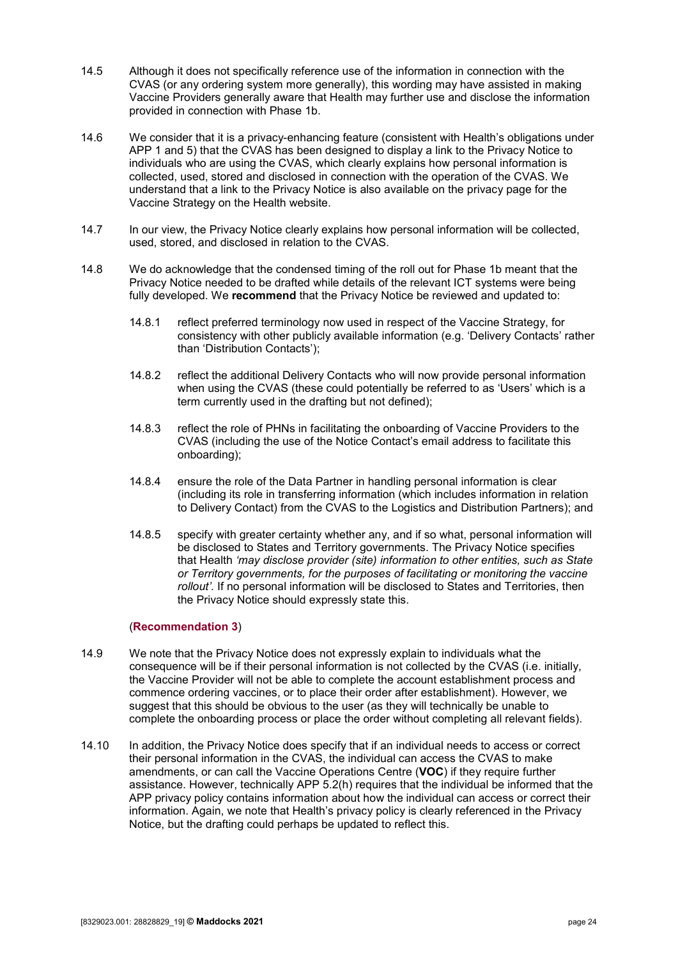- 14.5 Although it does not specifically reference use of the information in connection with the CVAS (or any ordering system more generally), this wording may have assisted in making Vaccine Providers generally aware that Health may further use and disclose the information provided in connection with Phase 1b.
- 14.6 We consider that it is a privacy-enhancing feature (consistent with Health's obligations under APP 1 and 5) that the CVAS has been designed to display a link to the Privacy Notice to individuals who are using the CVAS, which clearly explains how personal information is collected, used, stored and disclosed in connection with the operation of the CVAS. We understand that a link to the Privacy Notice is also available on the privacy page for the Vaccine Strategy on the Health website.
- 14.7 In our view, the Privacy Notice clearly explains how personal information will be collected, used, stored, and disclosed in relation to the CVAS.
- 14.8 We do acknowledge that the condensed timing of the roll out for Phase 1b meant that the Privacy Notice needed to be drafted while details of the relevant ICT systems were being fully developed. We **recommend** that the Privacy Notice be reviewed and updated to:
	- 14.8.1 reflect preferred terminology now used in respect of the Vaccine Strategy, for consistency with other publicly available information (e.g. 'Delivery Contacts' rather than 'Distribution Contacts');
	- 14.8.2 reflect the additional Delivery Contacts who will now provide personal information when using the CVAS (these could potentially be referred to as 'Users' which is a term currently used in the drafting but not defined);
	- 14.8.3 reflect the role of PHNs in facilitating the onboarding of Vaccine Providers to the CVAS (including the use of the Notice Contact's email address to facilitate this onboarding);
	- 14.8.4 ensure the role of the Data Partner in handling personal information is clear (including its role in transferring information (which includes information in relation to Delivery Contact) from the CVAS to the Logistics and Distribution Partners); and
	- 14.8.5 specify with greater certainty whether any, and if so what, personal information will be disclosed to States and Territory governments. The Privacy Notice specifies that Health *'may disclose provider (site) information to other entities, such as State or Territory governments, for the purposes of facilitating or monitoring the vaccine rollout'.* If no personal information will be disclosed to States and Territories, then the Privacy Notice should expressly state this.

#### (**[Recommendation 3](#page-6-0)**)

- 14.9 We note that the Privacy Notice does not expressly explain to individuals what the consequence will be if their personal information is not collected by the CVAS (i.e. initially, the Vaccine Provider will not be able to complete the account establishment process and commence ordering vaccines, or to place their order after establishment). However, we suggest that this should be obvious to the user (as they will technically be unable to complete the onboarding process or place the order without completing all relevant fields).
- 14.10 In addition, the Privacy Notice does specify that if an individual needs to access or correct their personal information in the CVAS, the individual can access the CVAS to make amendments, or can call the Vaccine Operations Centre (**VOC**) if they require further assistance. However, technically APP 5.2(h) requires that the individual be informed that the APP privacy policy contains information about how the individual can access or correct their information. Again, we note that Health's privacy policy is clearly referenced in the Privacy Notice, but the drafting could perhaps be updated to reflect this.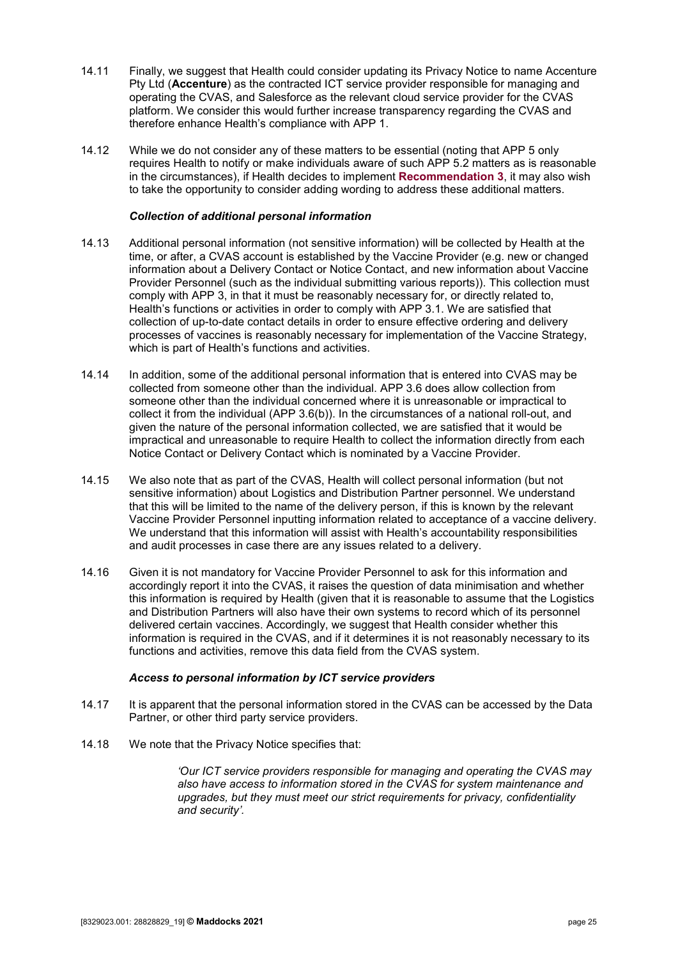- 14.11 Finally, we suggest that Health could consider updating its Privacy Notice to name Accenture Pty Ltd (**Accenture**) as the contracted ICT service provider responsible for managing and operating the CVAS, and Salesforce as the relevant cloud service provider for the CVAS platform. We consider this would further increase transparency regarding the CVAS and therefore enhance Health's compliance with APP 1.
- 14.12 While we do not consider any of these matters to be essential (noting that APP 5 only requires Health to notify or make individuals aware of such APP 5.2 matters as is reasonable in the circumstances), if Health decides to implement **[Recommendation 3](#page-6-0)**, it may also wish to take the opportunity to consider adding wording to address these additional matters.

#### *Collection of additional personal information*

- 14.13 Additional personal information (not sensitive information) will be collected by Health at the time, or after, a CVAS account is established by the Vaccine Provider (e.g. new or changed information about a Delivery Contact or Notice Contact, and new information about Vaccine Provider Personnel (such as the individual submitting various reports)). This collection must comply with APP 3, in that it must be reasonably necessary for, or directly related to, Health's functions or activities in order to comply with APP 3.1. We are satisfied that collection of up-to-date contact details in order to ensure effective ordering and delivery processes of vaccines is reasonably necessary for implementation of the Vaccine Strategy, which is part of Health's functions and activities.
- 14.14 In addition, some of the additional personal information that is entered into CVAS may be collected from someone other than the individual. APP 3.6 does allow collection from someone other than the individual concerned where it is unreasonable or impractical to collect it from the individual (APP 3.6(b)). In the circumstances of a national roll-out, and given the nature of the personal information collected, we are satisfied that it would be impractical and unreasonable to require Health to collect the information directly from each Notice Contact or Delivery Contact which is nominated by a Vaccine Provider.
- 14.15 We also note that as part of the CVAS, Health will collect personal information (but not sensitive information) about Logistics and Distribution Partner personnel. We understand that this will be limited to the name of the delivery person, if this is known by the relevant Vaccine Provider Personnel inputting information related to acceptance of a vaccine delivery. We understand that this information will assist with Health's accountability responsibilities and audit processes in case there are any issues related to a delivery.
- 14.16 Given it is not mandatory for Vaccine Provider Personnel to ask for this information and accordingly report it into the CVAS, it raises the question of data minimisation and whether this information is required by Health (given that it is reasonable to assume that the Logistics and Distribution Partners will also have their own systems to record which of its personnel delivered certain vaccines. Accordingly, we suggest that Health consider whether this information is required in the CVAS, and if it determines it is not reasonably necessary to its functions and activities, remove this data field from the CVAS system.

#### *Access to personal information by ICT service providers*

- 14.17 It is apparent that the personal information stored in the CVAS can be accessed by the Data Partner, or other third party service providers.
- 14.18 We note that the Privacy Notice specifies that:

*'Our ICT service providers responsible for managing and operating the CVAS may also have access to information stored in the CVAS for system maintenance and upgrades, but they must meet our strict requirements for privacy, confidentiality and security'.*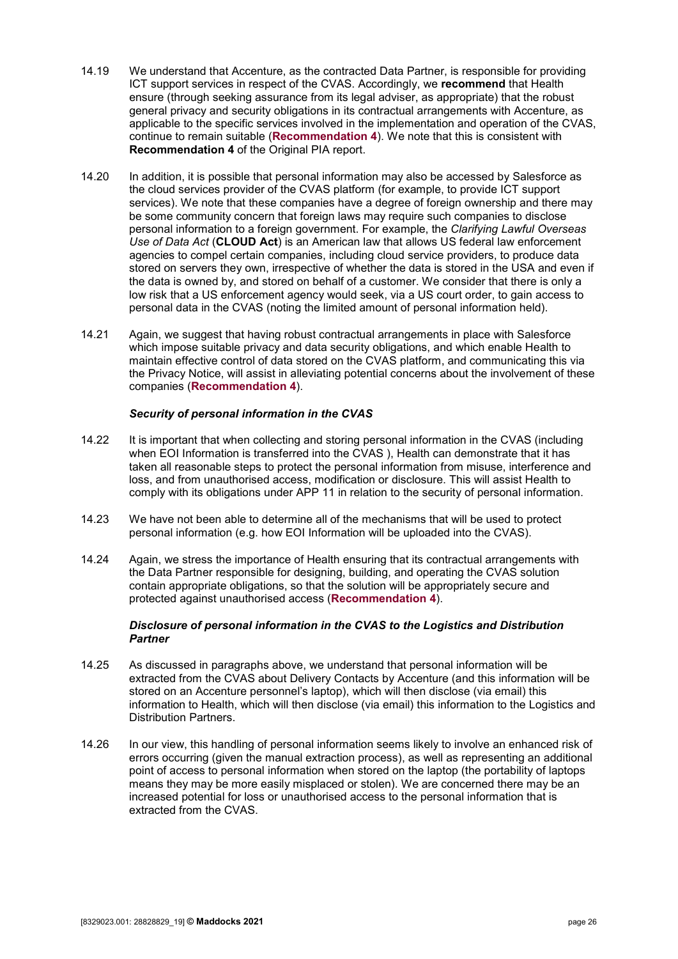- 14.19 We understand that Accenture, as the contracted Data Partner, is responsible for providing ICT support services in respect of the CVAS. Accordingly, we **recommend** that Health ensure (through seeking assurance from its legal adviser, as appropriate) that the robust general privacy and security obligations in its contractual arrangements with Accenture, as applicable to the specific services involved in the implementation and operation of the CVAS, continue to remain suitable (**[Recommendation 4](#page-7-0)**). We note that this is consistent with **Recommendation 4** of the Original PIA report.
- <span id="page-25-0"></span>14.20 In addition, it is possible that personal information may also be accessed by Salesforce as the cloud services provider of the CVAS platform (for example, to provide ICT support services). We note that these companies have a degree of foreign ownership and there may be some community concern that foreign laws may require such companies to disclose personal information to a foreign government. For example, the *Clarifying Lawful Overseas Use of Data Act* (**CLOUD Act**) is an American law that allows US federal law enforcement agencies to compel certain companies, including cloud service providers, to produce data stored on servers they own, irrespective of whether the data is stored in the USA and even if the data is owned by, and stored on behalf of a customer. We consider that there is only a low risk that a US enforcement agency would seek, via a US court order, to gain access to personal data in the CVAS (noting the limited amount of personal information held).
- 14.21 Again, we suggest that having robust contractual arrangements in place with Salesforce which impose suitable privacy and data security obligations, and which enable Health to maintain effective control of data stored on the CVAS platform, and communicating this via the Privacy Notice, will assist in alleviating potential concerns about the involvement of these companies (**[Recommendation 4](#page-7-0)**).

#### *Security of personal information in the CVAS*

- 14.22 It is important that when collecting and storing personal information in the CVAS (including when EOI Information is transferred into the CVAS ), Health can demonstrate that it has taken all reasonable steps to protect the personal information from misuse, interference and loss, and from unauthorised access, modification or disclosure. This will assist Health to comply with its obligations under APP 11 in relation to the security of personal information.
- 14.23 We have not been able to determine all of the mechanisms that will be used to protect personal information (e.g. how EOI Information will be uploaded into the CVAS).
- 14.24 Again, we stress the importance of Health ensuring that its contractual arrangements with the Data Partner responsible for designing, building, and operating the CVAS solution contain appropriate obligations, so that the solution will be appropriately secure and protected against unauthorised access (**[Recommendation 4](#page-7-0)**).

#### *Disclosure of personal information in the CVAS to the Logistics and Distribution Partner*

- 14.25 As discussed in paragraphs above, we understand that personal information will be extracted from the CVAS about Delivery Contacts by Accenture (and this information will be stored on an Accenture personnel's laptop), which will then disclose (via email) this information to Health, which will then disclose (via email) this information to the Logistics and Distribution Partners.
- 14.26 In our view, this handling of personal information seems likely to involve an enhanced risk of errors occurring (given the manual extraction process), as well as representing an additional point of access to personal information when stored on the laptop (the portability of laptops means they may be more easily misplaced or stolen). We are concerned there may be an increased potential for loss or unauthorised access to the personal information that is extracted from the CVAS.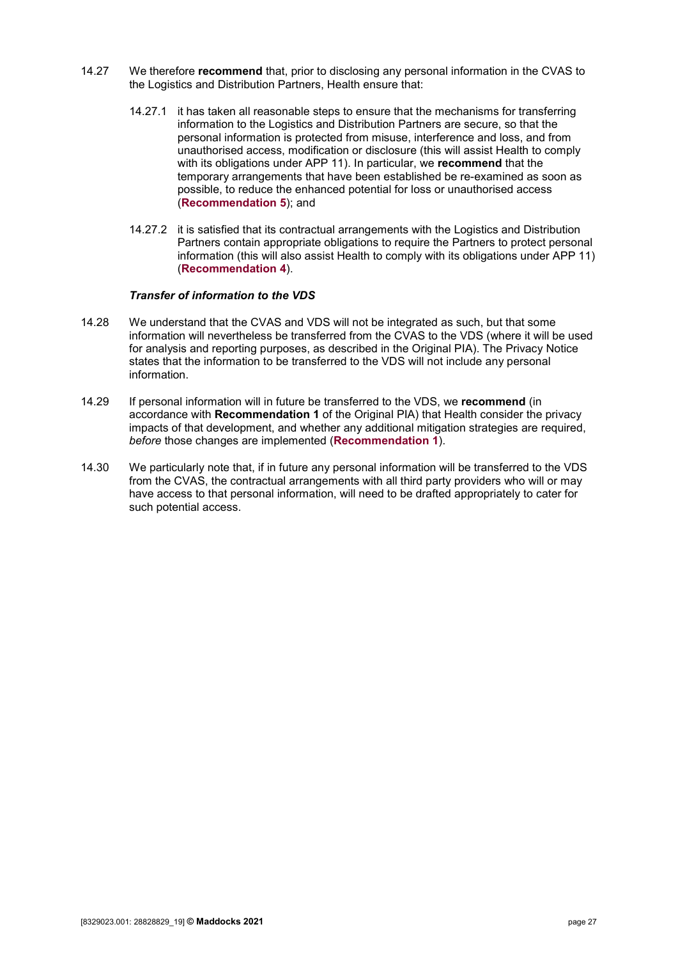- 14.27 We therefore **recommend** that, prior to disclosing any personal information in the CVAS to the Logistics and Distribution Partners, Health ensure that:
	- 14.27.1 it has taken all reasonable steps to ensure that the mechanisms for transferring information to the Logistics and Distribution Partners are secure, so that the personal information is protected from misuse, interference and loss, and from unauthorised access, modification or disclosure (this will assist Health to comply with its obligations under APP 11). In particular, we **recommend** that the temporary arrangements that have been established be re-examined as soon as possible, to reduce the enhanced potential for loss or unauthorised access (**[Recommendation 5](#page-7-1)**); and
	- 14.27.2 it is satisfied that its contractual arrangements with the Logistics and Distribution Partners contain appropriate obligations to require the Partners to protect personal information (this will also assist Health to comply with its obligations under APP 11) (**[Recommendation 4](#page-7-0)**).

#### *Transfer of information to the VDS*

- 14.28 We understand that the CVAS and VDS will not be integrated as such, but that some information will nevertheless be transferred from the CVAS to the VDS (where it will be used for analysis and reporting purposes, as described in the Original PIA). The Privacy Notice states that the information to be transferred to the VDS will not include any personal information.
- 14.29 If personal information will in future be transferred to the VDS, we **recommend** (in accordance with **Recommendation 1** of the Original PIA) that Health consider the privacy impacts of that development, and whether any additional mitigation strategies are required, *before* those changes are implemented (**[Recommendation 1](#page-5-1)**).
- 14.30 We particularly note that, if in future any personal information will be transferred to the VDS from the CVAS, the contractual arrangements with all third party providers who will or may have access to that personal information, will need to be drafted appropriately to cater for such potential access.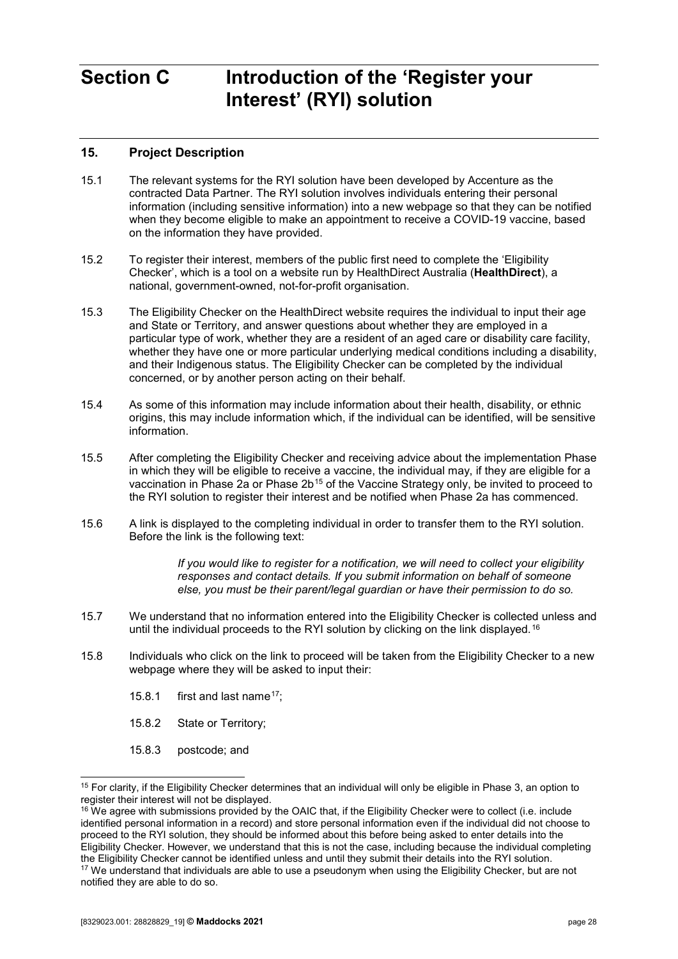# <span id="page-27-0"></span>**Section C Introduction of the 'Register your Interest' (RYI) solution**

## <span id="page-27-1"></span>**15. Project Description**

- 15.1 The relevant systems for the RYI solution have been developed by Accenture as the contracted Data Partner. The RYI solution involves individuals entering their personal information (including sensitive information) into a new webpage so that they can be notified when they become eligible to make an appointment to receive a COVID-19 vaccine, based on the information they have provided.
- 15.2 To register their interest, members of the public first need to complete the 'Eligibility Checker', which is a tool on a website run by HealthDirect Australia (**HealthDirect**), a national, government-owned, not-for-profit organisation.
- 15.3 The Eligibility Checker on the HealthDirect website requires the individual to input their age and State or Territory, and answer questions about whether they are employed in a particular type of work, whether they are a resident of an aged care or disability care facility, whether they have one or more particular underlying medical conditions including a disability, and their Indigenous status. The Eligibility Checker can be completed by the individual concerned, or by another person acting on their behalf.
- 15.4 As some of this information may include information about their health, disability, or ethnic origins, this may include information which, if the individual can be identified, will be sensitive information.
- 15.5 After completing the Eligibility Checker and receiving advice about the implementation Phase in which they will be eligible to receive a vaccine, the individual may, if they are eligible for a vaccination in Phase 2a or Phase 2b<sup>[15](#page-27-2)</sup> of the Vaccine Strategy only, be invited to proceed to the RYI solution to register their interest and be notified when Phase 2a has commenced.
- 15.6 A link is displayed to the completing individual in order to transfer them to the RYI solution. Before the link is the following text:

*If you would like to register for a notification, we will need to collect your eligibility responses and contact details. If you submit information on behalf of someone else, you must be their parent/legal guardian or have their permission to do so.*

- 15.7 We understand that no information entered into the Eligibility Checker is collected unless and until the individual proceeds to the RYI solution by clicking on the link displayed.[16](#page-27-3)
- 15.8 Individuals who click on the link to proceed will be taken from the Eligibility Checker to a new webpage where they will be asked to input their:
	- 15.8.1 first and last name<sup>[17](#page-27-4)</sup>;
	- 15.8.2 State or Territory;
	- 15.8.3 postcode; and

<span id="page-27-4"></span>notified they are able to do so.

<span id="page-27-2"></span><sup>&</sup>lt;sup>15</sup> For clarity, if the Eligibility Checker determines that an individual will only be eligible in Phase 3, an option to register their interest will not be displayed.

<span id="page-27-3"></span> $16$  We agree with submissions provided by the OAIC that, if the Eligibility Checker were to collect (i.e. include identified personal information in a record) and store personal information even if the individual did not choose to proceed to the RYI solution, they should be informed about this before being asked to enter details into the Eligibility Checker. However, we understand that this is not the case, including because the individual completing the Eligibility Checker cannot be identified unless and until they submit their details into the RYI solution. <sup>17</sup> We understand that individuals are able to use a pseudonym when using the Eligibility Checker, but are not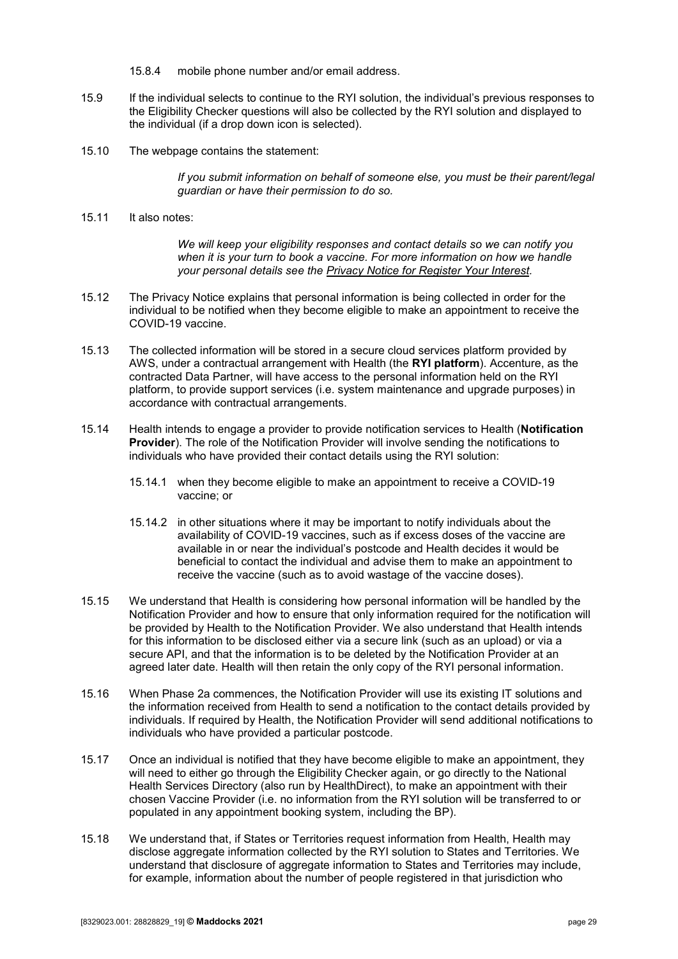- 15.8.4 mobile phone number and/or email address.
- 15.9 If the individual selects to continue to the RYI solution, the individual's previous responses to the Eligibility Checker questions will also be collected by the RYI solution and displayed to the individual (if a drop down icon is selected).
- 15.10 The webpage contains the statement:

*If you submit information on behalf of someone else, you must be their parent/legal guardian or have their permission to do so.*

15.11 It also notes:

*We will keep your eligibility responses and contact details so we can notify you when it is your turn to book a vaccine. For more information on how we handle your personal details see the [Privacy Notice for Register Your Interest.](https://health.gov.au/using-our-websites/privacy/privacy-notice-register-of-interest-covid-19-vaccinations)*

- 15.12 The Privacy Notice explains that personal information is being collected in order for the individual to be notified when they become eligible to make an appointment to receive the COVID-19 vaccine.
- 15.13 The collected information will be stored in a secure cloud services platform provided by AWS, under a contractual arrangement with Health (the **RYI platform**). Accenture, as the contracted Data Partner, will have access to the personal information held on the RYI platform, to provide support services (i.e. system maintenance and upgrade purposes) in accordance with contractual arrangements.
- 15.14 Health intends to engage a provider to provide notification services to Health (**Notification Provider**). The role of the Notification Provider will involve sending the notifications to individuals who have provided their contact details using the RYI solution:
	- 15.14.1 when they become eligible to make an appointment to receive a COVID-19 vaccine; or
	- 15.14.2 in other situations where it may be important to notify individuals about the availability of COVID-19 vaccines, such as if excess doses of the vaccine are available in or near the individual's postcode and Health decides it would be beneficial to contact the individual and advise them to make an appointment to receive the vaccine (such as to avoid wastage of the vaccine doses).
- 15.15 We understand that Health is considering how personal information will be handled by the Notification Provider and how to ensure that only information required for the notification will be provided by Health to the Notification Provider. We also understand that Health intends for this information to be disclosed either via a secure link (such as an upload) or via a secure API, and that the information is to be deleted by the Notification Provider at an agreed later date. Health will then retain the only copy of the RYI personal information.
- 15.16 When Phase 2a commences, the Notification Provider will use its existing IT solutions and the information received from Health to send a notification to the contact details provided by individuals. If required by Health, the Notification Provider will send additional notifications to individuals who have provided a particular postcode.
- 15.17 Once an individual is notified that they have become eligible to make an appointment, they will need to either go through the Eligibility Checker again, or go directly to the National Health Services Directory (also run by HealthDirect), to make an appointment with their chosen Vaccine Provider (i.e. no information from the RYI solution will be transferred to or populated in any appointment booking system, including the BP).
- <span id="page-28-0"></span>15.18 We understand that, if States or Territories request information from Health, Health may disclose aggregate information collected by the RYI solution to States and Territories. We understand that disclosure of aggregate information to States and Territories may include, for example, information about the number of people registered in that jurisdiction who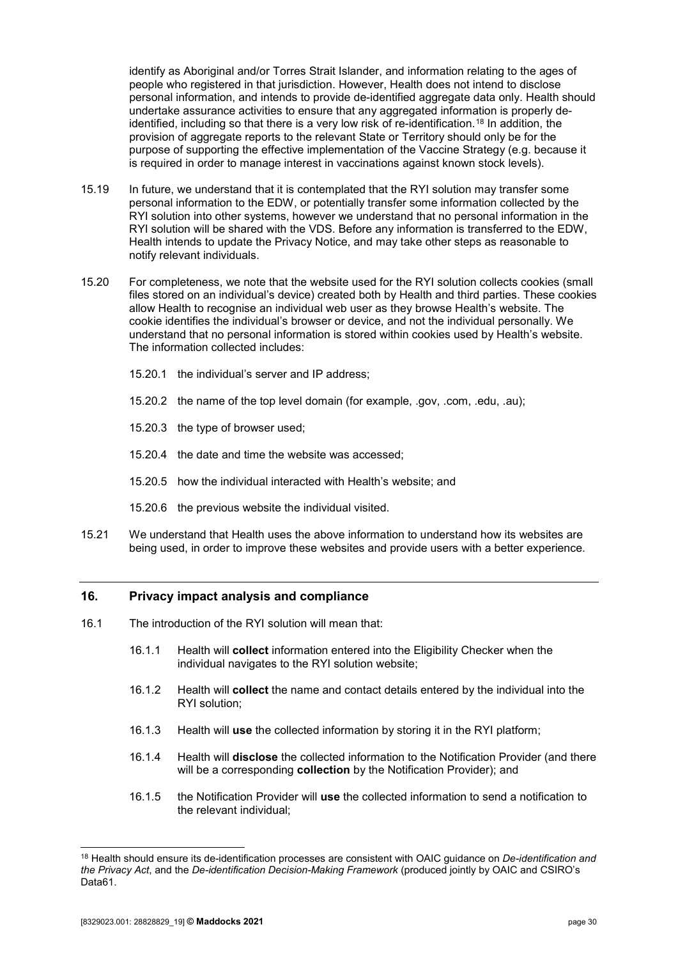identify as Aboriginal and/or Torres Strait Islander, and information relating to the ages of people who registered in that jurisdiction. However, Health does not intend to disclose personal information, and intends to provide de-identified aggregate data only. Health should undertake assurance activities to ensure that any aggregated information is properly deidentified, including so that there is a very low risk of re-identification.[18](#page-29-1) In addition, the provision of aggregate reports to the relevant State or Territory should only be for the purpose of supporting the effective implementation of the Vaccine Strategy (e.g. because it is required in order to manage interest in vaccinations against known stock levels).

- 15.19 In future, we understand that it is contemplated that the RYI solution may transfer some personal information to the EDW, or potentially transfer some information collected by the RYI solution into other systems, however we understand that no personal information in the RYI solution will be shared with the VDS. Before any information is transferred to the EDW, Health intends to update the Privacy Notice, and may take other steps as reasonable to notify relevant individuals.
- 15.20 For completeness, we note that the website used for the RYI solution collects cookies (small files stored on an individual's device) created both by Health and third parties. These cookies allow Health to recognise an individual web user as they browse Health's website. The cookie identifies the individual's browser or device, and not the individual personally. We understand that no personal information is stored within cookies used by Health's website. The information collected includes:
	- 15.20.1 the individual's server and IP address;
	- 15.20.2 the name of the top level domain (for example, .gov, .com, .edu, .au);
	- 15.20.3 the type of browser used;
	- 15.20.4 the date and time the website was accessed;
	- 15.20.5 how the individual interacted with Health's website; and
	- 15.20.6 the previous website the individual visited.
- <span id="page-29-0"></span>15.21 We understand that Health uses the above information to understand how its websites are being used, in order to improve these websites and provide users with a better experience.

#### **16. Privacy impact analysis and compliance**

- 16.1 The introduction of the RYI solution will mean that:
	- 16.1.1 Health will **collect** information entered into the Eligibility Checker when the individual navigates to the RYI solution website;
	- 16.1.2 Health will **collect** the name and contact details entered by the individual into the RYI solution;
	- 16.1.3 Health will **use** the collected information by storing it in the RYI platform;
	- 16.1.4 Health will **disclose** the collected information to the Notification Provider (and there will be a corresponding **collection** by the Notification Provider); and
	- 16.1.5 the Notification Provider will **use** the collected information to send a notification to the relevant individual;

<span id="page-29-1"></span> <sup>18</sup> Health should ensure its de-identification processes are consistent with OAIC guidance on *De-identification and the Privacy Act*, and the *De-identification Decision-Making Framework* (produced jointly by OAIC and CSIRO's Data61.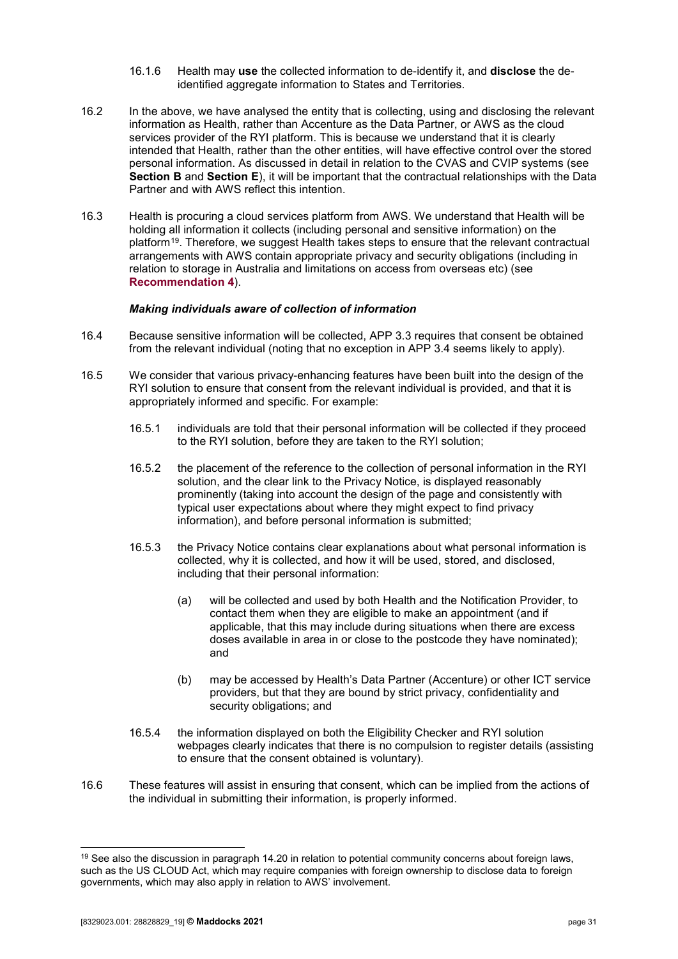- 16.1.6 Health may **use** the collected information to de-identify it, and **disclose** the deidentified aggregate information to States and Territories.
- 16.2 In the above, we have analysed the entity that is collecting, using and disclosing the relevant information as Health, rather than Accenture as the Data Partner, or AWS as the cloud services provider of the RYI platform. This is because we understand that it is clearly intended that Health, rather than the other entities, will have effective control over the stored personal information. As discussed in detail in relation to the CVAS and CVIP systems (see **[Section B](#page-18-0)** and **[Section E](#page-44-0)**), it will be important that the contractual relationships with the Data Partner and with AWS reflect this intention.
- 16.3 Health is procuring a cloud services platform from AWS. We understand that Health will be holding all information it collects (including personal and sensitive information) on the platform<sup>[19](#page-30-0)</sup>. Therefore, we suggest Health takes steps to ensure that the relevant contractual arrangements with AWS contain appropriate privacy and security obligations (including in relation to storage in Australia and limitations on access from overseas etc) (see **[Recommendation 4](#page-7-0)**).

#### *Making individuals aware of collection of information*

- 16.4 Because sensitive information will be collected, APP 3.3 requires that consent be obtained from the relevant individual (noting that no exception in APP 3.4 seems likely to apply).
- 16.5 We consider that various privacy-enhancing features have been built into the design of the RYI solution to ensure that consent from the relevant individual is provided, and that it is appropriately informed and specific. For example:
	- 16.5.1 individuals are told that their personal information will be collected if they proceed to the RYI solution, before they are taken to the RYI solution;
	- 16.5.2 the placement of the reference to the collection of personal information in the RYI solution, and the clear link to the Privacy Notice, is displayed reasonably prominently (taking into account the design of the page and consistently with typical user expectations about where they might expect to find privacy information), and before personal information is submitted;
	- 16.5.3 the Privacy Notice contains clear explanations about what personal information is collected, why it is collected, and how it will be used, stored, and disclosed, including that their personal information:
		- (a) will be collected and used by both Health and the Notification Provider, to contact them when they are eligible to make an appointment (and if applicable, that this may include during situations when there are excess doses available in area in or close to the postcode they have nominated); and
		- (b) may be accessed by Health's Data Partner (Accenture) or other ICT service providers, but that they are bound by strict privacy, confidentiality and security obligations; and
	- 16.5.4 the information displayed on both the Eligibility Checker and RYI solution webpages clearly indicates that there is no compulsion to register details (assisting to ensure that the consent obtained is voluntary).
- 16.6 These features will assist in ensuring that consent, which can be implied from the actions of the individual in submitting their information, is properly informed.

<span id="page-30-0"></span><sup>&</sup>lt;sup>19</sup> See also the discussion in paragraph [14.20](#page-25-0) in relation to potential community concerns about foreign laws, such as the US CLOUD Act, which may require companies with foreign ownership to disclose data to foreign governments, which may also apply in relation to AWS' involvement.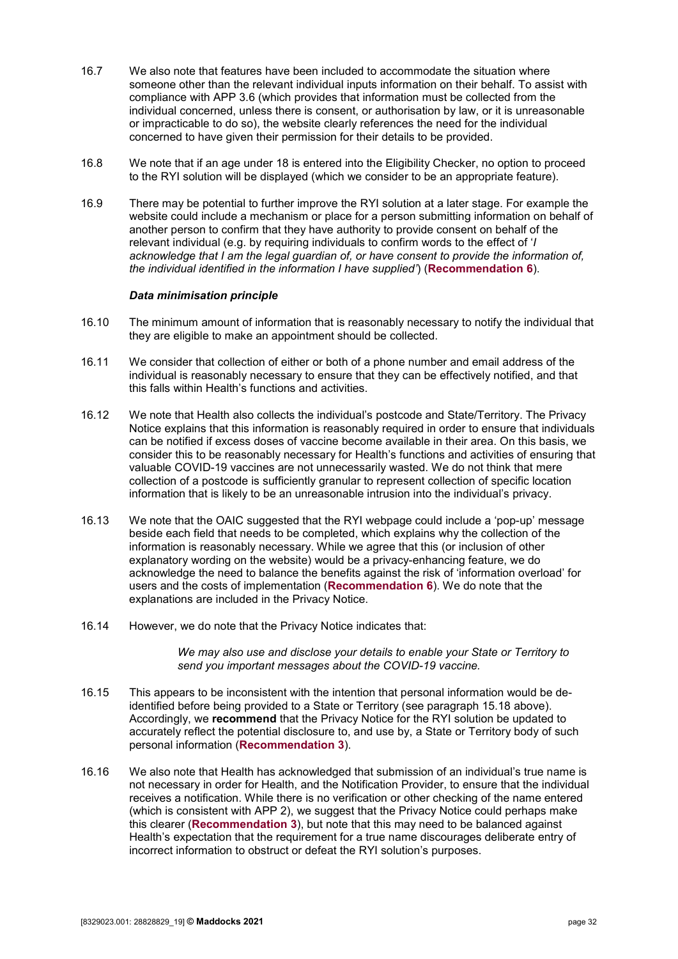- 16.7 We also note that features have been included to accommodate the situation where someone other than the relevant individual inputs information on their behalf. To assist with compliance with APP 3.6 (which provides that information must be collected from the individual concerned, unless there is consent, or authorisation by law, or it is unreasonable or impracticable to do so), the website clearly references the need for the individual concerned to have given their permission for their details to be provided.
- 16.8 We note that if an age under 18 is entered into the Eligibility Checker, no option to proceed to the RYI solution will be displayed (which we consider to be an appropriate feature).
- 16.9 There may be potential to further improve the RYI solution at a later stage. For example the website could include a mechanism or place for a person submitting information on behalf of another person to confirm that they have authority to provide consent on behalf of the relevant individual (e.g. by requiring individuals to confirm words to the effect of '*I acknowledge that I am the legal guardian of, or have consent to provide the information of, the individual identified in the information I have supplied'*) (**[Recommendation 6](#page-8-0)**).

#### *Data minimisation principle*

- 16.10 The minimum amount of information that is reasonably necessary to notify the individual that they are eligible to make an appointment should be collected.
- 16.11 We consider that collection of either or both of a phone number and email address of the individual is reasonably necessary to ensure that they can be effectively notified, and that this falls within Health's functions and activities.
- 16.12 We note that Health also collects the individual's postcode and State/Territory. The Privacy Notice explains that this information is reasonably required in order to ensure that individuals can be notified if excess doses of vaccine become available in their area. On this basis, we consider this to be reasonably necessary for Health's functions and activities of ensuring that valuable COVID-19 vaccines are not unnecessarily wasted. We do not think that mere collection of a postcode is sufficiently granular to represent collection of specific location information that is likely to be an unreasonable intrusion into the individual's privacy.
- 16.13 We note that the OAIC suggested that the RYI webpage could include a 'pop-up' message beside each field that needs to be completed, which explains why the collection of the information is reasonably necessary. While we agree that this (or inclusion of other explanatory wording on the website) would be a privacy-enhancing feature, we do acknowledge the need to balance the benefits against the risk of 'information overload' for users and the costs of implementation (**[Recommendation 6](#page-8-0)**). We do note that the explanations are included in the Privacy Notice.
- 16.14 However, we do note that the Privacy Notice indicates that:

*We may also use and disclose your details to enable your State or Territory to send you important messages about the COVID-19 vaccine.* 

- 16.15 This appears to be inconsistent with the intention that personal information would be deidentified before being provided to a State or Territory (see paragraph [15.18](#page-28-0) above). Accordingly, we **recommend** that the Privacy Notice for the RYI solution be updated to accurately reflect the potential disclosure to, and use by, a State or Territory body of such personal information (**[Recommendation 3](#page-6-0)**).
- 16.16 We also note that Health has acknowledged that submission of an individual's true name is not necessary in order for Health, and the Notification Provider, to ensure that the individual receives a notification. While there is no verification or other checking of the name entered (which is consistent with APP 2), we suggest that the Privacy Notice could perhaps make this clearer (**[Recommendation 3](#page-6-0)**), but note that this may need to be balanced against Health's expectation that the requirement for a true name discourages deliberate entry of incorrect information to obstruct or defeat the RYI solution's purposes.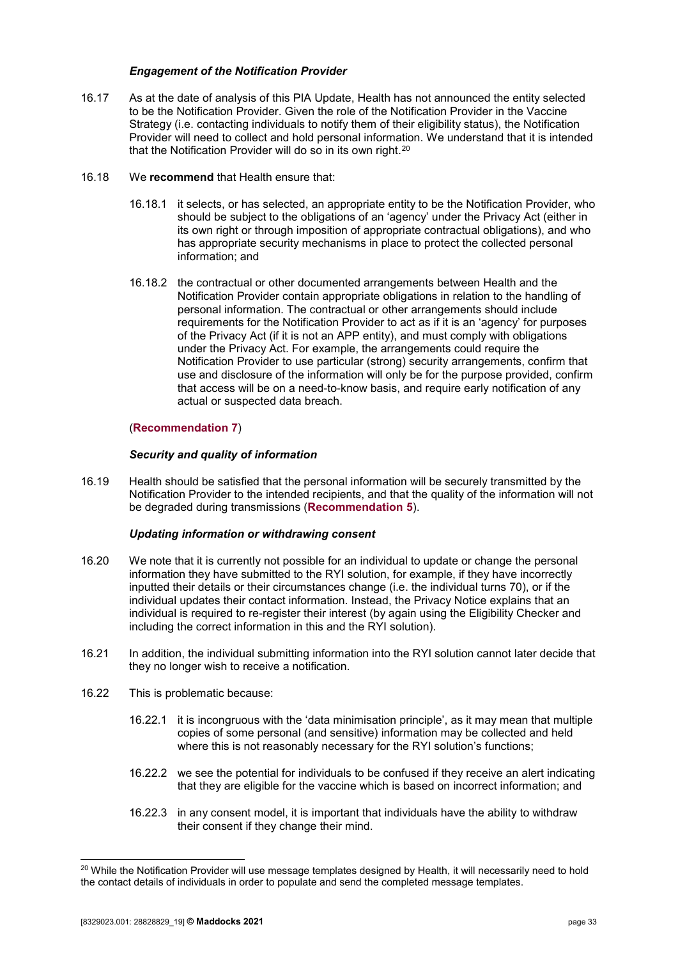#### *Engagement of the Notification Provider*

- 16.17 As at the date of analysis of this PIA Update, Health has not announced the entity selected to be the Notification Provider. Given the role of the Notification Provider in the Vaccine Strategy (i.e. contacting individuals to notify them of their eligibility status), the Notification Provider will need to collect and hold personal information. We understand that it is intended that the Notification Provider will do so in its own right.<sup>[20](#page-32-0)</sup>
- 16.18 We **recommend** that Health ensure that:
	- 16.18.1 it selects, or has selected, an appropriate entity to be the Notification Provider, who should be subject to the obligations of an 'agency' under the Privacy Act (either in its own right or through imposition of appropriate contractual obligations), and who has appropriate security mechanisms in place to protect the collected personal information; and
	- 16.18.2 the contractual or other documented arrangements between Health and the Notification Provider contain appropriate obligations in relation to the handling of personal information. The contractual or other arrangements should include requirements for the Notification Provider to act as if it is an 'agency' for purposes of the Privacy Act (if it is not an APP entity), and must comply with obligations under the Privacy Act. For example, the arrangements could require the Notification Provider to use particular (strong) security arrangements, confirm that use and disclosure of the information will only be for the purpose provided, confirm that access will be on a need-to-know basis, and require early notification of any actual or suspected data breach.

#### (**[Recommendation 7](#page-8-1)**)

#### *Security and quality of information*

16.19 Health should be satisfied that the personal information will be securely transmitted by the Notification Provider to the intended recipients, and that the quality of the information will not be degraded during transmissions (**[Recommendation 5](#page-7-1)**).

#### *Updating information or withdrawing consent*

- 16.20 We note that it is currently not possible for an individual to update or change the personal information they have submitted to the RYI solution, for example, if they have incorrectly inputted their details or their circumstances change (i.e. the individual turns 70), or if the individual updates their contact information. Instead, the Privacy Notice explains that an individual is required to re-register their interest (by again using the Eligibility Checker and including the correct information in this and the RYI solution).
- 16.21 In addition, the individual submitting information into the RYI solution cannot later decide that they no longer wish to receive a notification.
- 16.22 This is problematic because:
	- 16.22.1 it is incongruous with the 'data minimisation principle', as it may mean that multiple copies of some personal (and sensitive) information may be collected and held where this is not reasonably necessary for the RYI solution's functions;
	- 16.22.2 we see the potential for individuals to be confused if they receive an alert indicating that they are eligible for the vaccine which is based on incorrect information; and
	- 16.22.3 in any consent model, it is important that individuals have the ability to withdraw their consent if they change their mind.

<span id="page-32-0"></span><sup>&</sup>lt;sup>20</sup> While the Notification Provider will use message templates designed by Health, it will necessarily need to hold the contact details of individuals in order to populate and send the completed message templates.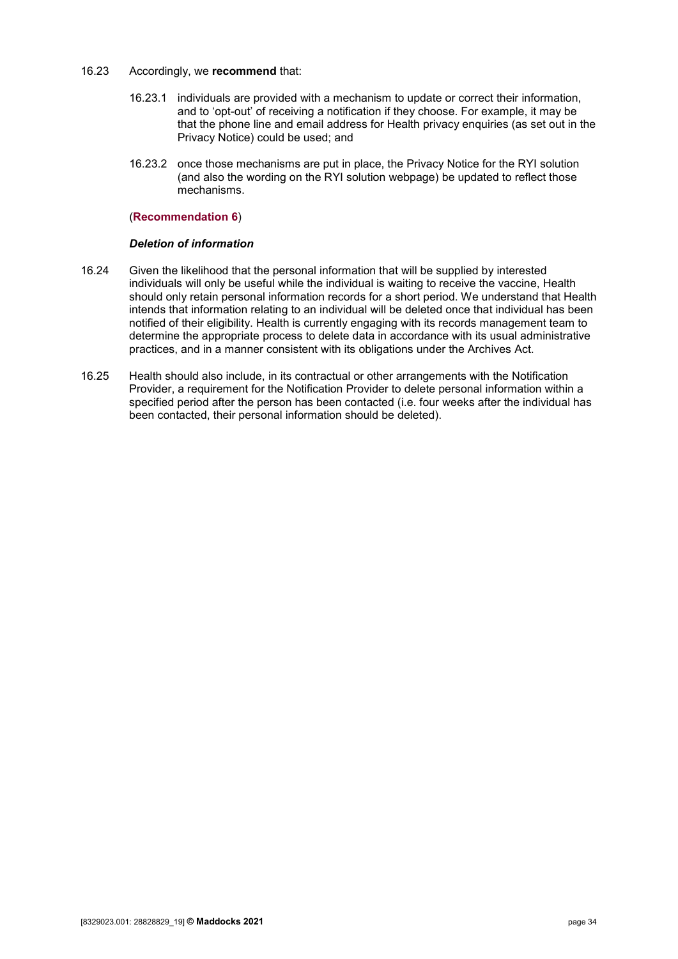#### 16.23 Accordingly, we **recommend** that:

- 16.23.1 individuals are provided with a mechanism to update or correct their information, and to 'opt-out' of receiving a notification if they choose. For example, it may be that the phone line and email address for Health privacy enquiries (as set out in the Privacy Notice) could be used; and
- 16.23.2 once those mechanisms are put in place, the Privacy Notice for the RYI solution (and also the wording on the RYI solution webpage) be updated to reflect those mechanisms.

#### (**[Recommendation 6](#page-8-0)**)

#### *Deletion of information*

- 16.24 Given the likelihood that the personal information that will be supplied by interested individuals will only be useful while the individual is waiting to receive the vaccine, Health should only retain personal information records for a short period. We understand that Health intends that information relating to an individual will be deleted once that individual has been notified of their eligibility. Health is currently engaging with its records management team to determine the appropriate process to delete data in accordance with its usual administrative practices, and in a manner consistent with its obligations under the Archives Act.
- 16.25 Health should also include, in its contractual or other arrangements with the Notification Provider, a requirement for the Notification Provider to delete personal information within a specified period after the person has been contacted (i.e. four weeks after the individual has been contacted, their personal information should be deleted).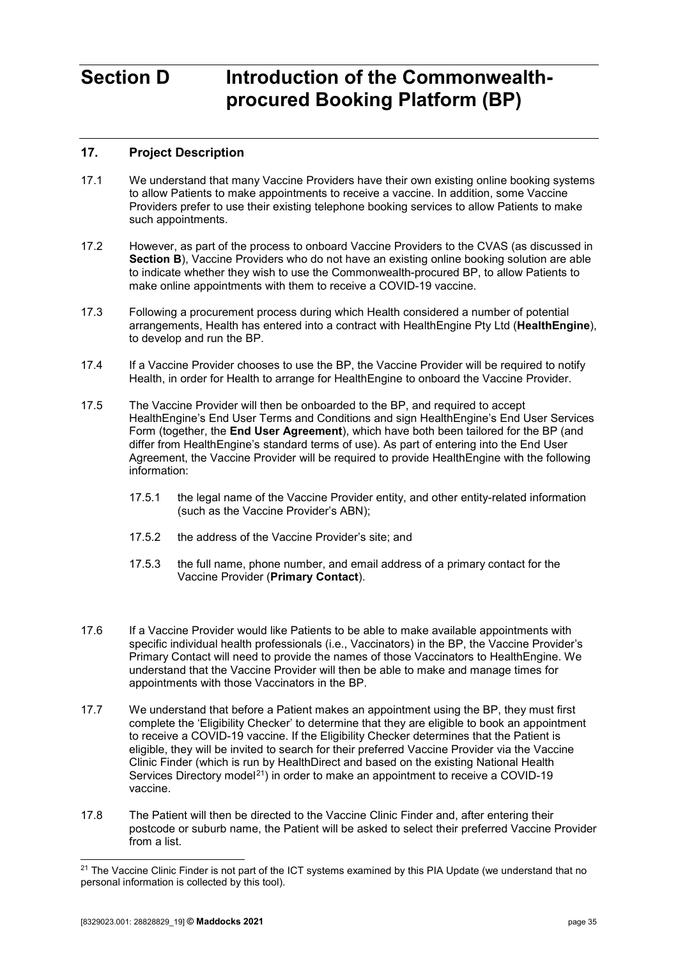# <span id="page-34-0"></span>**Section D Introduction of the Commonwealthprocured Booking Platform (BP)**

## <span id="page-34-1"></span>**17. Project Description**

- 17.1 We understand that many Vaccine Providers have their own existing online booking systems to allow Patients to make appointments to receive a vaccine. In addition, some Vaccine Providers prefer to use their existing telephone booking services to allow Patients to make such appointments.
- 17.2 However, as part of the process to onboard Vaccine Providers to the CVAS (as discussed in **[Section B](#page-18-0)**), Vaccine Providers who do not have an existing online booking solution are able to indicate whether they wish to use the Commonwealth-procured BP, to allow Patients to make online appointments with them to receive a COVID-19 vaccine.
- 17.3 Following a procurement process during which Health considered a number of potential arrangements, Health has entered into a contract with HealthEngine Pty Ltd (**HealthEngine**), to develop and run the BP.
- 17.4 If a Vaccine Provider chooses to use the BP, the Vaccine Provider will be required to notify Health, in order for Health to arrange for HealthEngine to onboard the Vaccine Provider.
- 17.5 The Vaccine Provider will then be onboarded to the BP, and required to accept HealthEngine's End User Terms and Conditions and sign HealthEngine's End User Services Form (together, the **End User Agreement**), which have both been tailored for the BP (and differ from HealthEngine's standard terms of use). As part of entering into the End User Agreement, the Vaccine Provider will be required to provide HealthEngine with the following information:
	- 17.5.1 the legal name of the Vaccine Provider entity, and other entity-related information (such as the Vaccine Provider's ABN);
	- 17.5.2 the address of the Vaccine Provider's site; and
	- 17.5.3 the full name, phone number, and email address of a primary contact for the Vaccine Provider (**Primary Contact**).
- 17.6 If a Vaccine Provider would like Patients to be able to make available appointments with specific individual health professionals (i.e., Vaccinators) in the BP, the Vaccine Provider's Primary Contact will need to provide the names of those Vaccinators to HealthEngine. We understand that the Vaccine Provider will then be able to make and manage times for appointments with those Vaccinators in the BP.
- 17.7 We understand that before a Patient makes an appointment using the BP, they must first complete the 'Eligibility Checker' to determine that they are eligible to book an appointment to receive a COVID-19 vaccine. If the Eligibility Checker determines that the Patient is eligible, they will be invited to search for their preferred Vaccine Provider via the Vaccine Clinic Finder (which is run by HealthDirect and based on the existing National Health Services Directory model<sup>[21](#page-34-3)</sup>) in order to make an appointment to receive a COVID-19 vaccine.
- <span id="page-34-2"></span>17.8 The Patient will then be directed to the Vaccine Clinic Finder and, after entering their postcode or suburb name, the Patient will be asked to select their preferred Vaccine Provider from a list.

<span id="page-34-3"></span><sup>&</sup>lt;sup>21</sup> The Vaccine Clinic Finder is not part of the ICT systems examined by this PIA Update (we understand that no personal information is collected by this tool).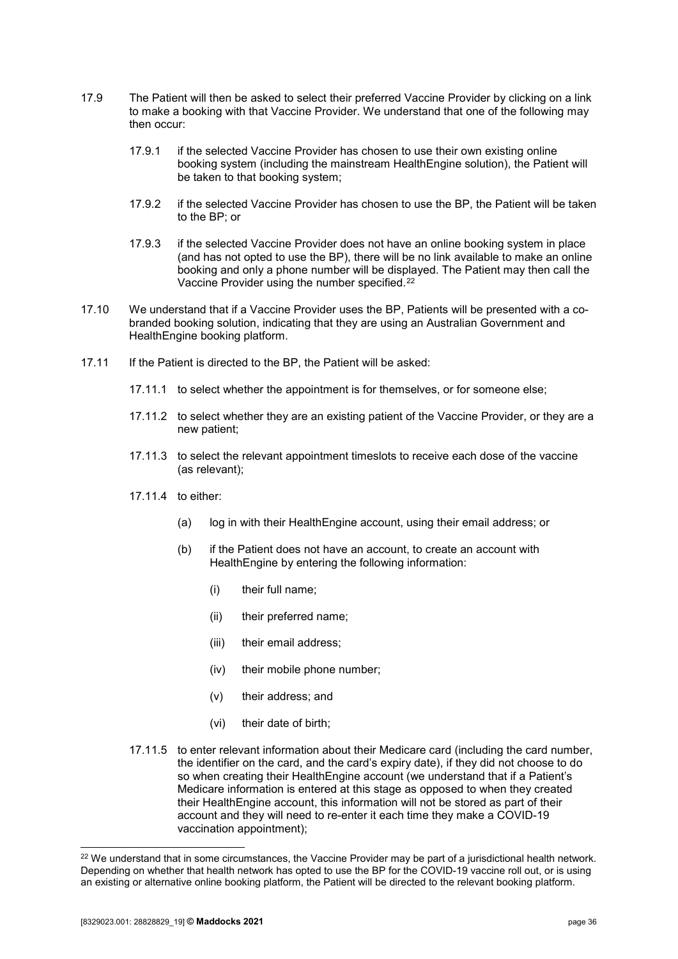- 17.9 The Patient will then be asked to select their preferred Vaccine Provider by clicking on a link to make a booking with that Vaccine Provider. We understand that one of the following may then occur:
	- 17.9.1 if the selected Vaccine Provider has chosen to use their own existing online booking system (including the mainstream HealthEngine solution), the Patient will be taken to that booking system;
	- 17.9.2 if the selected Vaccine Provider has chosen to use the BP, the Patient will be taken to the BP; or
	- 17.9.3 if the selected Vaccine Provider does not have an online booking system in place (and has not opted to use the BP), there will be no link available to make an online booking and only a phone number will be displayed. The Patient may then call the Vaccine Provider using the number specified.[22](#page-35-0)
- 17.10 We understand that if a Vaccine Provider uses the BP, Patients will be presented with a cobranded booking solution, indicating that they are using an Australian Government and HealthEngine booking platform.
- <span id="page-35-2"></span><span id="page-35-1"></span>17.11 If the Patient is directed to the BP, the Patient will be asked:
	- 17.11.1 to select whether the appointment is for themselves, or for someone else;
	- 17.11.2 to select whether they are an existing patient of the Vaccine Provider, or they are a new patient;
	- 17.11.3 to select the relevant appointment timeslots to receive each dose of the vaccine (as relevant);
	- 17.11.4 to either:
		- (a) log in with their HealthEngine account, using their email address; or
		- (b) if the Patient does not have an account, to create an account with HealthEngine by entering the following information:
			- (i) their full name;
			- (ii) their preferred name;
			- (iii) their email address;
			- (iv) their mobile phone number;
			- (v) their address; and
			- (vi) their date of birth;
	- 17.11.5 to enter relevant information about their Medicare card (including the card number, the identifier on the card, and the card's expiry date), if they did not choose to do so when creating their HealthEngine account (we understand that if a Patient's Medicare information is entered at this stage as opposed to when they created their HealthEngine account, this information will not be stored as part of their account and they will need to re-enter it each time they make a COVID-19 vaccination appointment);

<span id="page-35-3"></span><span id="page-35-0"></span><sup>&</sup>lt;sup>22</sup> We understand that in some circumstances, the Vaccine Provider may be part of a jurisdictional health network. Depending on whether that health network has opted to use the BP for the COVID-19 vaccine roll out, or is using an existing or alternative online booking platform, the Patient will be directed to the relevant booking platform.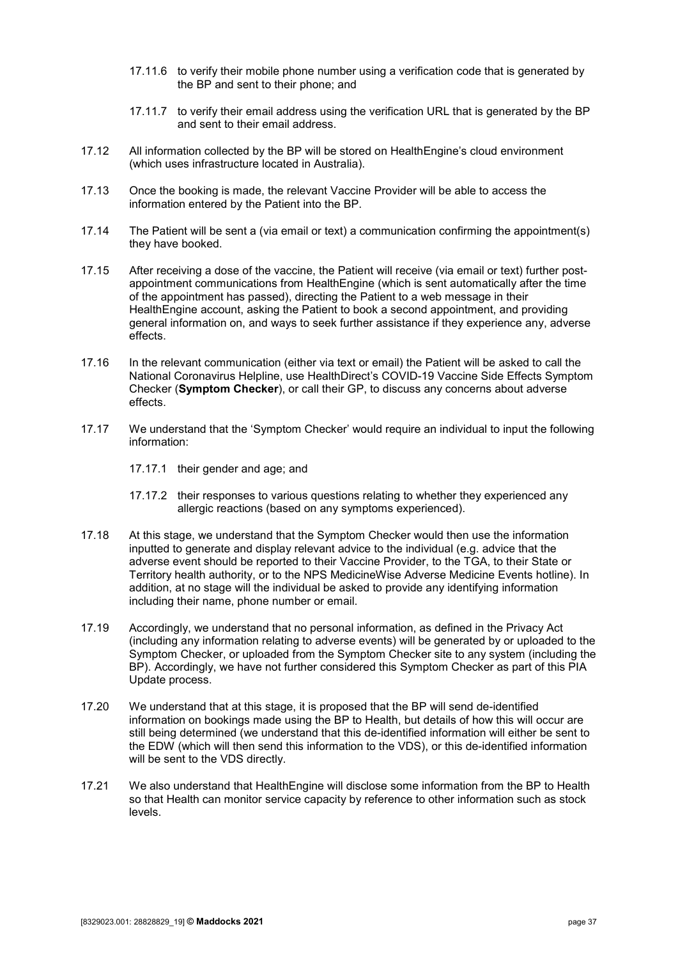- 17.11.6 to verify their mobile phone number using a verification code that is generated by the BP and sent to their phone; and
- 17.11.7 to verify their email address using the verification URL that is generated by the BP and sent to their email address.
- 17.12 All information collected by the BP will be stored on HealthEngine's cloud environment (which uses infrastructure located in Australia).
- 17.13 Once the booking is made, the relevant Vaccine Provider will be able to access the information entered by the Patient into the BP.
- 17.14 The Patient will be sent a (via email or text) a communication confirming the appointment(s) they have booked.
- 17.15 After receiving a dose of the vaccine, the Patient will receive (via email or text) further postappointment communications from HealthEngine (which is sent automatically after the time of the appointment has passed), directing the Patient to a web message in their HealthEngine account, asking the Patient to book a second appointment, and providing general information on, and ways to seek further assistance if they experience any, adverse effects.
- 17.16 In the relevant communication (either via text or email) the Patient will be asked to call the National Coronavirus Helpline, use HealthDirect's COVID-19 Vaccine Side Effects Symptom Checker (**Symptom Checker**), or call their GP, to discuss any concerns about adverse effects.
- 17.17 We understand that the 'Symptom Checker' would require an individual to input the following information:
	- 17.17.1 their gender and age; and
	- 17.17.2 their responses to various questions relating to whether they experienced any allergic reactions (based on any symptoms experienced).
- 17.18 At this stage, we understand that the Symptom Checker would then use the information inputted to generate and display relevant advice to the individual (e.g. advice that the adverse event should be reported to their Vaccine Provider, to the TGA, to their State or Territory health authority, or to the NPS MedicineWise Adverse Medicine Events hotline). In addition, at no stage will the individual be asked to provide any identifying information including their name, phone number or email.
- 17.19 Accordingly, we understand that no personal information, as defined in the Privacy Act (including any information relating to adverse events) will be generated by or uploaded to the Symptom Checker, or uploaded from the Symptom Checker site to any system (including the BP). Accordingly, we have not further considered this Symptom Checker as part of this PIA Update process.
- 17.20 We understand that at this stage, it is proposed that the BP will send de-identified information on bookings made using the BP to Health, but details of how this will occur are still being determined (we understand that this de-identified information will either be sent to the EDW (which will then send this information to the VDS), or this de-identified information will be sent to the VDS directly.
- 17.21 We also understand that HealthEngine will disclose some information from the BP to Health so that Health can monitor service capacity by reference to other information such as stock levels.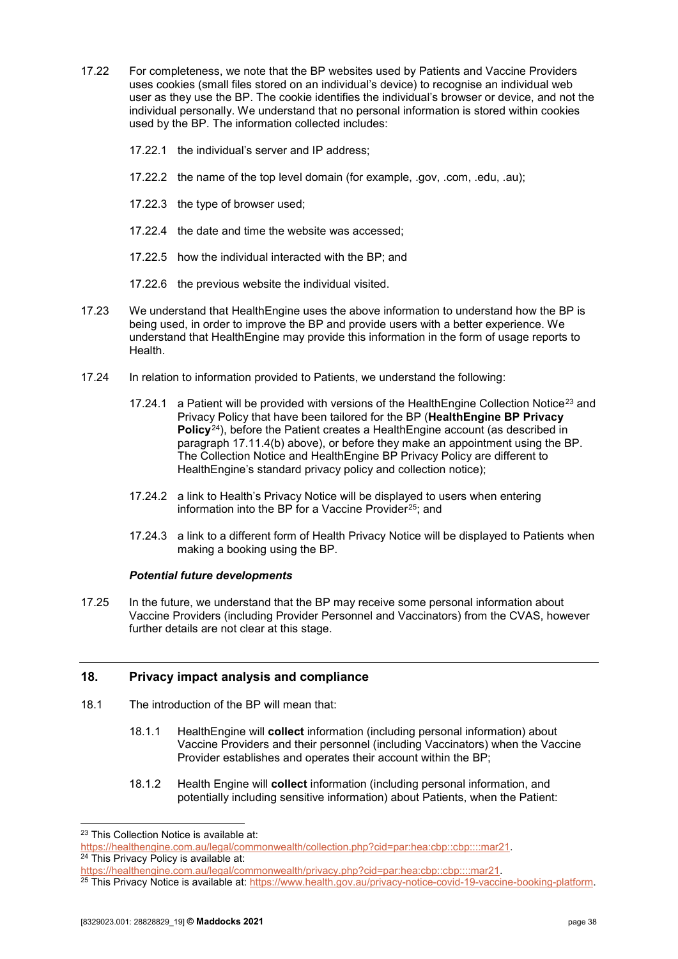- 17.22 For completeness, we note that the BP websites used by Patients and Vaccine Providers uses cookies (small files stored on an individual's device) to recognise an individual web user as they use the BP. The cookie identifies the individual's browser or device, and not the individual personally. We understand that no personal information is stored within cookies used by the BP. The information collected includes:
	- 17.22.1 the individual's server and IP address;
	- 17.22.2 the name of the top level domain (for example, .gov, .com, .edu, .au);
	- 17.22.3 the type of browser used;
	- 17.22.4 the date and time the website was accessed;
	- 17.22.5 how the individual interacted with the BP; and
	- 17.22.6 the previous website the individual visited.
- 17.23 We understand that HealthEngine uses the above information to understand how the BP is being used, in order to improve the BP and provide users with a better experience. We understand that HealthEngine may provide this information in the form of usage reports to Health.
- <span id="page-37-4"></span>17.24 In relation to information provided to Patients, we understand the following:
	- 17.24.1 a Patient will be provided with versions of the HealthEngine Collection Notice<sup>[23](#page-37-1)</sup> and Privacy Policy that have been tailored for the BP (**HealthEngine BP Privacy Policy**[24](#page-37-2)), before the Patient creates a HealthEngine account (as described in paragraph [17.11.4\(b\)](#page-35-1) above), or before they make an appointment using the BP. The Collection Notice and HealthEngine BP Privacy Policy are different to HealthEngine's standard privacy policy and collection notice);
	- 17.24.2 a link to Health's Privacy Notice will be displayed to users when entering information into the BP for a Vaccine Provider<sup>[25](#page-37-3)</sup>; and
	- 17.24.3 a link to a different form of Health Privacy Notice will be displayed to Patients when making a booking using the BP.

#### *Potential future developments*

17.25 In the future, we understand that the BP may receive some personal information about Vaccine Providers (including Provider Personnel and Vaccinators) from the CVAS, however further details are not clear at this stage.

#### <span id="page-37-0"></span>**18. Privacy impact analysis and compliance**

- 18.1 The introduction of the BP will mean that:
	- 18.1.1 HealthEngine will **collect** information (including personal information) about Vaccine Providers and their personnel (including Vaccinators) when the Vaccine Provider establishes and operates their account within the BP;
	- 18.1.2 Health Engine will **collect** information (including personal information, and potentially including sensitive information) about Patients, when the Patient:

<span id="page-37-1"></span><sup>&</sup>lt;sup>23</sup> This Collection Notice is available at:

<span id="page-37-2"></span>[https://healthengine.com.au/legal/commonwealth/collection.php?cid=par:hea:cbp::cbp::::mar21.](https://healthengine.com.au/legal/commonwealth/collection.php?cid=par:hea:cbp::cbp::::mar21)<br><sup>24</sup> This Privacy Policy is available at:<br>https://healthengine.com.au/legal/commonwealth/privacy.php?cid=par:hea:cbp::cbp::::mar2

<span id="page-37-3"></span>https://www.marchealthelagal/commonwealth.gov.au/privacy-notice-covid-19-vaccine-booking-platform.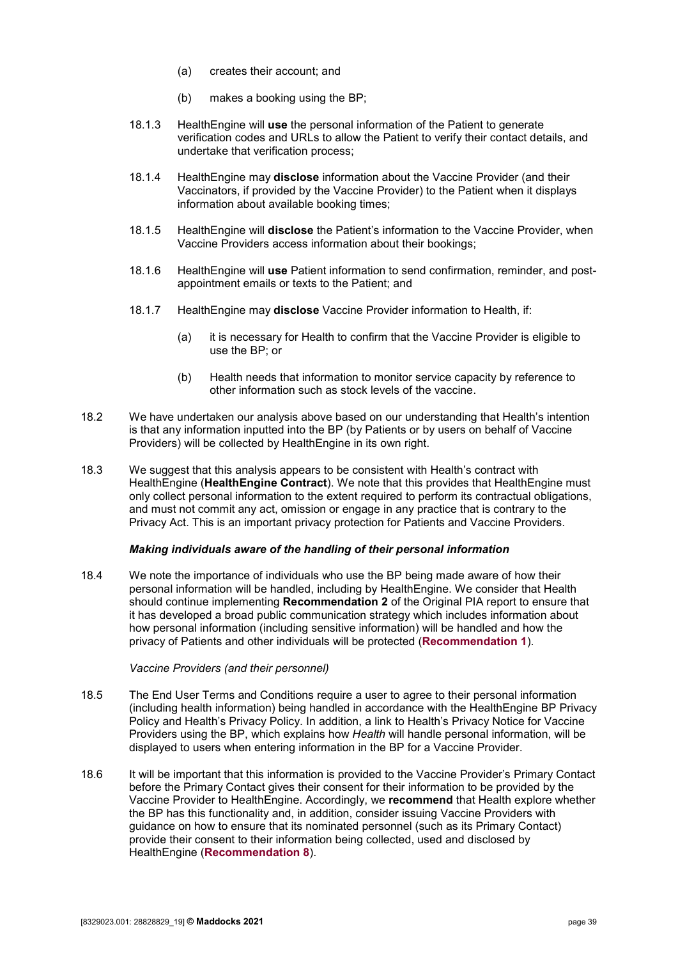- (a) creates their account; and
- (b) makes a booking using the BP;
- 18.1.3 HealthEngine will **use** the personal information of the Patient to generate verification codes and URLs to allow the Patient to verify their contact details, and undertake that verification process;
- 18.1.4 HealthEngine may **disclose** information about the Vaccine Provider (and their Vaccinators, if provided by the Vaccine Provider) to the Patient when it displays information about available booking times;
- 18.1.5 HealthEngine will **disclose** the Patient's information to the Vaccine Provider, when Vaccine Providers access information about their bookings;
- 18.1.6 HealthEngine will **use** Patient information to send confirmation, reminder, and postappointment emails or texts to the Patient; and
- 18.1.7 HealthEngine may **disclose** Vaccine Provider information to Health, if:
	- (a) it is necessary for Health to confirm that the Vaccine Provider is eligible to use the BP; or
	- (b) Health needs that information to monitor service capacity by reference to other information such as stock levels of the vaccine.
- 18.2 We have undertaken our analysis above based on our understanding that Health's intention is that any information inputted into the BP (by Patients or by users on behalf of Vaccine Providers) will be collected by HealthEngine in its own right.
- 18.3 We suggest that this analysis appears to be consistent with Health's contract with HealthEngine (**HealthEngine Contract**). We note that this provides that HealthEngine must only collect personal information to the extent required to perform its contractual obligations, and must not commit any act, omission or engage in any practice that is contrary to the Privacy Act. This is an important privacy protection for Patients and Vaccine Providers.

#### *Making individuals aware of the handling of their personal information*

18.4 We note the importance of individuals who use the BP being made aware of how their personal information will be handled, including by HealthEngine. We consider that Health should continue implementing **Recommendation 2** of the Original PIA report to ensure that it has developed a broad public communication strategy which includes information about how personal information (including sensitive information) will be handled and how the privacy of Patients and other individuals will be protected (**[Recommendation 1](#page-5-1)**).

#### *Vaccine Providers (and their personnel)*

- 18.5 The End User Terms and Conditions require a user to agree to their personal information (including health information) being handled in accordance with the HealthEngine BP Privacy Policy and Health's Privacy Policy. In addition, a link to Health's Privacy Notice for Vaccine Providers using the BP, which explains how *Health* will handle personal information, will be displayed to users when entering information in the BP for a Vaccine Provider.
- 18.6 It will be important that this information is provided to the Vaccine Provider's Primary Contact before the Primary Contact gives their consent for their information to be provided by the Vaccine Provider to HealthEngine. Accordingly, we **recommend** that Health explore whether the BP has this functionality and, in addition, consider issuing Vaccine Providers with guidance on how to ensure that its nominated personnel (such as its Primary Contact) provide their consent to their information being collected, used and disclosed by HealthEngine (**[Recommendation 8](#page-9-0)**).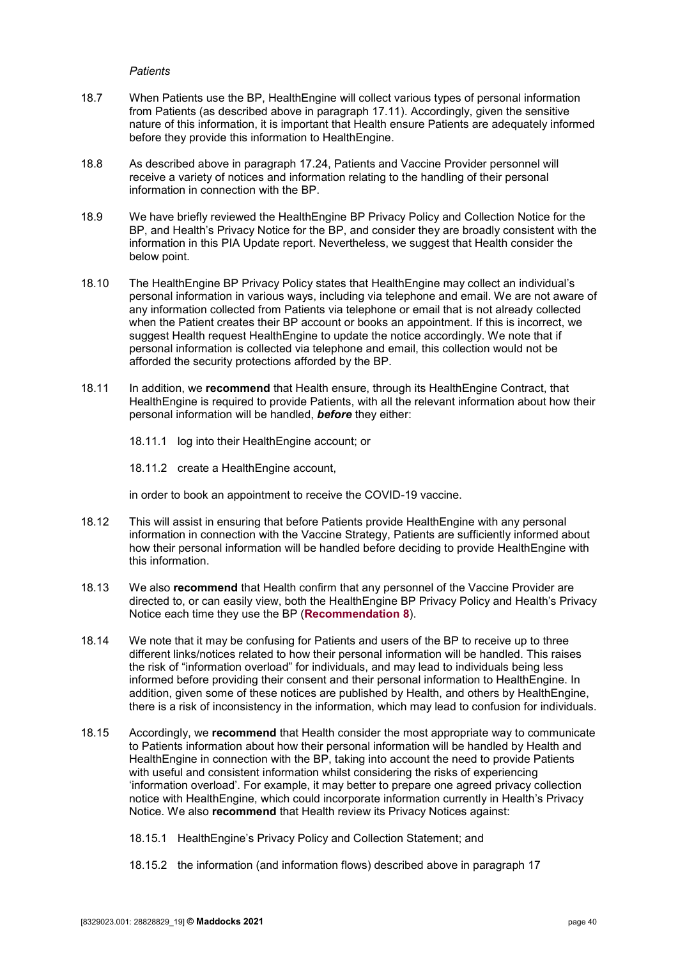#### *Patients*

- 18.7 When Patients use the BP, HealthEngine will collect various types of personal information from Patients (as described above in paragraph [17.11\)](#page-35-2). Accordingly, given the sensitive nature of this information, it is important that Health ensure Patients are adequately informed before they provide this information to HealthEngine.
- 18.8 As described above in paragraph [17.24,](#page-37-4) Patients and Vaccine Provider personnel will receive a variety of notices and information relating to the handling of their personal information in connection with the BP.
- 18.9 We have briefly reviewed the HealthEngine BP Privacy Policy and Collection Notice for the BP, and Health's Privacy Notice for the BP, and consider they are broadly consistent with the information in this PIA Update report. Nevertheless, we suggest that Health consider the below point.
- 18.10 The HealthEngine BP Privacy Policy states that HealthEngine may collect an individual's personal information in various ways, including via telephone and email. We are not aware of any information collected from Patients via telephone or email that is not already collected when the Patient creates their BP account or books an appointment. If this is incorrect, we suggest Health request HealthEngine to update the notice accordingly. We note that if personal information is collected via telephone and email, this collection would not be afforded the security protections afforded by the BP.
- 18.11 In addition, we **recommend** that Health ensure, through its HealthEngine Contract, that HealthEngine is required to provide Patients, with all the relevant information about how their personal information will be handled, *before* they either:
	- 18.11.1 log into their HealthEngine account; or
	- 18.11.2 create a HealthEngine account,

in order to book an appointment to receive the COVID-19 vaccine.

- 18.12 This will assist in ensuring that before Patients provide HealthEngine with any personal information in connection with the Vaccine Strategy, Patients are sufficiently informed about how their personal information will be handled before deciding to provide HealthEngine with this information.
- 18.13 We also **recommend** that Health confirm that any personnel of the Vaccine Provider are directed to, or can easily view, both the HealthEngine BP Privacy Policy and Health's Privacy Notice each time they use the BP (**[Recommendation 8](#page-9-0)**).
- 18.14 We note that it may be confusing for Patients and users of the BP to receive up to three different links/notices related to how their personal information will be handled. This raises the risk of "information overload" for individuals, and may lead to individuals being less informed before providing their consent and their personal information to HealthEngine. In addition, given some of these notices are published by Health, and others by HealthEngine, there is a risk of inconsistency in the information, which may lead to confusion for individuals.
- 18.15 Accordingly, we **recommend** that Health consider the most appropriate way to communicate to Patients information about how their personal information will be handled by Health and HealthEngine in connection with the BP, taking into account the need to provide Patients with useful and consistent information whilst considering the risks of experiencing 'information overload'. For example, it may better to prepare one agreed privacy collection notice with HealthEngine, which could incorporate information currently in Health's Privacy Notice. We also **recommend** that Health review its Privacy Notices against:
	- 18.15.1 HealthEngine's Privacy Policy and Collection Statement; and
	- 18.15.2 the information (and information flows) described above in paragraph [17](#page-34-1)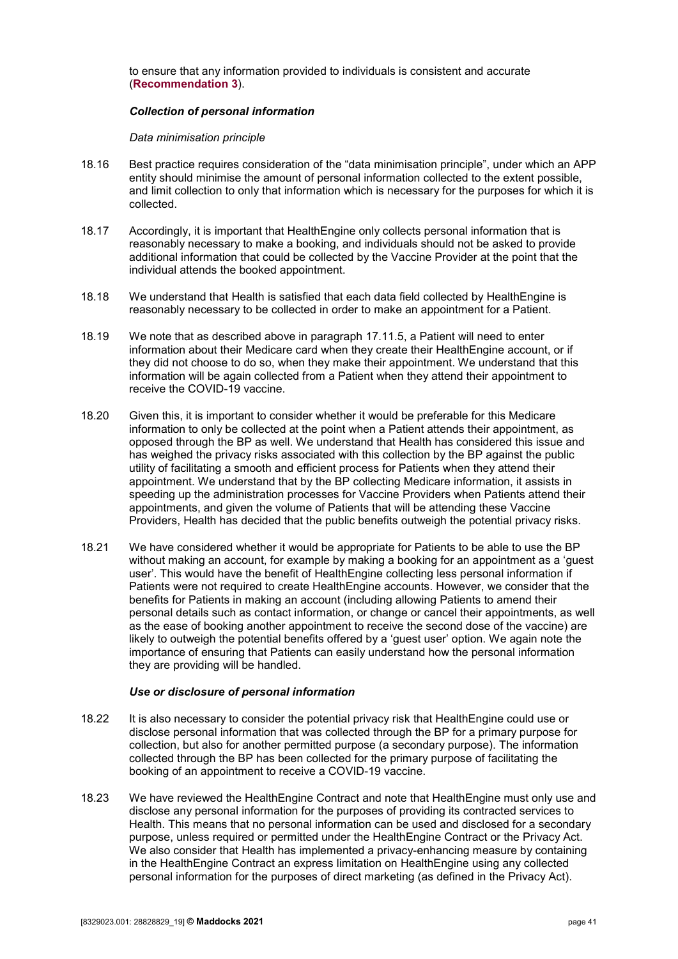to ensure that any information provided to individuals is consistent and accurate (**[Recommendation 3](#page-6-0)**).

#### *Collection of personal information*

*Data minimisation principle* 

- 18.16 Best practice requires consideration of the "data minimisation principle", under which an APP entity should minimise the amount of personal information collected to the extent possible, and limit collection to only that information which is necessary for the purposes for which it is collected.
- 18.17 Accordingly, it is important that HealthEngine only collects personal information that is reasonably necessary to make a booking, and individuals should not be asked to provide additional information that could be collected by the Vaccine Provider at the point that the individual attends the booked appointment.
- 18.18 We understand that Health is satisfied that each data field collected by HealthEngine is reasonably necessary to be collected in order to make an appointment for a Patient.
- 18.19 We note that as described above in paragraph [17.11.5,](#page-35-3) a Patient will need to enter information about their Medicare card when they create their HealthEngine account, or if they did not choose to do so, when they make their appointment. We understand that this information will be again collected from a Patient when they attend their appointment to receive the COVID-19 vaccine.
- 18.20 Given this, it is important to consider whether it would be preferable for this Medicare information to only be collected at the point when a Patient attends their appointment, as opposed through the BP as well. We understand that Health has considered this issue and has weighed the privacy risks associated with this collection by the BP against the public utility of facilitating a smooth and efficient process for Patients when they attend their appointment. We understand that by the BP collecting Medicare information, it assists in speeding up the administration processes for Vaccine Providers when Patients attend their appointments, and given the volume of Patients that will be attending these Vaccine Providers, Health has decided that the public benefits outweigh the potential privacy risks.
- 18.21 We have considered whether it would be appropriate for Patients to be able to use the BP without making an account, for example by making a booking for an appointment as a 'guest user'. This would have the benefit of HealthEngine collecting less personal information if Patients were not required to create HealthEngine accounts. However, we consider that the benefits for Patients in making an account (including allowing Patients to amend their personal details such as contact information, or change or cancel their appointments, as well as the ease of booking another appointment to receive the second dose of the vaccine) are likely to outweigh the potential benefits offered by a 'guest user' option. We again note the importance of ensuring that Patients can easily understand how the personal information they are providing will be handled.

#### *Use or disclosure of personal information*

- 18.22 It is also necessary to consider the potential privacy risk that HealthEngine could use or disclose personal information that was collected through the BP for a primary purpose for collection, but also for another permitted purpose (a secondary purpose). The information collected through the BP has been collected for the primary purpose of facilitating the booking of an appointment to receive a COVID-19 vaccine.
- 18.23 We have reviewed the HealthEngine Contract and note that HealthEngine must only use and disclose any personal information for the purposes of providing its contracted services to Health. This means that no personal information can be used and disclosed for a secondary purpose, unless required or permitted under the HealthEngine Contract or the Privacy Act. We also consider that Health has implemented a privacy-enhancing measure by containing in the HealthEngine Contract an express limitation on HealthEngine using any collected personal information for the purposes of direct marketing (as defined in the Privacy Act).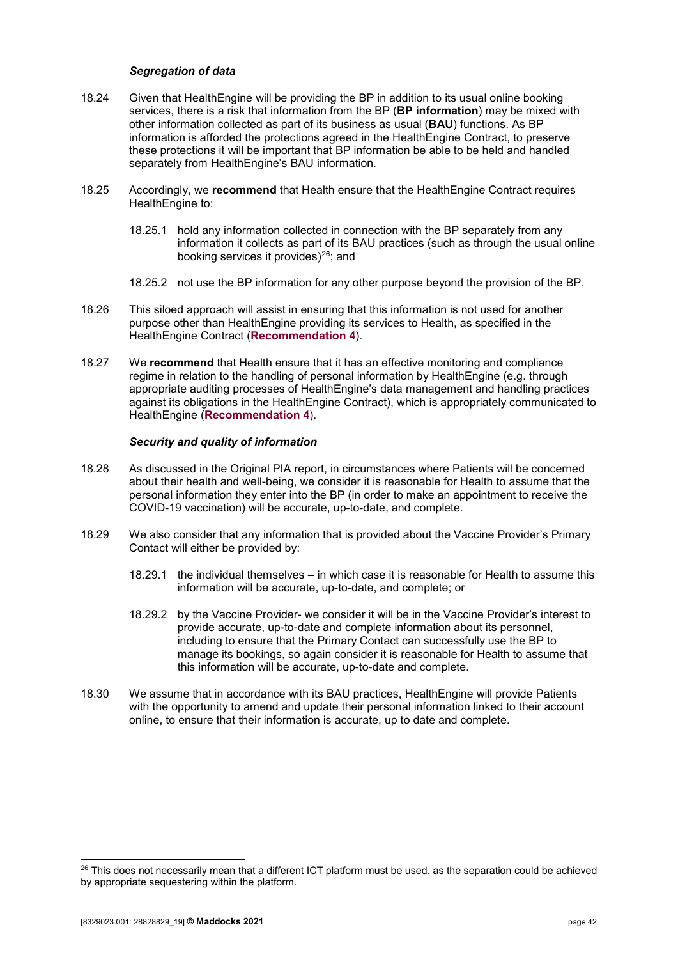#### *Segregation of data*

- 18.24 Given that HealthEngine will be providing the BP in addition to its usual online booking services, there is a risk that information from the BP (**BP information**) may be mixed with other information collected as part of its business as usual (**BAU**) functions. As BP information is afforded the protections agreed in the HealthEngine Contract, to preserve these protections it will be important that BP information be able to be held and handled separately from HealthEngine's BAU information.
- 18.25 Accordingly, we **recommend** that Health ensure that the HealthEngine Contract requires HealthEngine to:
	- 18.25.1 hold any information collected in connection with the BP separately from any information it collects as part of its BAU practices (such as through the usual online booking services it provides)<sup>26</sup>; and
	- 18.25.2 not use the BP information for any other purpose beyond the provision of the BP.
- 18.26 This siloed approach will assist in ensuring that this information is not used for another purpose other than HealthEngine providing its services to Health, as specified in the HealthEngine Contract (**[Recommendation 4](#page-7-0)**).
- 18.27 We **recommend** that Health ensure that it has an effective monitoring and compliance regime in relation to the handling of personal information by HealthEngine (e.g. through appropriate auditing processes of HealthEngine's data management and handling practices against its obligations in the HealthEngine Contract), which is appropriately communicated to HealthEngine (**[Recommendation 4](#page-7-0)**).

#### *Security and quality of information*

- 18.28 As discussed in the Original PIA report, in circumstances where Patients will be concerned about their health and well-being, we consider it is reasonable for Health to assume that the personal information they enter into the BP (in order to make an appointment to receive the COVID-19 vaccination) will be accurate, up-to-date, and complete.
- 18.29 We also consider that any information that is provided about the Vaccine Provider's Primary Contact will either be provided by:
	- 18.29.1 the individual themselves in which case it is reasonable for Health to assume this information will be accurate, up-to-date, and complete; or
	- 18.29.2 by the Vaccine Provider- we consider it will be in the Vaccine Provider's interest to provide accurate, up-to-date and complete information about its personnel, including to ensure that the Primary Contact can successfully use the BP to manage its bookings, so again consider it is reasonable for Health to assume that this information will be accurate, up-to-date and complete.
- 18.30 We assume that in accordance with its BAU practices, HealthEngine will provide Patients with the opportunity to amend and update their personal information linked to their account online, to ensure that their information is accurate, up to date and complete.

<span id="page-41-0"></span> $26$  This does not necessarily mean that a different ICT platform must be used, as the separation could be achieved by appropriate sequestering within the platform.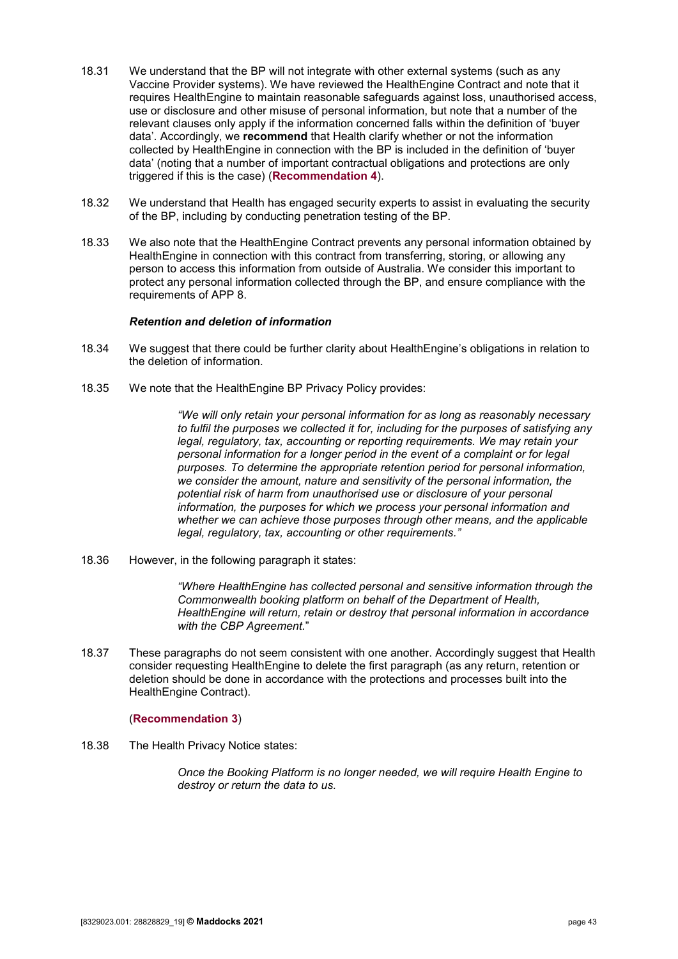- 18.31 We understand that the BP will not integrate with other external systems (such as any Vaccine Provider systems). We have reviewed the HealthEngine Contract and note that it requires HealthEngine to maintain reasonable safeguards against loss, unauthorised access, use or disclosure and other misuse of personal information, but note that a number of the relevant clauses only apply if the information concerned falls within the definition of 'buyer data'. Accordingly, we **recommend** that Health clarify whether or not the information collected by HealthEngine in connection with the BP is included in the definition of 'buyer data' (noting that a number of important contractual obligations and protections are only triggered if this is the case) (**[Recommendation 4](#page-7-0)**).
- 18.32 We understand that Health has engaged security experts to assist in evaluating the security of the BP, including by conducting penetration testing of the BP.
- 18.33 We also note that the HealthEngine Contract prevents any personal information obtained by HealthEngine in connection with this contract from transferring, storing, or allowing any person to access this information from outside of Australia. We consider this important to protect any personal information collected through the BP, and ensure compliance with the requirements of APP 8.

#### *Retention and deletion of information*

- 18.34 We suggest that there could be further clarity about HealthEngine's obligations in relation to the deletion of information.
- 18.35 We note that the HealthEngine BP Privacy Policy provides:

*"We will only retain your personal information for as long as reasonably necessary to fulfil the purposes we collected it for, including for the purposes of satisfying any legal, regulatory, tax, accounting or reporting requirements. We may retain your personal information for a longer period in the event of a complaint or for legal purposes. To determine the appropriate retention period for personal information, we consider the amount, nature and sensitivity of the personal information, the potential risk of harm from unauthorised use or disclosure of your personal information, the purposes for which we process your personal information and whether we can achieve those purposes through other means, and the applicable legal, regulatory, tax, accounting or other requirements."*

18.36 However, in the following paragraph it states:

*"Where HealthEngine has collected personal and sensitive information through the Commonwealth booking platform on behalf of the Department of Health, HealthEngine will return, retain or destroy that personal information in accordance with the CBP Agreement.*"

18.37 These paragraphs do not seem consistent with one another. Accordingly suggest that Health consider requesting HealthEngine to delete the first paragraph (as any return, retention or deletion should be done in accordance with the protections and processes built into the HealthEngine Contract).

#### (**[Recommendation 3](#page-6-0)**)

18.38 The Health Privacy Notice states:

*Once the Booking Platform is no longer needed, we will require Health Engine to destroy or return the data to us.*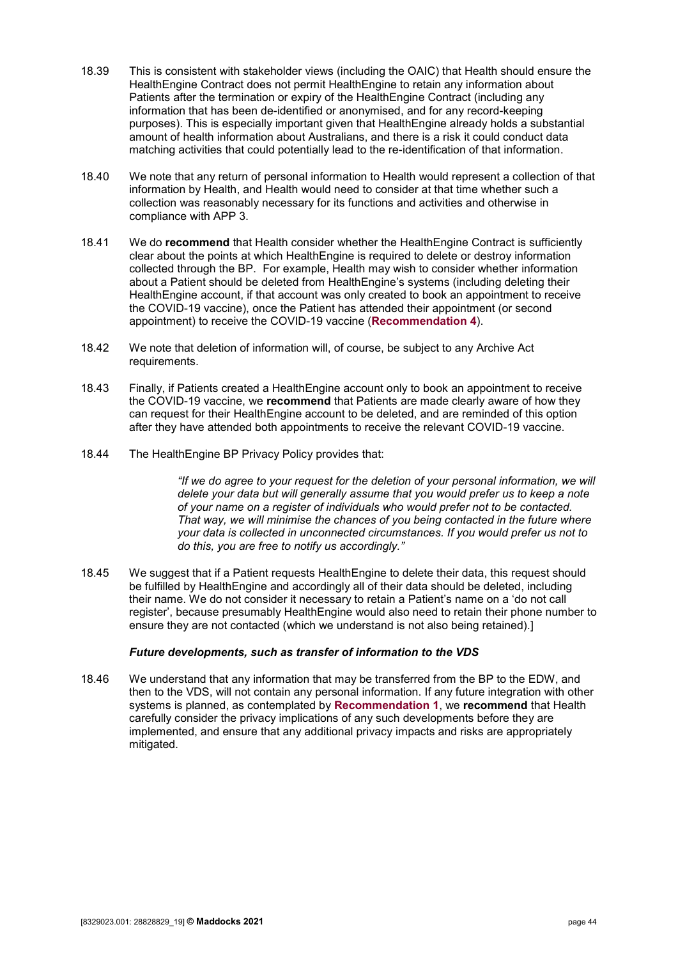- 18.39 This is consistent with stakeholder views (including the OAIC) that Health should ensure the HealthEngine Contract does not permit HealthEngine to retain any information about Patients after the termination or expiry of the HealthEngine Contract (including any information that has been de-identified or anonymised, and for any record-keeping purposes). This is especially important given that HealthEngine already holds a substantial amount of health information about Australians, and there is a risk it could conduct data matching activities that could potentially lead to the re-identification of that information.
- 18.40 We note that any return of personal information to Health would represent a collection of that information by Health, and Health would need to consider at that time whether such a collection was reasonably necessary for its functions and activities and otherwise in compliance with APP 3.
- 18.41 We do **recommend** that Health consider whether the HealthEngine Contract is sufficiently clear about the points at which HealthEngine is required to delete or destroy information collected through the BP. For example, Health may wish to consider whether information about a Patient should be deleted from HealthEngine's systems (including deleting their HealthEngine account, if that account was only created to book an appointment to receive the COVID-19 vaccine), once the Patient has attended their appointment (or second appointment) to receive the COVID-19 vaccine (**[Recommendation 4](#page-7-0)**).
- 18.42 We note that deletion of information will, of course, be subject to any Archive Act requirements.
- 18.43 Finally, if Patients created a HealthEngine account only to book an appointment to receive the COVID-19 vaccine, we **recommend** that Patients are made clearly aware of how they can request for their HealthEngine account to be deleted, and are reminded of this option after they have attended both appointments to receive the relevant COVID-19 vaccine.
- 18.44 The HealthEngine BP Privacy Policy provides that:

*"If we do agree to your request for the deletion of your personal information, we will delete your data but will generally assume that you would prefer us to keep a note of your name on a register of individuals who would prefer not to be contacted. That way, we will minimise the chances of you being contacted in the future where your data is collected in unconnected circumstances. If you would prefer us not to do this, you are free to notify us accordingly."*

18.45 We suggest that if a Patient requests HealthEngine to delete their data, this request should be fulfilled by HealthEngine and accordingly all of their data should be deleted, including their name. We do not consider it necessary to retain a Patient's name on a 'do not call register', because presumably HealthEngine would also need to retain their phone number to ensure they are not contacted (which we understand is not also being retained).]

#### *Future developments, such as transfer of information to the VDS*

18.46 We understand that any information that may be transferred from the BP to the EDW, and then to the VDS, will not contain any personal information. If any future integration with other systems is planned, as contemplated by **[Recommendation 1](#page-5-1)**, we **recommend** that Health carefully consider the privacy implications of any such developments before they are implemented, and ensure that any additional privacy impacts and risks are appropriately mitigated.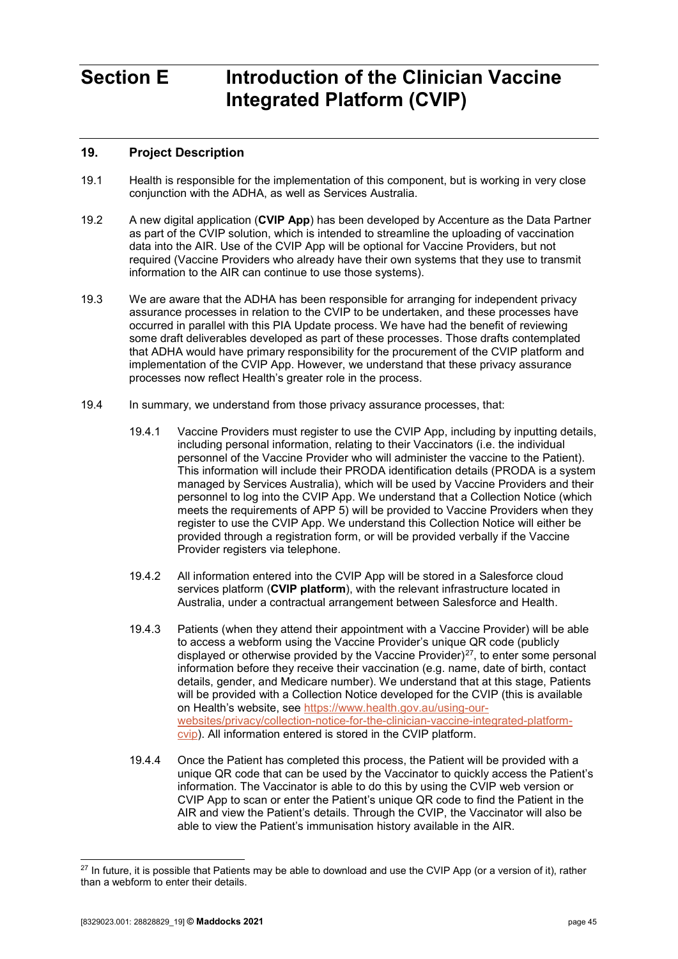# <span id="page-44-0"></span>**Section E Introduction of the Clinician Vaccine Integrated Platform (CVIP)**

## <span id="page-44-1"></span>**19. Project Description**

- 19.1 Health is responsible for the implementation of this component, but is working in very close conjunction with the ADHA, as well as Services Australia.
- 19.2 A new digital application (**CVIP App**) has been developed by Accenture as the Data Partner as part of the CVIP solution, which is intended to streamline the uploading of vaccination data into the AIR. Use of the CVIP App will be optional for Vaccine Providers, but not required (Vaccine Providers who already have their own systems that they use to transmit information to the AIR can continue to use those systems).
- 19.3 We are aware that the ADHA has been responsible for arranging for independent privacy assurance processes in relation to the CVIP to be undertaken, and these processes have occurred in parallel with this PIA Update process. We have had the benefit of reviewing some draft deliverables developed as part of these processes. Those drafts contemplated that ADHA would have primary responsibility for the procurement of the CVIP platform and implementation of the CVIP App. However, we understand that these privacy assurance processes now reflect Health's greater role in the process.
- <span id="page-44-3"></span>19.4 In summary, we understand from those privacy assurance processes, that:
	- 19.4.1 Vaccine Providers must register to use the CVIP App, including by inputting details, including personal information, relating to their Vaccinators (i.e. the individual personnel of the Vaccine Provider who will administer the vaccine to the Patient). This information will include their PRODA identification details (PRODA is a system managed by Services Australia), which will be used by Vaccine Providers and their personnel to log into the CVIP App. We understand that a Collection Notice (which meets the requirements of APP 5) will be provided to Vaccine Providers when they register to use the CVIP App. We understand this Collection Notice will either be provided through a registration form, or will be provided verbally if the Vaccine Provider registers via telephone.
	- 19.4.2 All information entered into the CVIP App will be stored in a Salesforce cloud services platform (**CVIP platform**), with the relevant infrastructure located in Australia, under a contractual arrangement between Salesforce and Health.
	- 19.4.3 Patients (when they attend their appointment with a Vaccine Provider) will be able to access a webform using the Vaccine Provider's unique QR code (publicly displayed or otherwise provided by the Vaccine Provider)<sup>[27](#page-44-2)</sup>, to enter some personal information before they receive their vaccination (e.g. name, date of birth, contact details, gender, and Medicare number). We understand that at this stage, Patients will be provided with a Collection Notice developed for the CVIP (this is available on Health's website, see [https://www.health.gov.au/using-our](https://www.health.gov.au/using-our-websites/privacy/collection-notice-for-the-clinician-vaccine-integrated-platform-cvip)[websites/privacy/collection-notice-for-the-clinician-vaccine-integrated-platform](https://www.health.gov.au/using-our-websites/privacy/collection-notice-for-the-clinician-vaccine-integrated-platform-cvip)[cvip\)](https://www.health.gov.au/using-our-websites/privacy/collection-notice-for-the-clinician-vaccine-integrated-platform-cvip). All information entered is stored in the CVIP platform.
	- 19.4.4 Once the Patient has completed this process, the Patient will be provided with a unique QR code that can be used by the Vaccinator to quickly access the Patient's information. The Vaccinator is able to do this by using the CVIP web version or CVIP App to scan or enter the Patient's unique QR code to find the Patient in the AIR and view the Patient's details. Through the CVIP, the Vaccinator will also be able to view the Patient's immunisation history available in the AIR.

<span id="page-44-4"></span><span id="page-44-2"></span> $27$  In future, it is possible that Patients may be able to download and use the CVIP App (or a version of it), rather than a webform to enter their details.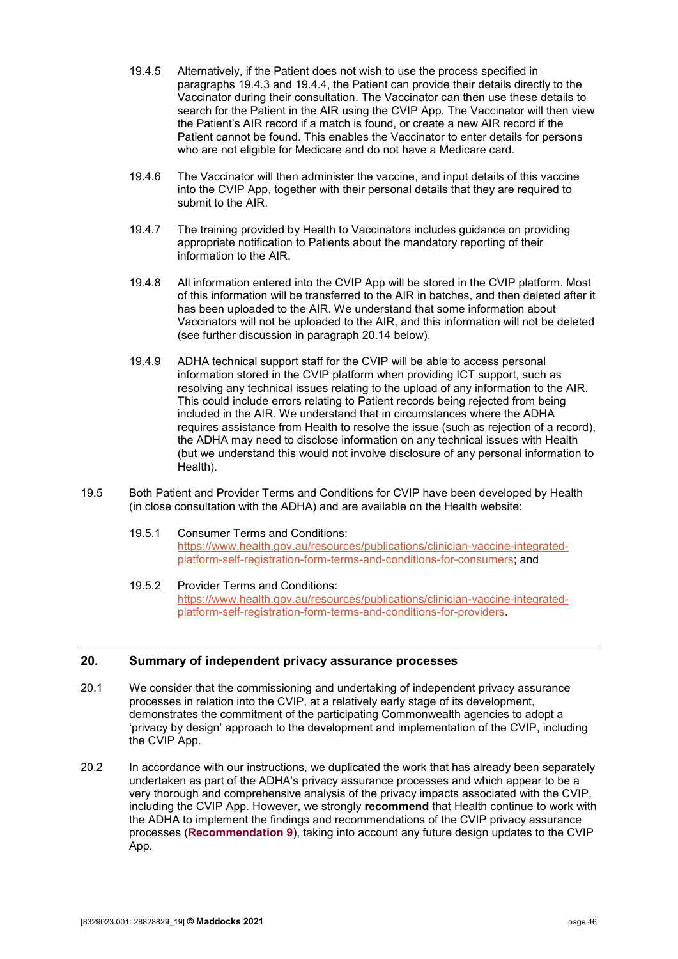- 19.4.5 Alternatively, if the Patient does not wish to use the process specified in paragraphs [19.4.3](#page-44-3) and [19.4.4,](#page-44-4) the Patient can provide their details directly to the Vaccinator during their consultation. The Vaccinator can then use these details to search for the Patient in the AIR using the CVIP App. The Vaccinator will then view the Patient's AIR record if a match is found, or create a new AIR record if the Patient cannot be found. This enables the Vaccinator to enter details for persons who are not eligible for Medicare and do not have a Medicare card.
- 19.4.6 The Vaccinator will then administer the vaccine, and input details of this vaccine into the CVIP App, together with their personal details that they are required to submit to the AIR.
- 19.4.7 The training provided by Health to Vaccinators includes guidance on providing appropriate notification to Patients about the mandatory reporting of their information to the AIR.
- 19.4.8 All information entered into the CVIP App will be stored in the CVIP platform. Most of this information will be transferred to the AIR in batches, and then deleted after it has been uploaded to the AIR. We understand that some information about Vaccinators will not be uploaded to the AIR, and this information will not be deleted (see further discussion in paragraph [20.14](#page-47-0) below).
- 19.4.9 ADHA technical support staff for the CVIP will be able to access personal information stored in the CVIP platform when providing ICT support, such as resolving any technical issues relating to the upload of any information to the AIR. This could include errors relating to Patient records being rejected from being included in the AIR. We understand that in circumstances where the ADHA requires assistance from Health to resolve the issue (such as rejection of a record), the ADHA may need to disclose information on any technical issues with Health (but we understand this would not involve disclosure of any personal information to Health).
- 19.5 Both Patient and Provider Terms and Conditions for CVIP have been developed by Health (in close consultation with the ADHA) and are available on the Health website:
	- 19.5.1 Consumer Terms and Conditions: [https://www.health.gov.au/resources/publications/clinician-vaccine-integrated](https://www.health.gov.au/resources/publications/clinician-vaccine-integrated-platform-self-registration-form-terms-and-conditions-for-consumers)[platform-self-registration-form-terms-and-conditions-for-consumers;](https://www.health.gov.au/resources/publications/clinician-vaccine-integrated-platform-self-registration-form-terms-and-conditions-for-consumers) and
	- 19.5.2 Provider Terms and Conditions: [https://www.health.gov.au/resources/publications/clinician-vaccine-integrated](https://www.health.gov.au/resources/publications/clinician-vaccine-integrated-platform-self-registration-form-terms-and-conditions-for-providers)[platform-self-registration-form-terms-and-conditions-for-providers.](https://www.health.gov.au/resources/publications/clinician-vaccine-integrated-platform-self-registration-form-terms-and-conditions-for-providers)

#### <span id="page-45-0"></span>**20. Summary of independent privacy assurance processes**

- 20.1 We consider that the commissioning and undertaking of independent privacy assurance processes in relation into the CVIP, at a relatively early stage of its development, demonstrates the commitment of the participating Commonwealth agencies to adopt a 'privacy by design' approach to the development and implementation of the CVIP, including the CVIP App.
- 20.2 In accordance with our instructions, we duplicated the work that has already been separately undertaken as part of the ADHA's privacy assurance processes and which appear to be a very thorough and comprehensive analysis of the privacy impacts associated with the CVIP, including the CVIP App. However, we strongly **recommend** that Health continue to work with the ADHA to implement the findings and recommendations of the CVIP privacy assurance processes (**[Recommendation 9](#page-9-1)**), taking into account any future design updates to the CVIP App.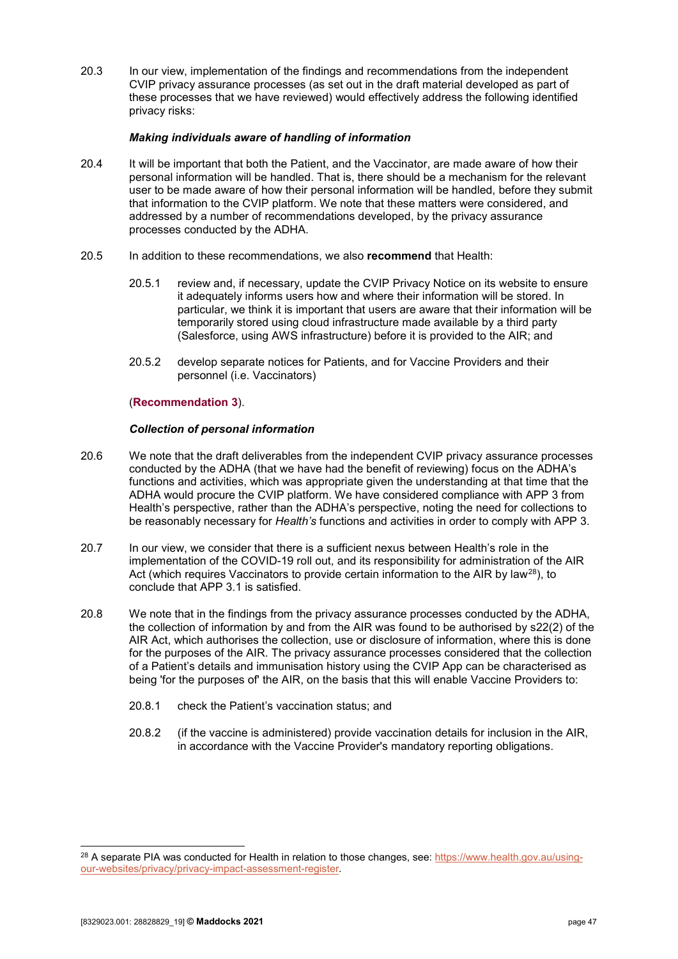20.3 In our view, implementation of the findings and recommendations from the independent CVIP privacy assurance processes (as set out in the draft material developed as part of these processes that we have reviewed) would effectively address the following identified privacy risks:

#### *Making individuals aware of handling of information*

- 20.4 It will be important that both the Patient, and the Vaccinator, are made aware of how their personal information will be handled. That is, there should be a mechanism for the relevant user to be made aware of how their personal information will be handled, before they submit that information to the CVIP platform. We note that these matters were considered, and addressed by a number of recommendations developed, by the privacy assurance processes conducted by the ADHA.
- 20.5 In addition to these recommendations, we also **recommend** that Health:
	- 20.5.1 review and, if necessary, update the CVIP Privacy Notice on its website to ensure it adequately informs users how and where their information will be stored. In particular, we think it is important that users are aware that their information will be temporarily stored using cloud infrastructure made available by a third party (Salesforce, using AWS infrastructure) before it is provided to the AIR; and
	- 20.5.2 develop separate notices for Patients, and for Vaccine Providers and their personnel (i.e. Vaccinators)

#### (**[Recommendation 3](#page-6-0)**).

#### *Collection of personal information*

- 20.6 We note that the draft deliverables from the independent CVIP privacy assurance processes conducted by the ADHA (that we have had the benefit of reviewing) focus on the ADHA's functions and activities, which was appropriate given the understanding at that time that the ADHA would procure the CVIP platform. We have considered compliance with APP 3 from Health's perspective, rather than the ADHA's perspective, noting the need for collections to be reasonably necessary for *Health's* functions and activities in order to comply with APP 3.
- 20.7 In our view, we consider that there is a sufficient nexus between Health's role in the implementation of the COVID-19 roll out, and its responsibility for administration of the AIR Act (which requires Vaccinators to provide certain information to the AIR by law<sup>[28](#page-46-0)</sup>), to conclude that APP 3.1 is satisfied.
- 20.8 We note that in the findings from the privacy assurance processes conducted by the ADHA, the collection of information by and from the AIR was found to be authorised by s22(2) of the AIR Act, which authorises the collection, use or disclosure of information, where this is done for the purposes of the AIR. The privacy assurance processes considered that the collection of a Patient's details and immunisation history using the CVIP App can be characterised as being 'for the purposes of' the AIR, on the basis that this will enable Vaccine Providers to:
	- 20.8.1 check the Patient's vaccination status; and
	- 20.8.2 (if the vaccine is administered) provide vaccination details for inclusion in the AIR, in accordance with the Vaccine Provider's mandatory reporting obligations.

<span id="page-46-0"></span><sup>&</sup>lt;sup>28</sup> A separate PIA was conducted for Health in relation to those changes, see: [https://www.health.gov.au/using](https://www.health.gov.au/using-our-websites/privacy/privacy-impact-assessment-register)[our-websites/privacy/privacy-impact-assessment-register.](https://www.health.gov.au/using-our-websites/privacy/privacy-impact-assessment-register)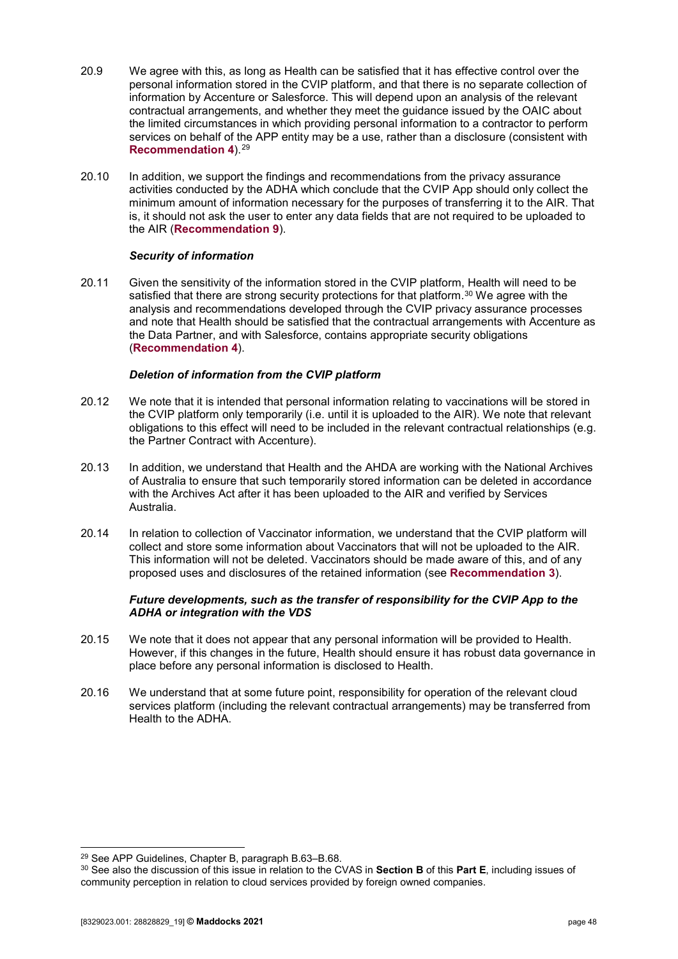- 20.9 We agree with this, as long as Health can be satisfied that it has effective control over the personal information stored in the CVIP platform, and that there is no separate collection of information by Accenture or Salesforce. This will depend upon an analysis of the relevant contractual arrangements, and whether they meet the guidance issued by the OAIC about the limited circumstances in which providing personal information to a contractor to perform services on behalf of the APP entity may be a use, rather than a disclosure (consistent with **[Recommendation 4](#page-7-0)**).[29](#page-47-1)
- 20.10 In addition, we support the findings and recommendations from the privacy assurance activities conducted by the ADHA which conclude that the CVIP App should only collect the minimum amount of information necessary for the purposes of transferring it to the AIR. That is, it should not ask the user to enter any data fields that are not required to be uploaded to the AIR (**Recommendation 9**).

#### *Security of information*

20.11 Given the sensitivity of the information stored in the CVIP platform, Health will need to be satisfied that there are strong security protections for that platform.<sup>[30](#page-47-2)</sup> We agree with the analysis and recommendations developed through the CVIP privacy assurance processes and note that Health should be satisfied that the contractual arrangements with Accenture as the Data Partner, and with Salesforce, contains appropriate security obligations (**[Recommendation 4](#page-7-0)**).

#### *Deletion of information from the CVIP platform*

- 20.12 We note that it is intended that personal information relating to vaccinations will be stored in the CVIP platform only temporarily (i.e. until it is uploaded to the AIR). We note that relevant obligations to this effect will need to be included in the relevant contractual relationships (e.g. the Partner Contract with Accenture).
- 20.13 In addition, we understand that Health and the AHDA are working with the National Archives of Australia to ensure that such temporarily stored information can be deleted in accordance with the Archives Act after it has been uploaded to the AIR and verified by Services Australia.
- <span id="page-47-0"></span>20.14 In relation to collection of Vaccinator information, we understand that the CVIP platform will collect and store some information about Vaccinators that will not be uploaded to the AIR. This information will not be deleted. Vaccinators should be made aware of this, and of any proposed uses and disclosures of the retained information (see **[Recommendation 3](#page-6-0)**).

#### *Future developments, such as the transfer of responsibility for the CVIP App to the ADHA or integration with the VDS*

- 20.15 We note that it does not appear that any personal information will be provided to Health. However, if this changes in the future, Health should ensure it has robust data governance in place before any personal information is disclosed to Health.
- 20.16 We understand that at some future point, responsibility for operation of the relevant cloud services platform (including the relevant contractual arrangements) may be transferred from Health to the ADHA.

<span id="page-47-1"></span> <sup>29</sup> See APP Guidelines, Chapter B, paragraph B.63–B.68.

<span id="page-47-2"></span><sup>30</sup> See also the discussion of this issue in relation to the CVAS in **Section B** of this **Part E**, including issues of community perception in relation to cloud services provided by foreign owned companies.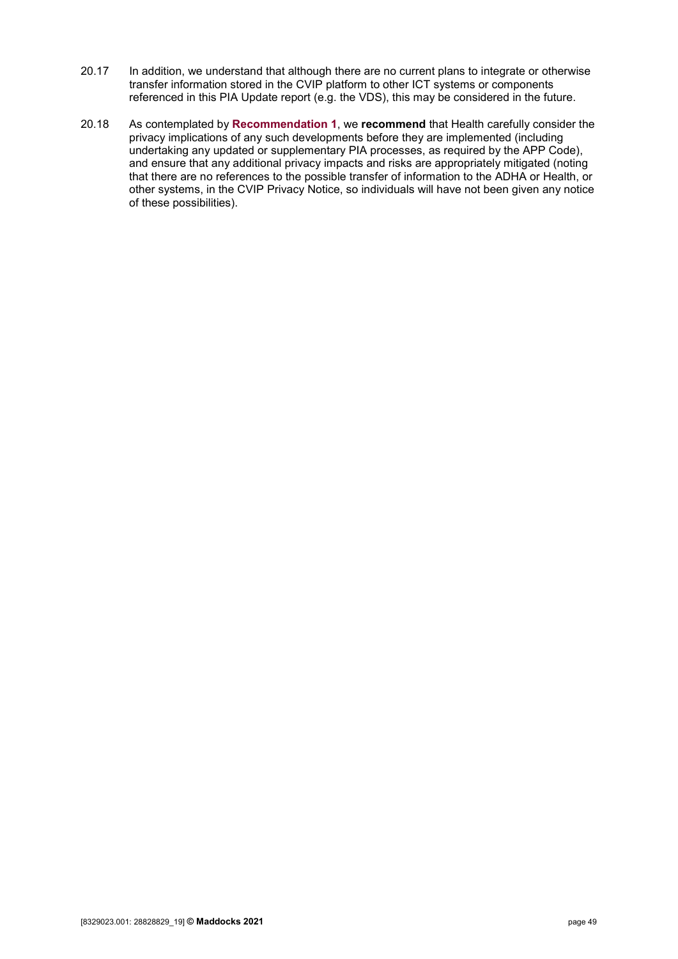- 20.17 In addition, we understand that although there are no current plans to integrate or otherwise transfer information stored in the CVIP platform to other ICT systems or components referenced in this PIA Update report (e.g. the VDS), this may be considered in the future.
- 20.18 As contemplated by **[Recommendation 1](#page-5-1)**, we **recommend** that Health carefully consider the privacy implications of any such developments before they are implemented (including undertaking any updated or supplementary PIA processes, as required by the APP Code), and ensure that any additional privacy impacts and risks are appropriately mitigated (noting that there are no references to the possible transfer of information to the ADHA or Health, or other systems, in the CVIP Privacy Notice, so individuals will have not been given any notice of these possibilities).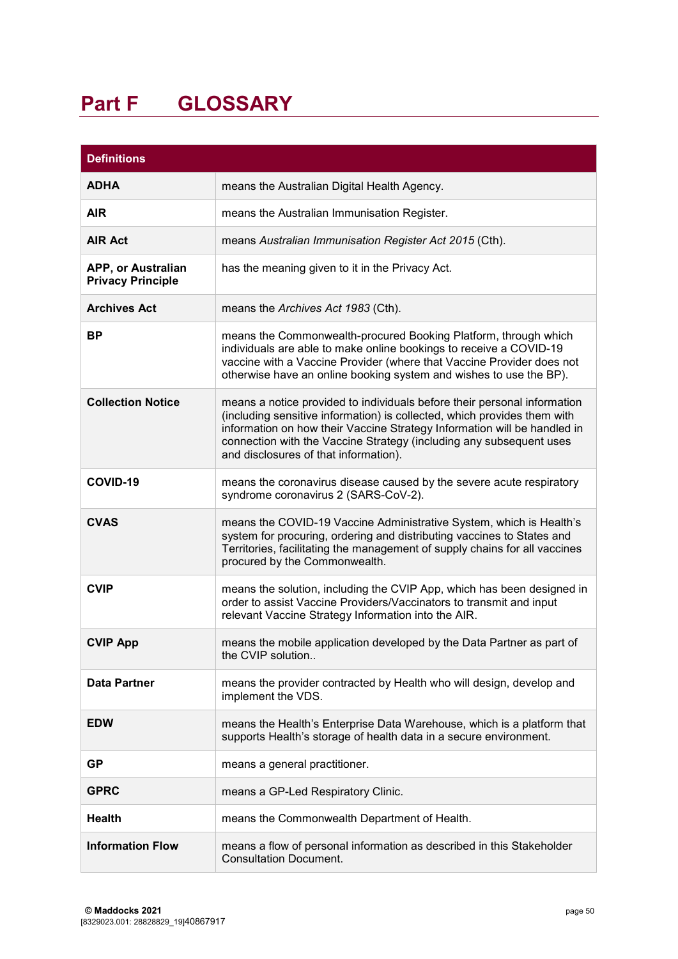# <span id="page-49-0"></span>**Part F GLOSSARY**

| <b>Definitions</b>                             |                                                                                                                                                                                                                                                                                                                                                  |  |  |  |
|------------------------------------------------|--------------------------------------------------------------------------------------------------------------------------------------------------------------------------------------------------------------------------------------------------------------------------------------------------------------------------------------------------|--|--|--|
| <b>ADHA</b>                                    | means the Australian Digital Health Agency.                                                                                                                                                                                                                                                                                                      |  |  |  |
| <b>AIR</b>                                     | means the Australian Immunisation Register.                                                                                                                                                                                                                                                                                                      |  |  |  |
| <b>AIR Act</b>                                 | means Australian Immunisation Register Act 2015 (Cth).                                                                                                                                                                                                                                                                                           |  |  |  |
| APP, or Australian<br><b>Privacy Principle</b> | has the meaning given to it in the Privacy Act.                                                                                                                                                                                                                                                                                                  |  |  |  |
| <b>Archives Act</b>                            | means the Archives Act 1983 (Cth).                                                                                                                                                                                                                                                                                                               |  |  |  |
| <b>BP</b>                                      | means the Commonwealth-procured Booking Platform, through which<br>individuals are able to make online bookings to receive a COVID-19<br>vaccine with a Vaccine Provider (where that Vaccine Provider does not<br>otherwise have an online booking system and wishes to use the BP).                                                             |  |  |  |
| <b>Collection Notice</b>                       | means a notice provided to individuals before their personal information<br>(including sensitive information) is collected, which provides them with<br>information on how their Vaccine Strategy Information will be handled in<br>connection with the Vaccine Strategy (including any subsequent uses<br>and disclosures of that information). |  |  |  |
| COVID-19                                       | means the coronavirus disease caused by the severe acute respiratory<br>syndrome coronavirus 2 (SARS-CoV-2).                                                                                                                                                                                                                                     |  |  |  |
| <b>CVAS</b>                                    | means the COVID-19 Vaccine Administrative System, which is Health's<br>system for procuring, ordering and distributing vaccines to States and<br>Territories, facilitating the management of supply chains for all vaccines<br>procured by the Commonwealth.                                                                                     |  |  |  |
| <b>CVIP</b>                                    | means the solution, including the CVIP App, which has been designed in<br>order to assist Vaccine Providers/Vaccinators to transmit and input<br>relevant Vaccine Strategy Information into the AIR.                                                                                                                                             |  |  |  |
| <b>CVIP App</b>                                | means the mobile application developed by the Data Partner as part of<br>the CVIP solution                                                                                                                                                                                                                                                       |  |  |  |
| <b>Data Partner</b>                            | means the provider contracted by Health who will design, develop and<br>implement the VDS.                                                                                                                                                                                                                                                       |  |  |  |
| <b>EDW</b>                                     | means the Health's Enterprise Data Warehouse, which is a platform that<br>supports Health's storage of health data in a secure environment.                                                                                                                                                                                                      |  |  |  |
| <b>GP</b>                                      | means a general practitioner.                                                                                                                                                                                                                                                                                                                    |  |  |  |
| <b>GPRC</b>                                    | means a GP-Led Respiratory Clinic.                                                                                                                                                                                                                                                                                                               |  |  |  |
| <b>Health</b>                                  | means the Commonwealth Department of Health.                                                                                                                                                                                                                                                                                                     |  |  |  |
| <b>Information Flow</b>                        | means a flow of personal information as described in this Stakeholder<br><b>Consultation Document.</b>                                                                                                                                                                                                                                           |  |  |  |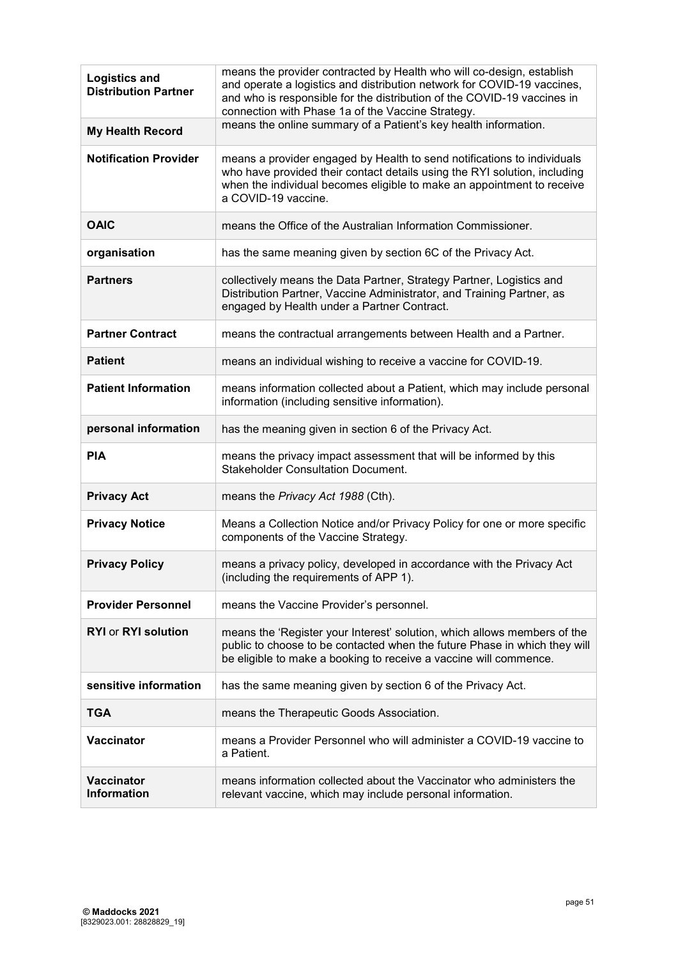| <b>Logistics and</b><br><b>Distribution Partner</b> | means the provider contracted by Health who will co-design, establish<br>and operate a logistics and distribution network for COVID-19 vaccines,<br>and who is responsible for the distribution of the COVID-19 vaccines in<br>connection with Phase 1a of the Vaccine Strategy. |
|-----------------------------------------------------|----------------------------------------------------------------------------------------------------------------------------------------------------------------------------------------------------------------------------------------------------------------------------------|
| <b>My Health Record</b>                             | means the online summary of a Patient's key health information.                                                                                                                                                                                                                  |
| <b>Notification Provider</b>                        | means a provider engaged by Health to send notifications to individuals<br>who have provided their contact details using the RYI solution, including<br>when the individual becomes eligible to make an appointment to receive<br>a COVID-19 vaccine.                            |
| <b>OAIC</b>                                         | means the Office of the Australian Information Commissioner.                                                                                                                                                                                                                     |
| organisation                                        | has the same meaning given by section 6C of the Privacy Act.                                                                                                                                                                                                                     |
| <b>Partners</b>                                     | collectively means the Data Partner, Strategy Partner, Logistics and<br>Distribution Partner, Vaccine Administrator, and Training Partner, as<br>engaged by Health under a Partner Contract.                                                                                     |
| <b>Partner Contract</b>                             | means the contractual arrangements between Health and a Partner.                                                                                                                                                                                                                 |
| <b>Patient</b>                                      | means an individual wishing to receive a vaccine for COVID-19.                                                                                                                                                                                                                   |
| <b>Patient Information</b>                          | means information collected about a Patient, which may include personal<br>information (including sensitive information).                                                                                                                                                        |
| personal information                                | has the meaning given in section 6 of the Privacy Act.                                                                                                                                                                                                                           |
| <b>PIA</b>                                          | means the privacy impact assessment that will be informed by this<br><b>Stakeholder Consultation Document.</b>                                                                                                                                                                   |
| <b>Privacy Act</b>                                  | means the Privacy Act 1988 (Cth).                                                                                                                                                                                                                                                |
| <b>Privacy Notice</b>                               | Means a Collection Notice and/or Privacy Policy for one or more specific<br>components of the Vaccine Strategy.                                                                                                                                                                  |
| <b>Privacy Policy</b>                               | means a privacy policy, developed in accordance with the Privacy Act<br>(including the requirements of APP 1).                                                                                                                                                                   |
| <b>Provider Personnel</b>                           | means the Vaccine Provider's personnel.                                                                                                                                                                                                                                          |
| <b>RYI or RYI solution</b>                          | means the 'Register your Interest' solution, which allows members of the<br>public to choose to be contacted when the future Phase in which they will<br>be eligible to make a booking to receive a vaccine will commence.                                                       |
| sensitive information                               | has the same meaning given by section 6 of the Privacy Act.                                                                                                                                                                                                                      |
| <b>TGA</b>                                          | means the Therapeutic Goods Association.                                                                                                                                                                                                                                         |
| <b>Vaccinator</b>                                   | means a Provider Personnel who will administer a COVID-19 vaccine to<br>a Patient.                                                                                                                                                                                               |
| <b>Vaccinator</b><br><b>Information</b>             | means information collected about the Vaccinator who administers the<br>relevant vaccine, which may include personal information.                                                                                                                                                |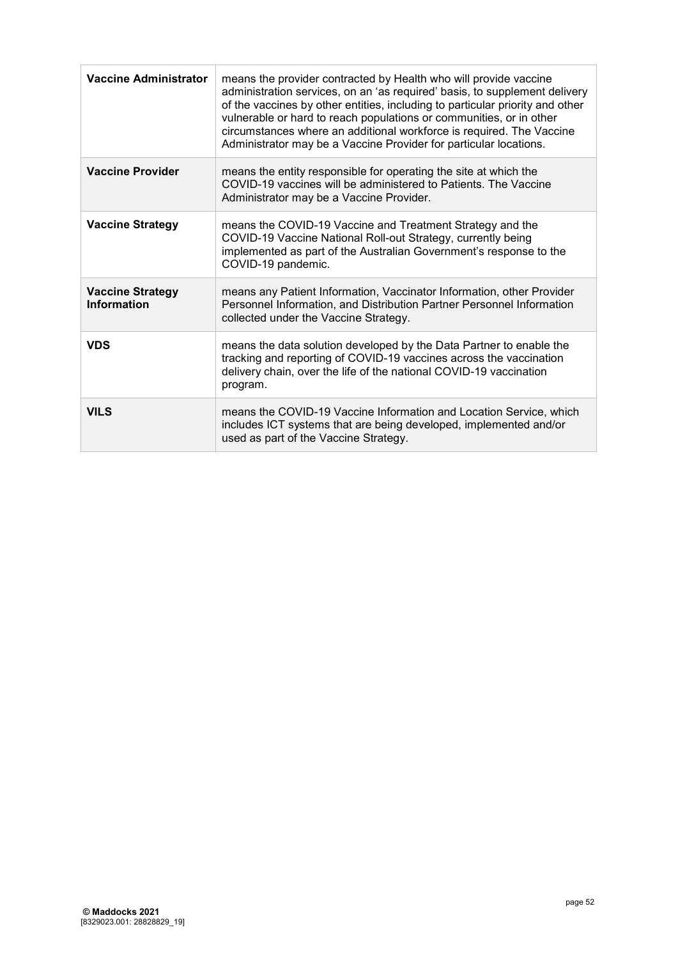| <b>Vaccine Administrator</b>           | means the provider contracted by Health who will provide vaccine<br>administration services, on an 'as required' basis, to supplement delivery<br>of the vaccines by other entities, including to particular priority and other<br>vulnerable or hard to reach populations or communities, or in other<br>circumstances where an additional workforce is required. The Vaccine<br>Administrator may be a Vaccine Provider for particular locations. |
|----------------------------------------|-----------------------------------------------------------------------------------------------------------------------------------------------------------------------------------------------------------------------------------------------------------------------------------------------------------------------------------------------------------------------------------------------------------------------------------------------------|
| <b>Vaccine Provider</b>                | means the entity responsible for operating the site at which the<br>COVID-19 vaccines will be administered to Patients. The Vaccine<br>Administrator may be a Vaccine Provider.                                                                                                                                                                                                                                                                     |
| <b>Vaccine Strategy</b>                | means the COVID-19 Vaccine and Treatment Strategy and the<br>COVID-19 Vaccine National Roll-out Strategy, currently being<br>implemented as part of the Australian Government's response to the<br>COVID-19 pandemic.                                                                                                                                                                                                                               |
| <b>Vaccine Strategy</b><br>Information | means any Patient Information, Vaccinator Information, other Provider<br>Personnel Information, and Distribution Partner Personnel Information<br>collected under the Vaccine Strategy.                                                                                                                                                                                                                                                             |
| <b>VDS</b>                             | means the data solution developed by the Data Partner to enable the<br>tracking and reporting of COVID-19 vaccines across the vaccination<br>delivery chain, over the life of the national COVID-19 vaccination<br>program.                                                                                                                                                                                                                         |
| <b>VILS</b>                            | means the COVID-19 Vaccine Information and Location Service, which<br>includes ICT systems that are being developed, implemented and/or<br>used as part of the Vaccine Strategy.                                                                                                                                                                                                                                                                    |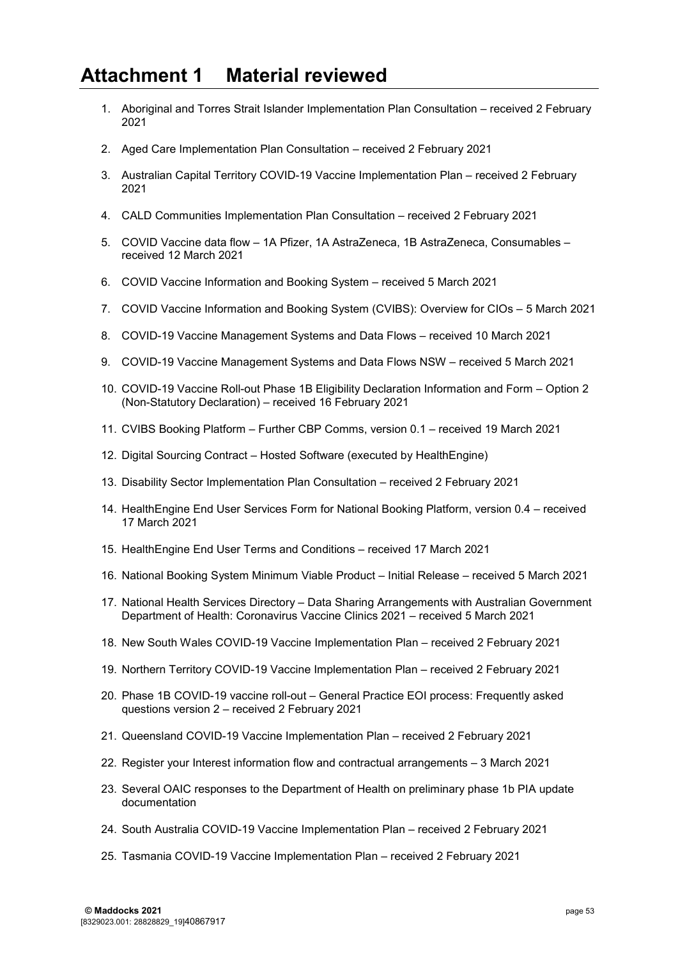## <span id="page-52-0"></span>**Attachment 1 Material reviewed**

- 1. Aboriginal and Torres Strait Islander Implementation Plan Consultation received 2 February 2021
- 2. Aged Care Implementation Plan Consultation received 2 February 2021
- 3. Australian Capital Territory COVID-19 Vaccine Implementation Plan received 2 February 2021
- 4. CALD Communities Implementation Plan Consultation received 2 February 2021
- 5. COVID Vaccine data flow 1A Pfizer, 1A AstraZeneca, 1B AstraZeneca, Consumables received 12 March 2021
- 6. COVID Vaccine Information and Booking System received 5 March 2021
- 7. COVID Vaccine Information and Booking System (CVIBS): Overview for CIOs 5 March 2021
- 8. COVID-19 Vaccine Management Systems and Data Flows received 10 March 2021
- 9. COVID-19 Vaccine Management Systems and Data Flows NSW received 5 March 2021
- 10. COVID-19 Vaccine Roll-out Phase 1B Eligibility Declaration Information and Form Option 2 (Non-Statutory Declaration) – received 16 February 2021
- 11. CVIBS Booking Platform Further CBP Comms, version 0.1 received 19 March 2021
- 12. Digital Sourcing Contract Hosted Software (executed by HealthEngine)
- 13. Disability Sector Implementation Plan Consultation received 2 February 2021
- 14. HealthEngine End User Services Form for National Booking Platform, version 0.4 received 17 March 2021
- 15. HealthEngine End User Terms and Conditions received 17 March 2021
- 16. National Booking System Minimum Viable Product Initial Release received 5 March 2021
- 17. National Health Services Directory Data Sharing Arrangements with Australian Government Department of Health: Coronavirus Vaccine Clinics 2021 – received 5 March 2021
- 18. New South Wales COVID-19 Vaccine Implementation Plan received 2 February 2021
- 19. Northern Territory COVID-19 Vaccine Implementation Plan received 2 February 2021
- 20. Phase 1B COVID-19 vaccine roll-out General Practice EOI process: Frequently asked questions version 2 – received 2 February 2021
- 21. Queensland COVID-19 Vaccine Implementation Plan received 2 February 2021
- 22. Register your Interest information flow and contractual arrangements 3 March 2021
- 23. Several OAIC responses to the Department of Health on preliminary phase 1b PIA update documentation
- 24. South Australia COVID-19 Vaccine Implementation Plan received 2 February 2021
- 25. Tasmania COVID-19 Vaccine Implementation Plan received 2 February 2021